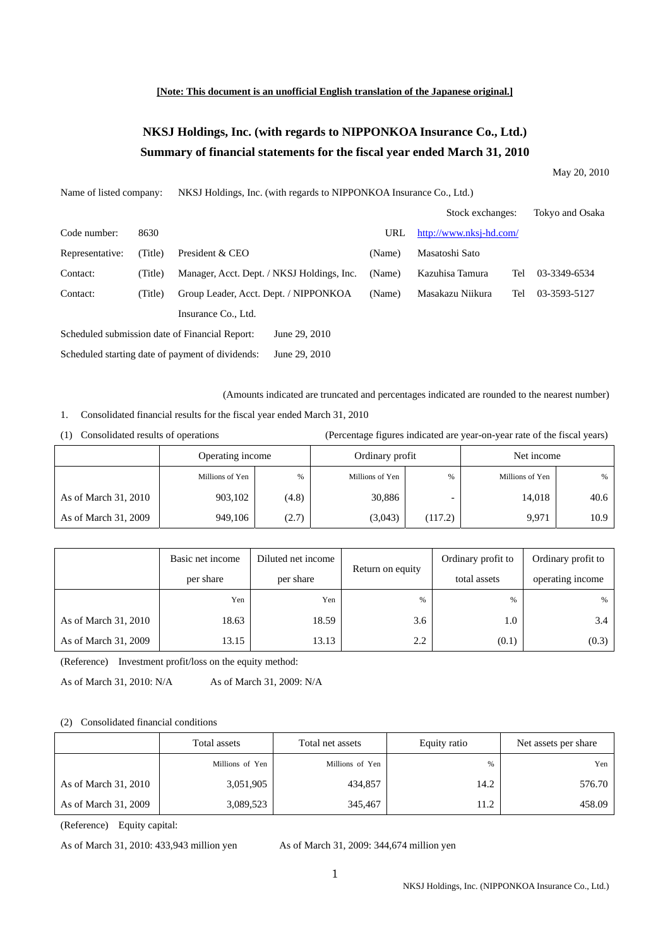#### **[Note: This document is an unofficial English translation of the Japanese original.]**

# **NKSJ Holdings, Inc. (with regards to NIPPONKOA Insurance Co., Ltd.) Summary of financial statements for the fiscal year ended March 31, 2010**

May 20, 2010

| Name of listed company:                        |         | NKSJ Holdings, Inc. (with regards to NIPPONKOA Insurance Co., Ltd.) |        |                         |     |                 |  |
|------------------------------------------------|---------|---------------------------------------------------------------------|--------|-------------------------|-----|-----------------|--|
|                                                |         |                                                                     |        | Stock exchanges:        |     | Tokyo and Osaka |  |
| Code number:                                   | 8630    |                                                                     | URL    | http://www.nksj-hd.com/ |     |                 |  |
| Representative:                                | (Title) | President & CEO                                                     | (Name) | Masatoshi Sato          |     |                 |  |
| Contact:                                       | (Title) | Manager, Acct. Dept. / NKSJ Holdings, Inc.                          | (Name) | Kazuhisa Tamura         | Tel | 03-3349-6534    |  |
| Contact:                                       | (Title) | Group Leader, Acct. Dept. / NIPPONKOA                               | (Name) | Masakazu Niikura        | Tel | 03-3593-5127    |  |
|                                                |         | Insurance Co., Ltd.                                                 |        |                         |     |                 |  |
| Scheduled submission date of Financial Report: |         | June 29, 2010                                                       |        |                         |     |                 |  |
|                                                |         | Scheduled starting date of payment of dividends:<br>June 29, 2010   |        |                         |     |                 |  |

(Amounts indicated are truncated and percentages indicated are rounded to the nearest number)

- 1. Consolidated financial results for the fiscal year ended March 31, 2010
- 

(1) Consolidated results of operations (Percentage figures indicated are year-on-year rate of the fiscal years)

|                      | Operating income |       | Ordinary profit |         | Net income      |      |
|----------------------|------------------|-------|-----------------|---------|-----------------|------|
|                      | Millions of Yen  | $\%$  | Millions of Yen | $\%$    | Millions of Yen | %    |
| As of March 31, 2010 | 903,102          | (4.8) | 30,886          |         | 14,018          | 40.6 |
| As of March 31, 2009 | 949,106          | (2.7) | (3,043)         | (117.2) | 9.971           | 10.9 |

|                      | Basic net income | Diluted net income | Return on equity | Ordinary profit to | Ordinary profit to |
|----------------------|------------------|--------------------|------------------|--------------------|--------------------|
|                      | per share        | per share          |                  | total assets       | operating income   |
|                      | Yen              | Yen                | %                | %                  | %                  |
| As of March 31, 2010 | 18.63            | 18.59              | 3.6              | 1.0                | 3.4                |
| As of March 31, 2009 | 13.15            | 13.13              | 2.2              | (0.1)              | (0.3)              |

(Reference) Investment profit/loss on the equity method:

As of March 31, 2010: N/A <br>As of March 31, 2009: N/A

### (2) Consolidated financial conditions

|                      | Total assets<br>Total net assets |                 | Equity ratio | Net assets per share |
|----------------------|----------------------------------|-----------------|--------------|----------------------|
|                      | Millions of Yen                  | Millions of Yen | %            | Yen                  |
| As of March 31, 2010 | 3,051,905                        | 434,857         | 14.2         | 576.70               |
| As of March 31, 2009 | 3,089,523                        | 345,467         | 11.2         | 458.09               |

(Reference) Equity capital:

As of March 31, 2010: 433,943 million yen As of March 31, 2009: 344,674 million yen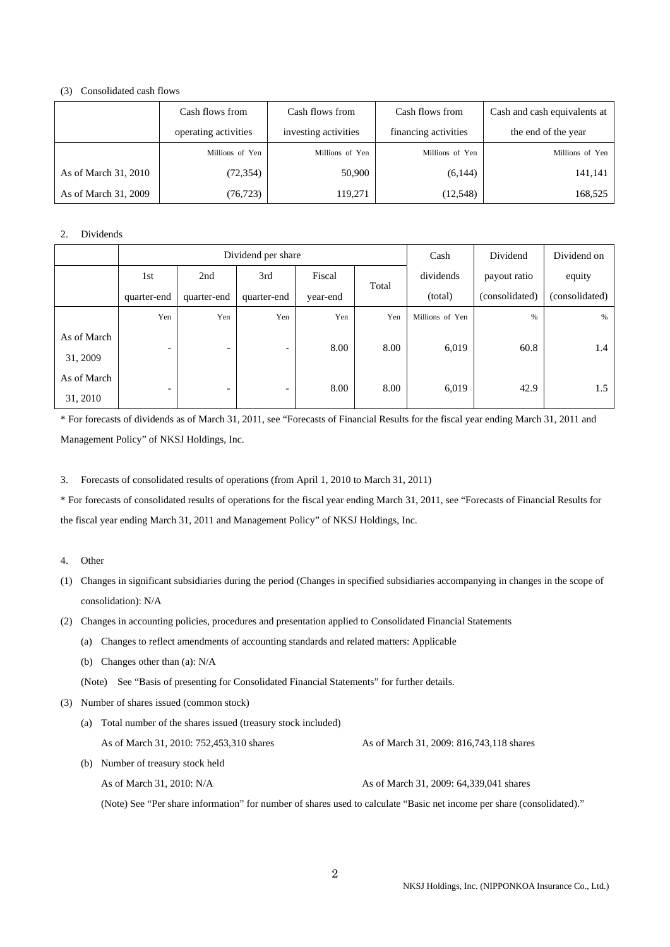#### (3) Consolidated cash flows

|                      | Cash flows from      | Cash flows from      | Cash flows from      | Cash and cash equivalents at |
|----------------------|----------------------|----------------------|----------------------|------------------------------|
|                      | operating activities | investing activities | financing activities | the end of the year          |
|                      | Millions of Yen      | Millions of Yen      | Millions of Yen      | Millions of Yen              |
| As of March 31, 2010 | (72, 354)            | 50,900               | (6,144)              | 141,141                      |
| As of March 31, 2009 | (76, 723)            | 119,271              | (12,548)             | 168,525                      |

### 2. Dividends

|                         | Dividend per share       |                          |                          |          | Cash  | Dividend        | Dividend on    |                |
|-------------------------|--------------------------|--------------------------|--------------------------|----------|-------|-----------------|----------------|----------------|
|                         | 1st                      | 2nd                      | 3rd                      | Fiscal   |       | dividends       | payout ratio   | equity         |
|                         | quarter-end              | quarter-end              | quarter-end              | year-end | Total | (total)         | (consolidated) | (consolidated) |
|                         | Yen                      | Yen                      | Yen                      | Yen      | Yen   | Millions of Yen | %              | %              |
| As of March<br>31, 2009 | $\overline{\phantom{0}}$ | $\overline{\phantom{0}}$ | $\overline{\phantom{a}}$ | 8.00     | 8.00  | 6,019           | 60.8           | 1.4            |
| As of March<br>31, 2010 | $\overline{\phantom{0}}$ | $\overline{\phantom{0}}$ | $\overline{\phantom{a}}$ | 8.00     | 8.00  | 6,019           | 42.9           | 1.5            |

\* For forecasts of dividends as of March 31, 2011, see "Forecasts of Financial Results for the fiscal year ending March 31, 2011 and Management Policy" of NKSJ Holdings, Inc.

3. Forecasts of consolidated results of operations (from April 1, 2010 to March 31, 2011)

\* For forecasts of consolidated results of operations for the fiscal year ending March 31, 2011, see "Forecasts of Financial Results for the fiscal year ending March 31, 2011 and Management Policy" of NKSJ Holdings, Inc.

### 4. Other

- (1) Changes in significant subsidiaries during the period (Changes in specified subsidiaries accompanying in changes in the scope of consolidation): N/A
- (2) Changes in accounting policies, procedures and presentation applied to Consolidated Financial Statements
	- (a) Changes to reflect amendments of accounting standards and related matters: Applicable
	- (b) Changes other than (a): N/A

(Note) See "Basis of presenting for Consolidated Financial Statements" for further details.

(3) Number of shares issued (common stock)

| (a) Total number of the shares issued (treasury stock included) |                                            |
|-----------------------------------------------------------------|--------------------------------------------|
| As of March 31, 2010: 752,453,310 shares                        | As of March 31, 2009: 816, 743, 118 shares |
| (b) Number of treasury stock held                               |                                            |

As of March 31, 2010: N/A <br>As of March 31, 2009: 64,339,041 shares

(Note) See "Per share information" for number of shares used to calculate "Basic net income per share (consolidated)."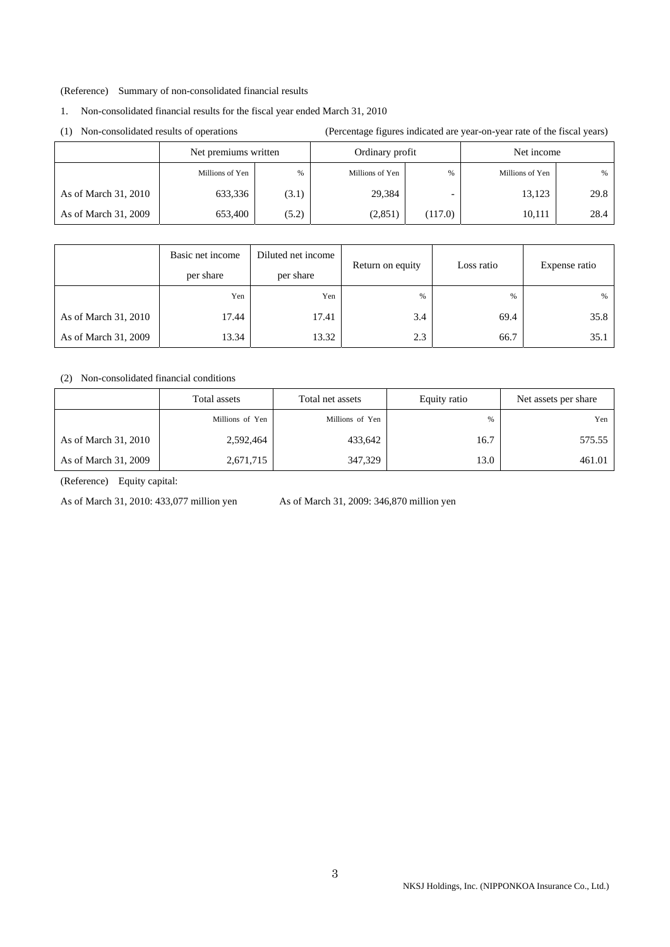#### (Reference) Summary of non-consolidated financial results

### 1. Non-consolidated financial results for the fiscal year ended March 31, 2010

(1) Non-consolidated results of operations (Percentage figures indicated are year-on-year rate of the fiscal years)

|                      | Net premiums written |       | Ordinary profit |         | Net income      |      |
|----------------------|----------------------|-------|-----------------|---------|-----------------|------|
|                      | Millions of Yen      | $\%$  | Millions of Yen | %       | Millions of Yen | %    |
| As of March 31, 2010 | 633,336              | (3.1) | 29,384          |         | 13.123          | 29.8 |
| As of March 31, 2009 | 653,400              | (5.2) | (2,851)         | (117.0) | 10.111          | 28.4 |

|                      | Basic net income<br>per share | Diluted net income<br>per share | Return on equity | Loss ratio | Expense ratio |
|----------------------|-------------------------------|---------------------------------|------------------|------------|---------------|
|                      | Yen                           | Yen                             | $\frac{0}{0}$    | $\%$       | %             |
| As of March 31, 2010 | 17.44                         | 17.41                           | 3.4              | 69.4       | 35.8          |
| As of March 31, 2009 | 13.34                         | 13.32                           | 2.3              | 66.7       | 35.1          |

### (2) Non-consolidated financial conditions

|                      | Total assets    | Total net assets | Equity ratio | Net assets per share |
|----------------------|-----------------|------------------|--------------|----------------------|
|                      | Millions of Yen | Millions of Yen  | %            | Yen                  |
| As of March 31, 2010 | 2,592,464       | 433,642          | 16.7         | 575.55               |
| As of March 31, 2009 | 2,671,715       | 347,329          | 13.0         | 461.01               |

(Reference) Equity capital:

As of March 31, 2010: 433,077 million yen As of March 31, 2009: 346,870 million yen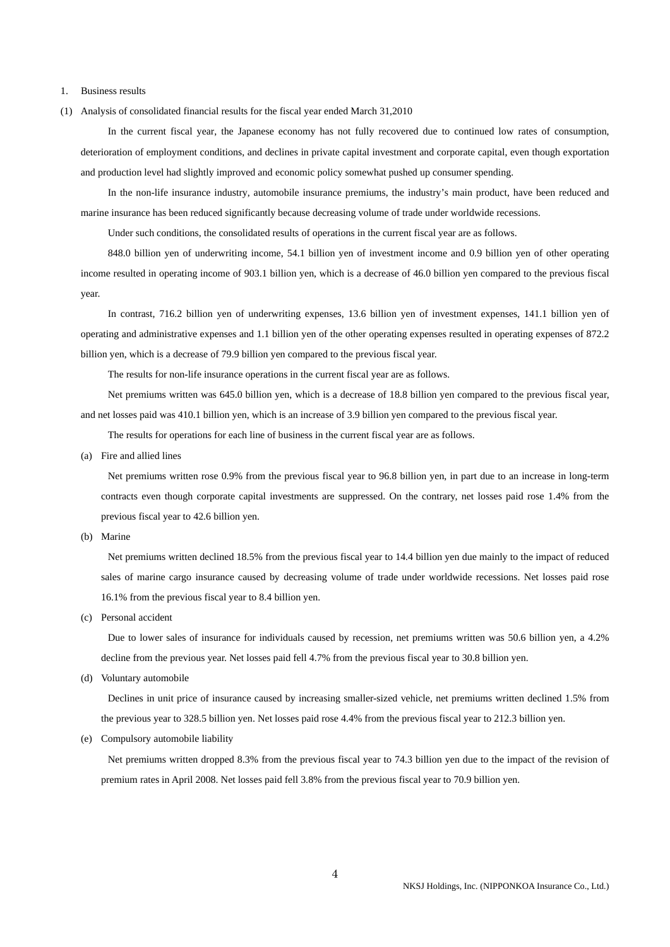#### 1. Business results

(1) Analysis of consolidated financial results for the fiscal year ended March 31,2010

 In the current fiscal year, the Japanese economy has not fully recovered due to continued low rates of consumption, deterioration of employment conditions, and declines in private capital investment and corporate capital, even though exportation and production level had slightly improved and economic policy somewhat pushed up consumer spending.

 In the non-life insurance industry, automobile insurance premiums, the industry's main product, have been reduced and marine insurance has been reduced significantly because decreasing volume of trade under worldwide recessions.

Under such conditions, the consolidated results of operations in the current fiscal year are as follows.

 848.0 billion yen of underwriting income, 54.1 billion yen of investment income and 0.9 billion yen of other operating income resulted in operating income of 903.1 billion yen, which is a decrease of 46.0 billion yen compared to the previous fiscal year.

 In contrast, 716.2 billion yen of underwriting expenses, 13.6 billion yen of investment expenses, 141.1 billion yen of operating and administrative expenses and 1.1 billion yen of the other operating expenses resulted in operating expenses of 872.2 billion yen, which is a decrease of 79.9 billion yen compared to the previous fiscal year.

The results for non-life insurance operations in the current fiscal year are as follows.

 Net premiums written was 645.0 billion yen, which is a decrease of 18.8 billion yen compared to the previous fiscal year, and net losses paid was 410.1 billion yen, which is an increase of 3.9 billion yen compared to the previous fiscal year.

The results for operations for each line of business in the current fiscal year are as follows.

(a) Fire and allied lines

 Net premiums written rose 0.9% from the previous fiscal year to 96.8 billion yen, in part due to an increase in long-term contracts even though corporate capital investments are suppressed. On the contrary, net losses paid rose 1.4% from the previous fiscal year to 42.6 billion yen.

(b) Marine

 Net premiums written declined 18.5% from the previous fiscal year to 14.4 billion yen due mainly to the impact of reduced sales of marine cargo insurance caused by decreasing volume of trade under worldwide recessions. Net losses paid rose 16.1% from the previous fiscal year to 8.4 billion yen.

(c) Personal accident

 Due to lower sales of insurance for individuals caused by recession, net premiums written was 50.6 billion yen, a 4.2% decline from the previous year. Net losses paid fell 4.7% from the previous fiscal year to 30.8 billion yen.

(d) Voluntary automobile

 Declines in unit price of insurance caused by increasing smaller-sized vehicle, net premiums written declined 1.5% from the previous year to 328.5 billion yen. Net losses paid rose 4.4% from the previous fiscal year to 212.3 billion yen.

(e) Compulsory automobile liability

 Net premiums written dropped 8.3% from the previous fiscal year to 74.3 billion yen due to the impact of the revision of premium rates in April 2008. Net losses paid fell 3.8% from the previous fiscal year to 70.9 billion yen.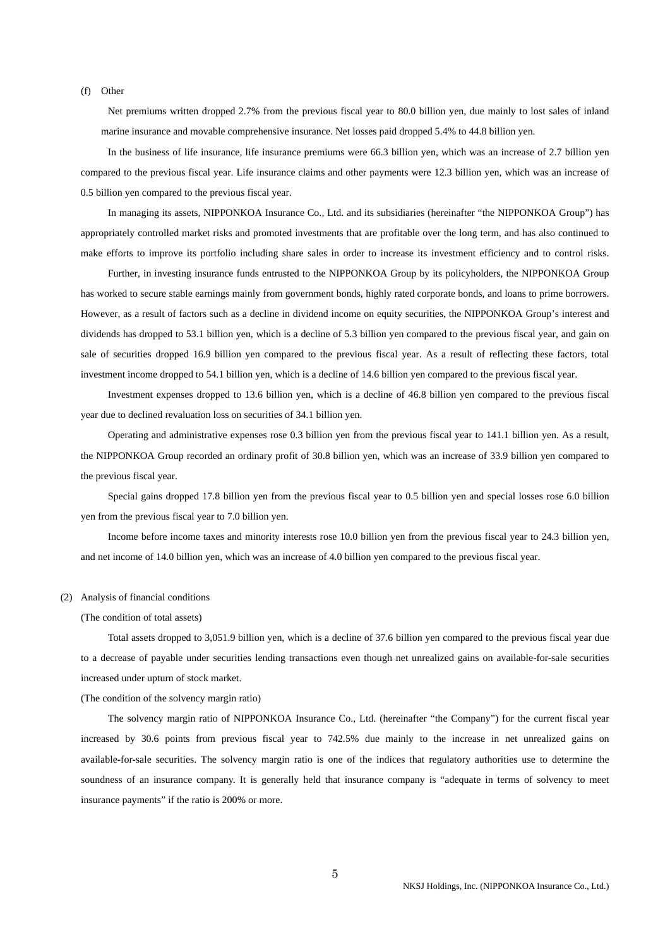(f) Other

 Net premiums written dropped 2.7% from the previous fiscal year to 80.0 billion yen, due mainly to lost sales of inland marine insurance and movable comprehensive insurance. Net losses paid dropped 5.4% to 44.8 billion yen.

 In the business of life insurance, life insurance premiums were 66.3 billion yen, which was an increase of 2.7 billion yen compared to the previous fiscal year. Life insurance claims and other payments were 12.3 billion yen, which was an increase of 0.5 billion yen compared to the previous fiscal year.

 In managing its assets, NIPPONKOA Insurance Co., Ltd. and its subsidiaries (hereinafter "the NIPPONKOA Group") has appropriately controlled market risks and promoted investments that are profitable over the long term, and has also continued to make efforts to improve its portfolio including share sales in order to increase its investment efficiency and to control risks.

 Further, in investing insurance funds entrusted to the NIPPONKOA Group by its policyholders, the NIPPONKOA Group has worked to secure stable earnings mainly from government bonds, highly rated corporate bonds, and loans to prime borrowers. However, as a result of factors such as a decline in dividend income on equity securities, the NIPPONKOA Group's interest and dividends has dropped to 53.1 billion yen, which is a decline of 5.3 billion yen compared to the previous fiscal year, and gain on sale of securities dropped 16.9 billion yen compared to the previous fiscal year. As a result of reflecting these factors, total investment income dropped to 54.1 billion yen, which is a decline of 14.6 billion yen compared to the previous fiscal year.

 Investment expenses dropped to 13.6 billion yen, which is a decline of 46.8 billion yen compared to the previous fiscal year due to declined revaluation loss on securities of 34.1 billion yen.

 Operating and administrative expenses rose 0.3 billion yen from the previous fiscal year to 141.1 billion yen. As a result, the NIPPONKOA Group recorded an ordinary profit of 30.8 billion yen, which was an increase of 33.9 billion yen compared to the previous fiscal year.

 Special gains dropped 17.8 billion yen from the previous fiscal year to 0.5 billion yen and special losses rose 6.0 billion yen from the previous fiscal year to 7.0 billion yen.

 Income before income taxes and minority interests rose 10.0 billion yen from the previous fiscal year to 24.3 billion yen, and net income of 14.0 billion yen, which was an increase of 4.0 billion yen compared to the previous fiscal year.

#### (2) Analysis of financial conditions

#### (The condition of total assets)

 Total assets dropped to 3,051.9 billion yen, which is a decline of 37.6 billion yen compared to the previous fiscal year due to a decrease of payable under securities lending transactions even though net unrealized gains on available-for-sale securities increased under upturn of stock market.

#### (The condition of the solvency margin ratio)

 The solvency margin ratio of NIPPONKOA Insurance Co., Ltd. (hereinafter "the Company") for the current fiscal year increased by 30.6 points from previous fiscal year to 742.5% due mainly to the increase in net unrealized gains on available-for-sale securities. The solvency margin ratio is one of the indices that regulatory authorities use to determine the soundness of an insurance company. It is generally held that insurance company is "adequate in terms of solvency to meet insurance payments" if the ratio is 200% or more.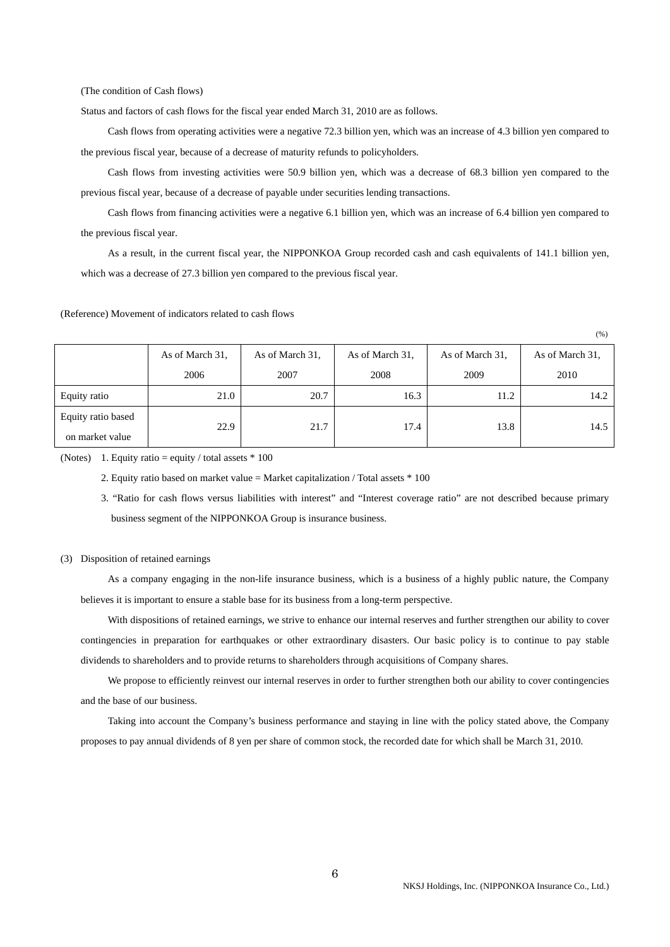(The condition of Cash flows)

Status and factors of cash flows for the fiscal year ended March 31, 2010 are as follows.

 Cash flows from operating activities were a negative 72.3 billion yen, which was an increase of 4.3 billion yen compared to the previous fiscal year, because of a decrease of maturity refunds to policyholders.

 Cash flows from investing activities were 50.9 billion yen, which was a decrease of 68.3 billion yen compared to the previous fiscal year, because of a decrease of payable under securities lending transactions.

 Cash flows from financing activities were a negative 6.1 billion yen, which was an increase of 6.4 billion yen compared to the previous fiscal year.

 As a result, in the current fiscal year, the NIPPONKOA Group recorded cash and cash equivalents of 141.1 billion yen, which was a decrease of 27.3 billion yen compared to the previous fiscal year.

(Reference) Movement of indicators related to cash flows

|                                       | As of March 31,<br>2006 | As of March 31,<br>2007 | As of March 31,<br>2008 | As of March 31,<br>2009 | As of March 31,<br>2010 |
|---------------------------------------|-------------------------|-------------------------|-------------------------|-------------------------|-------------------------|
| Equity ratio                          | 21.0                    | 20.7                    | 16.3                    | 11.2                    | 14.2                    |
| Equity ratio based<br>on market value | 22.9                    | 21.7                    | 17.4                    | 13.8                    | 14.5                    |

(%)

(Notes) 1. Equity ratio = equity / total assets  $*$  100

2. Equity ratio based on market value = Market capitalization / Total assets \* 100

 3. "Ratio for cash flows versus liabilities with interest" and "Interest coverage ratio" are not described because primary business segment of the NIPPONKOA Group is insurance business.

#### (3) Disposition of retained earnings

 As a company engaging in the non-life insurance business, which is a business of a highly public nature, the Company believes it is important to ensure a stable base for its business from a long-term perspective.

 With dispositions of retained earnings, we strive to enhance our internal reserves and further strengthen our ability to cover contingencies in preparation for earthquakes or other extraordinary disasters. Our basic policy is to continue to pay stable dividends to shareholders and to provide returns to shareholders through acquisitions of Company shares.

 We propose to efficiently reinvest our internal reserves in order to further strengthen both our ability to cover contingencies and the base of our business.

 Taking into account the Company's business performance and staying in line with the policy stated above, the Company proposes to pay annual dividends of 8 yen per share of common stock, the recorded date for which shall be March 31, 2010.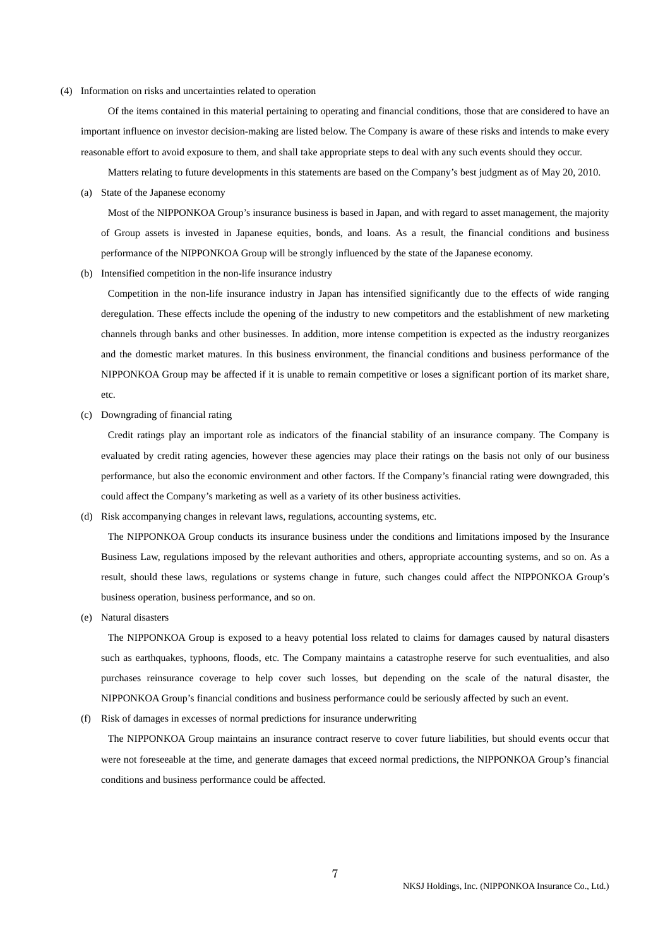#### (4) Information on risks and uncertainties related to operation

 Of the items contained in this material pertaining to operating and financial conditions, those that are considered to have an important influence on investor decision-making are listed below. The Company is aware of these risks and intends to make every reasonable effort to avoid exposure to them, and shall take appropriate steps to deal with any such events should they occur.

Matters relating to future developments in this statements are based on the Company's best judgment as of May 20, 2010.

(a) State of the Japanese economy

 Most of the NIPPONKOA Group's insurance business is based in Japan, and with regard to asset management, the majority of Group assets is invested in Japanese equities, bonds, and loans. As a result, the financial conditions and business performance of the NIPPONKOA Group will be strongly influenced by the state of the Japanese economy.

(b) Intensified competition in the non-life insurance industry

 Competition in the non-life insurance industry in Japan has intensified significantly due to the effects of wide ranging deregulation. These effects include the opening of the industry to new competitors and the establishment of new marketing channels through banks and other businesses. In addition, more intense competition is expected as the industry reorganizes and the domestic market matures. In this business environment, the financial conditions and business performance of the NIPPONKOA Group may be affected if it is unable to remain competitive or loses a significant portion of its market share, etc.

(c) Downgrading of financial rating

 Credit ratings play an important role as indicators of the financial stability of an insurance company. The Company is evaluated by credit rating agencies, however these agencies may place their ratings on the basis not only of our business performance, but also the economic environment and other factors. If the Company's financial rating were downgraded, this could affect the Company's marketing as well as a variety of its other business activities.

(d) Risk accompanying changes in relevant laws, regulations, accounting systems, etc.

 The NIPPONKOA Group conducts its insurance business under the conditions and limitations imposed by the Insurance Business Law, regulations imposed by the relevant authorities and others, appropriate accounting systems, and so on. As a result, should these laws, regulations or systems change in future, such changes could affect the NIPPONKOA Group's business operation, business performance, and so on.

(e) Natural disasters

 The NIPPONKOA Group is exposed to a heavy potential loss related to claims for damages caused by natural disasters such as earthquakes, typhoons, floods, etc. The Company maintains a catastrophe reserve for such eventualities, and also purchases reinsurance coverage to help cover such losses, but depending on the scale of the natural disaster, the NIPPONKOA Group's financial conditions and business performance could be seriously affected by such an event.

(f) Risk of damages in excesses of normal predictions for insurance underwriting

 The NIPPONKOA Group maintains an insurance contract reserve to cover future liabilities, but should events occur that were not foreseeable at the time, and generate damages that exceed normal predictions, the NIPPONKOA Group's financial conditions and business performance could be affected.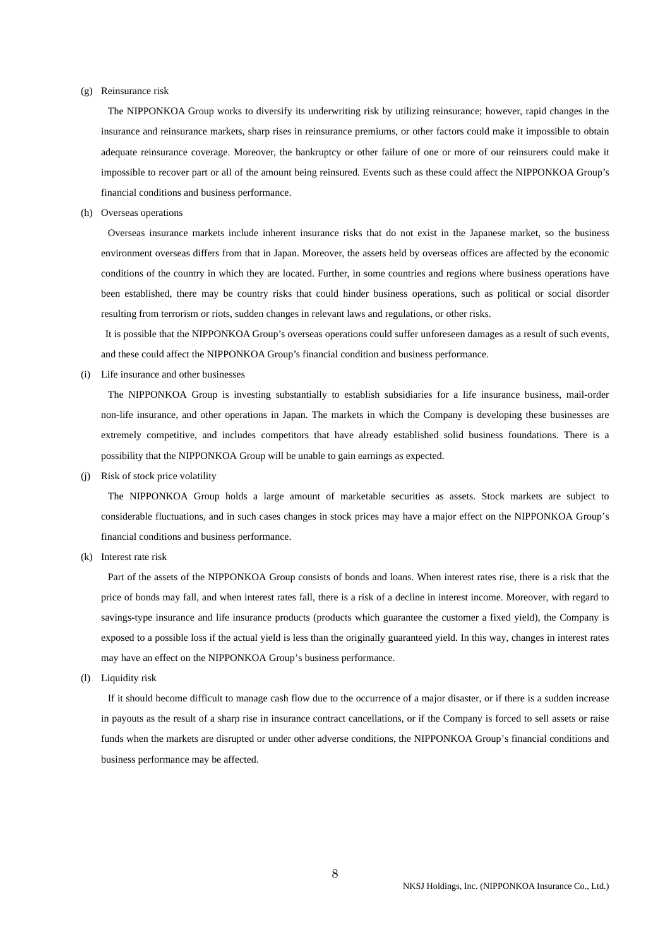#### (g) Reinsurance risk

 The NIPPONKOA Group works to diversify its underwriting risk by utilizing reinsurance; however, rapid changes in the insurance and reinsurance markets, sharp rises in reinsurance premiums, or other factors could make it impossible to obtain adequate reinsurance coverage. Moreover, the bankruptcy or other failure of one or more of our reinsurers could make it impossible to recover part or all of the amount being reinsured. Events such as these could affect the NIPPONKOA Group's financial conditions and business performance.

(h) Overseas operations

 Overseas insurance markets include inherent insurance risks that do not exist in the Japanese market, so the business environment overseas differs from that in Japan. Moreover, the assets held by overseas offices are affected by the economic conditions of the country in which they are located. Further, in some countries and regions where business operations have been established, there may be country risks that could hinder business operations, such as political or social disorder resulting from terrorism or riots, sudden changes in relevant laws and regulations, or other risks.

 It is possible that the NIPPONKOA Group's overseas operations could suffer unforeseen damages as a result of such events, and these could affect the NIPPONKOA Group's financial condition and business performance.

(i) Life insurance and other businesses

 The NIPPONKOA Group is investing substantially to establish subsidiaries for a life insurance business, mail-order non-life insurance, and other operations in Japan. The markets in which the Company is developing these businesses are extremely competitive, and includes competitors that have already established solid business foundations. There is a possibility that the NIPPONKOA Group will be unable to gain earnings as expected.

(j) Risk of stock price volatility

 The NIPPONKOA Group holds a large amount of marketable securities as assets. Stock markets are subject to considerable fluctuations, and in such cases changes in stock prices may have a major effect on the NIPPONKOA Group's financial conditions and business performance.

(k) Interest rate risk

 Part of the assets of the NIPPONKOA Group consists of bonds and loans. When interest rates rise, there is a risk that the price of bonds may fall, and when interest rates fall, there is a risk of a decline in interest income. Moreover, with regard to savings-type insurance and life insurance products (products which guarantee the customer a fixed yield), the Company is exposed to a possible loss if the actual yield is less than the originally guaranteed yield. In this way, changes in interest rates may have an effect on the NIPPONKOA Group's business performance.

(l) Liquidity risk

 If it should become difficult to manage cash flow due to the occurrence of a major disaster, or if there is a sudden increase in payouts as the result of a sharp rise in insurance contract cancellations, or if the Company is forced to sell assets or raise funds when the markets are disrupted or under other adverse conditions, the NIPPONKOA Group's financial conditions and business performance may be affected.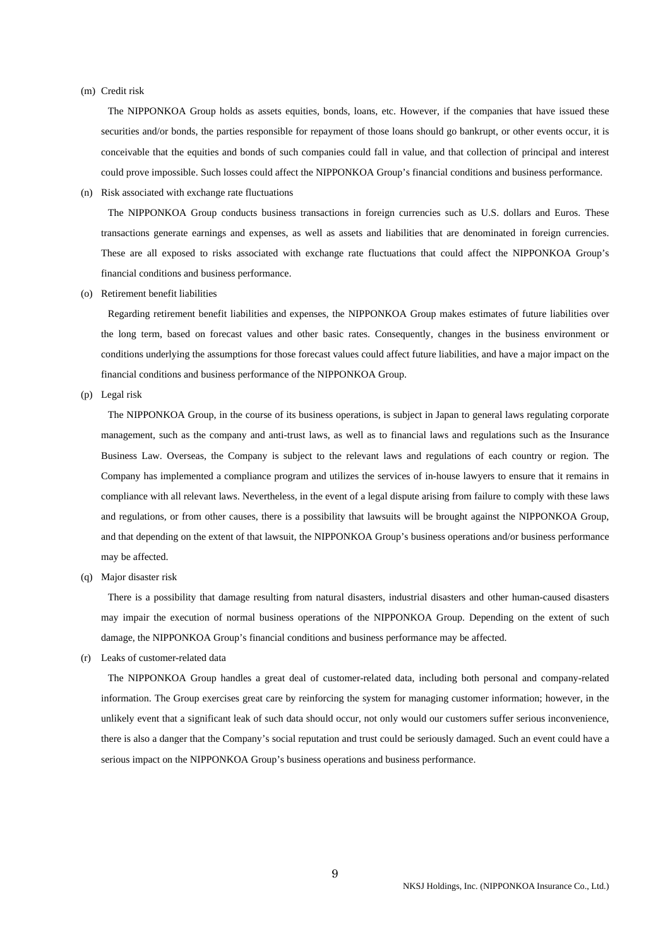#### (m) Credit risk

 The NIPPONKOA Group holds as assets equities, bonds, loans, etc. However, if the companies that have issued these securities and/or bonds, the parties responsible for repayment of those loans should go bankrupt, or other events occur, it is conceivable that the equities and bonds of such companies could fall in value, and that collection of principal and interest could prove impossible. Such losses could affect the NIPPONKOA Group's financial conditions and business performance.

(n) Risk associated with exchange rate fluctuations

 The NIPPONKOA Group conducts business transactions in foreign currencies such as U.S. dollars and Euros. These transactions generate earnings and expenses, as well as assets and liabilities that are denominated in foreign currencies. These are all exposed to risks associated with exchange rate fluctuations that could affect the NIPPONKOA Group's financial conditions and business performance.

(o) Retirement benefit liabilities

 Regarding retirement benefit liabilities and expenses, the NIPPONKOA Group makes estimates of future liabilities over the long term, based on forecast values and other basic rates. Consequently, changes in the business environment or conditions underlying the assumptions for those forecast values could affect future liabilities, and have a major impact on the financial conditions and business performance of the NIPPONKOA Group.

(p) Legal risk

 The NIPPONKOA Group, in the course of its business operations, is subject in Japan to general laws regulating corporate management, such as the company and anti-trust laws, as well as to financial laws and regulations such as the Insurance Business Law. Overseas, the Company is subject to the relevant laws and regulations of each country or region. The Company has implemented a compliance program and utilizes the services of in-house lawyers to ensure that it remains in compliance with all relevant laws. Nevertheless, in the event of a legal dispute arising from failure to comply with these laws and regulations, or from other causes, there is a possibility that lawsuits will be brought against the NIPPONKOA Group, and that depending on the extent of that lawsuit, the NIPPONKOA Group's business operations and/or business performance may be affected.

(q) Major disaster risk

 There is a possibility that damage resulting from natural disasters, industrial disasters and other human-caused disasters may impair the execution of normal business operations of the NIPPONKOA Group. Depending on the extent of such damage, the NIPPONKOA Group's financial conditions and business performance may be affected.

(r) Leaks of customer-related data

 The NIPPONKOA Group handles a great deal of customer-related data, including both personal and company-related information. The Group exercises great care by reinforcing the system for managing customer information; however, in the unlikely event that a significant leak of such data should occur, not only would our customers suffer serious inconvenience, there is also a danger that the Company's social reputation and trust could be seriously damaged. Such an event could have a serious impact on the NIPPONKOA Group's business operations and business performance.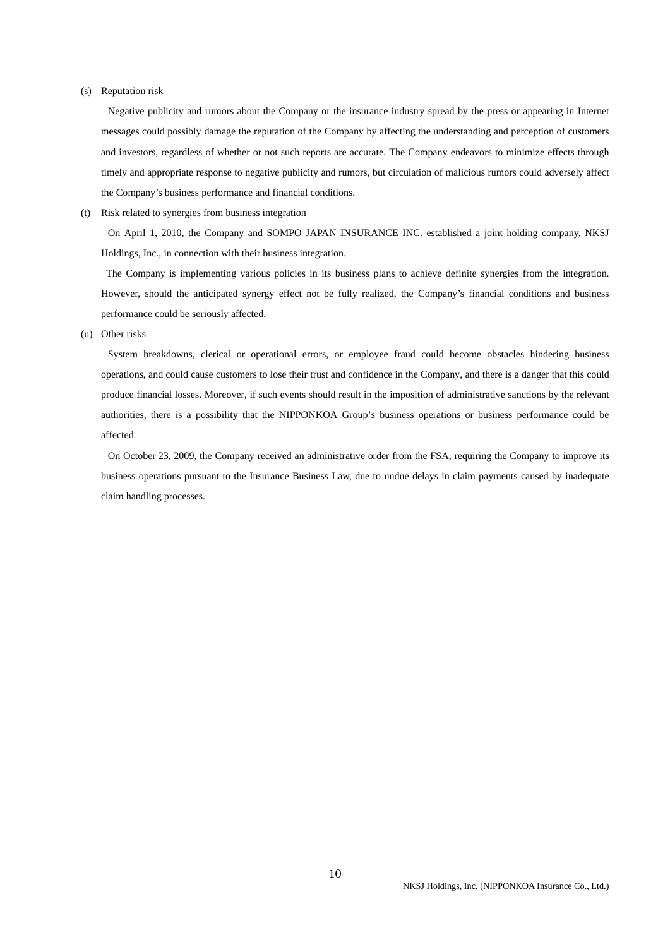#### (s) Reputation risk

Negative publicity and rumors about the Company or the insurance industry spread by the press or appearing in Internet messages could possibly damage the reputation of the Company by affecting the understanding and perception of customers and investors, regardless of whether or not such reports are accurate. The Company endeavors to minimize effects through timely and appropriate response to negative publicity and rumors, but circulation of malicious rumors could adversely affect the Company's business performance and financial conditions.

(t) Risk related to synergies from business integration

 On April 1, 2010, the Company and SOMPO JAPAN INSURANCE INC. established a joint holding company, NKSJ Holdings, Inc., in connection with their business integration.

 The Company is implementing various policies in its business plans to achieve definite synergies from the integration. However, should the anticipated synergy effect not be fully realized, the Company's financial conditions and business performance could be seriously affected.

(u) Other risks

 System breakdowns, clerical or operational errors, or employee fraud could become obstacles hindering business operations, and could cause customers to lose their trust and confidence in the Company, and there is a danger that this could produce financial losses. Moreover, if such events should result in the imposition of administrative sanctions by the relevant authorities, there is a possibility that the NIPPONKOA Group's business operations or business performance could be affected.

 On October 23, 2009, the Company received an administrative order from the FSA, requiring the Company to improve its business operations pursuant to the Insurance Business Law, due to undue delays in claim payments caused by inadequate claim handling processes.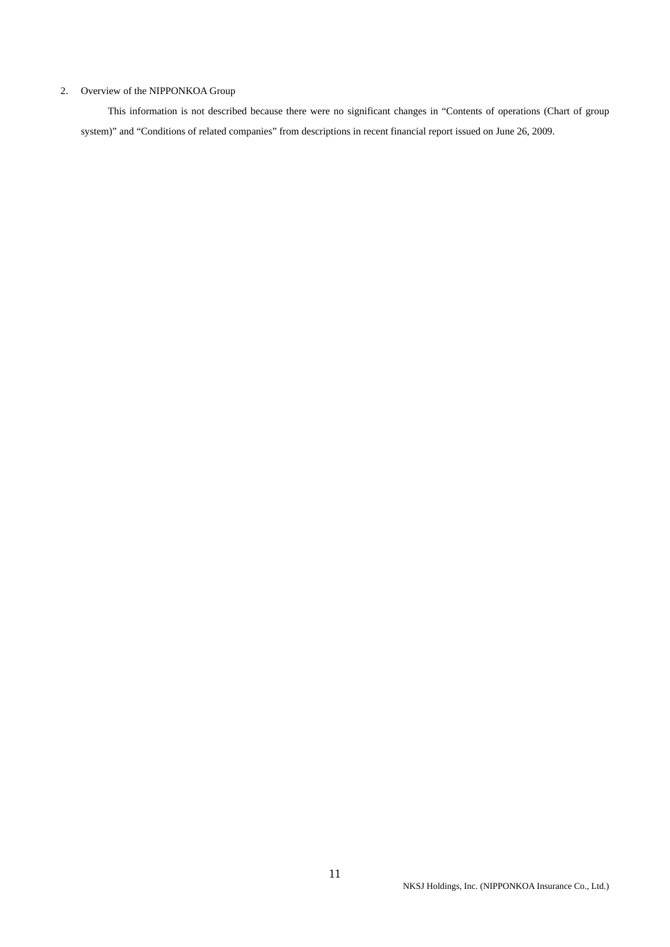### 2. Overview of the NIPPONKOA Group

 This information is not described because there were no significant changes in "Contents of operations (Chart of group system)" and "Conditions of related companies" from descriptions in recent financial report issued on June 26, 2009.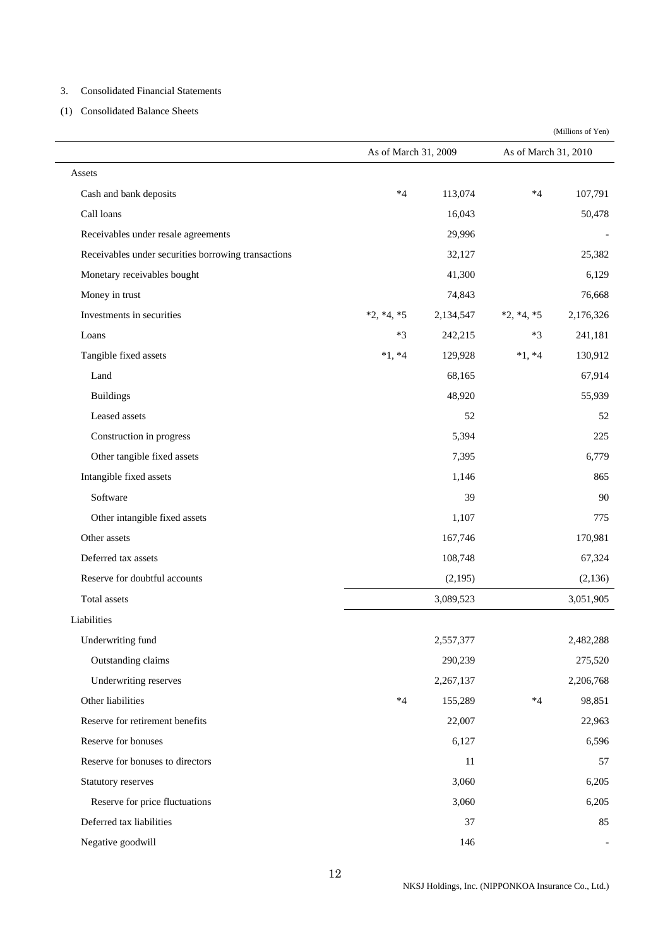#### 3. Consolidated Financial Statements

(1) Consolidated Balance Sheets

|                                                     | As of March 31, 2009 |           | As of March 31, 2010 |           |
|-----------------------------------------------------|----------------------|-----------|----------------------|-----------|
| Assets                                              |                      |           |                      |           |
| Cash and bank deposits                              | $*4$                 | 113,074   | $*4$                 | 107,791   |
| Call loans                                          |                      | 16,043    |                      | 50,478    |
| Receivables under resale agreements                 |                      | 29,996    |                      |           |
| Receivables under securities borrowing transactions |                      | 32,127    |                      | 25,382    |
| Monetary receivables bought                         |                      | 41,300    |                      | 6,129     |
| Money in trust                                      |                      | 74,843    |                      | 76,668    |
| Investments in securities                           | $*2, *4, *5$         | 2,134,547 | $*2, *4, *5$         | 2,176,326 |
| Loans                                               | $*3$                 | 242,215   | $*3$                 | 241,181   |
| Tangible fixed assets                               | $*1, *4$             | 129,928   | $*1, *4$             | 130,912   |
| Land                                                |                      | 68,165    |                      | 67,914    |
| <b>Buildings</b>                                    |                      | 48,920    |                      | 55,939    |
| Leased assets                                       |                      | 52        |                      | 52        |
| Construction in progress                            |                      | 5,394     |                      | 225       |
| Other tangible fixed assets                         |                      | 7,395     |                      | 6,779     |
| Intangible fixed assets                             |                      | 1,146     |                      | 865       |
| Software                                            |                      | 39        |                      | 90        |
| Other intangible fixed assets                       |                      | 1,107     |                      | 775       |
| Other assets                                        |                      | 167,746   |                      | 170,981   |
| Deferred tax assets                                 |                      | 108,748   |                      | 67,324    |
| Reserve for doubtful accounts                       |                      | (2,195)   |                      | (2, 136)  |
| Total assets                                        |                      | 3,089,523 |                      | 3,051,905 |
| Liabilities                                         |                      |           |                      |           |
| Underwriting fund                                   |                      | 2,557,377 |                      | 2,482,288 |
| Outstanding claims                                  |                      | 290,239   |                      | 275,520   |
| Underwriting reserves                               |                      | 2,267,137 |                      | 2,206,768 |
| Other liabilities                                   | $*4$                 | 155,289   | $*4$                 | 98,851    |
| Reserve for retirement benefits                     |                      | 22,007    |                      | 22,963    |
| Reserve for bonuses                                 |                      | 6,127     |                      | 6,596     |
| Reserve for bonuses to directors                    |                      | 11        |                      | 57        |
| Statutory reserves                                  |                      | 3,060     |                      | 6,205     |
| Reserve for price fluctuations                      |                      | 3,060     |                      | 6,205     |
| Deferred tax liabilities                            |                      | 37        |                      | 85        |
| Negative goodwill                                   |                      | 146       |                      |           |

(Millions of Yen)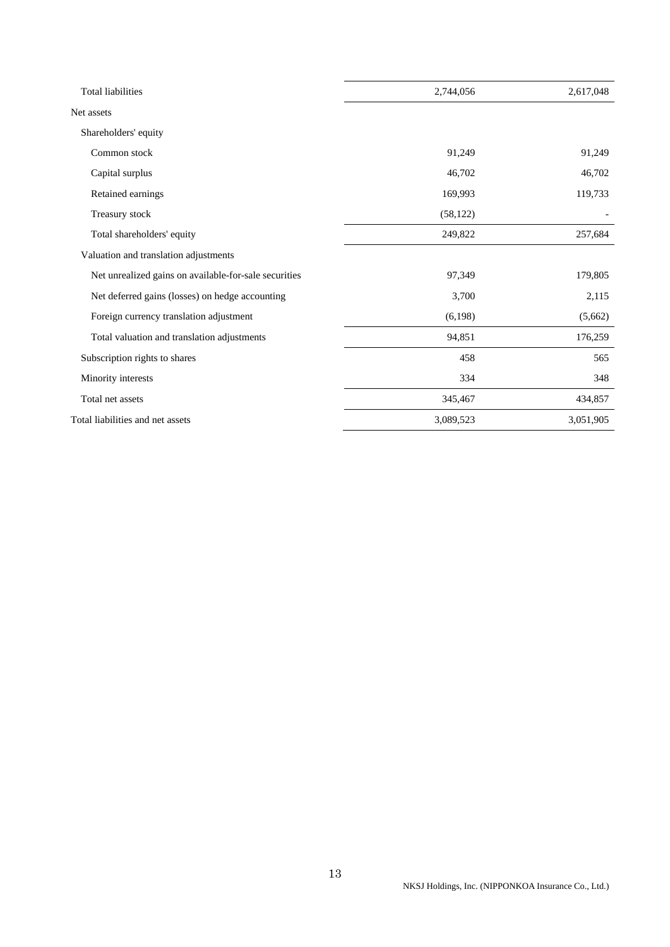| <b>Total liabilities</b>                              | 2,744,056 | 2,617,048 |
|-------------------------------------------------------|-----------|-----------|
| Net assets                                            |           |           |
| Shareholders' equity                                  |           |           |
| Common stock                                          | 91,249    | 91,249    |
| Capital surplus                                       | 46,702    | 46,702    |
| Retained earnings                                     | 169,993   | 119,733   |
| Treasury stock                                        | (58, 122) |           |
| Total shareholders' equity                            | 249,822   | 257,684   |
| Valuation and translation adjustments                 |           |           |
| Net unrealized gains on available-for-sale securities | 97,349    | 179,805   |
| Net deferred gains (losses) on hedge accounting       | 3,700     | 2,115     |
| Foreign currency translation adjustment               | (6,198)   | (5,662)   |
| Total valuation and translation adjustments           | 94,851    | 176,259   |
| Subscription rights to shares                         | 458       | 565       |
| Minority interests                                    | 334       | 348       |
| Total net assets                                      | 345,467   | 434,857   |
| Total liabilities and net assets                      | 3,089,523 | 3,051,905 |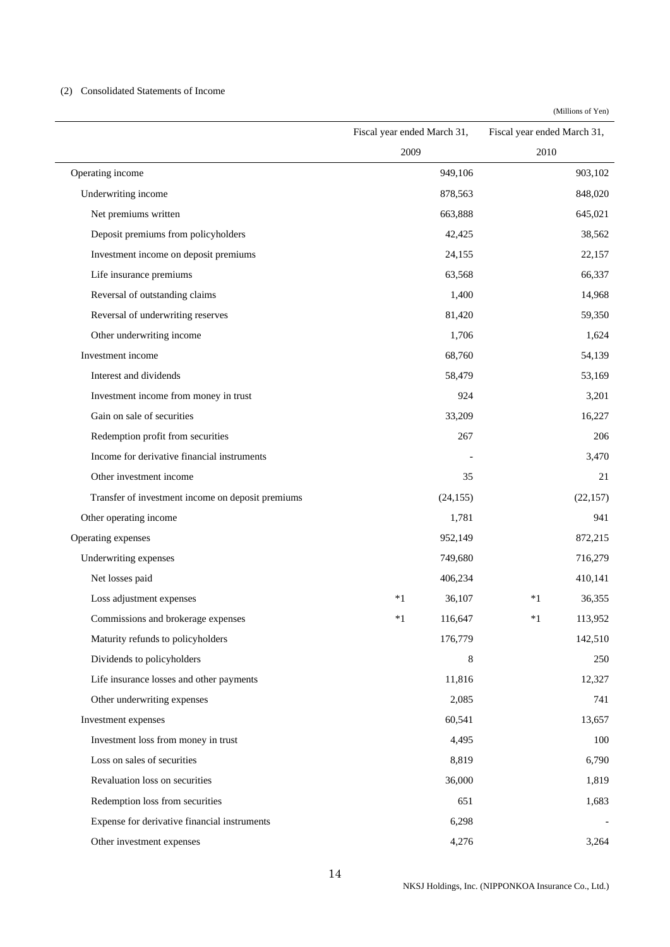### (2) Consolidated Statements of Income

(Millions of Yen)

|                                                   | Fiscal year ended March 31, |         | Fiscal year ended March 31, |           |
|---------------------------------------------------|-----------------------------|---------|-----------------------------|-----------|
|                                                   | 2009                        |         | 2010                        |           |
| Operating income                                  |                             | 949,106 |                             | 903,102   |
| Underwriting income                               |                             | 878,563 |                             | 848,020   |
| Net premiums written                              |                             | 663,888 |                             | 645,021   |
| Deposit premiums from policyholders               |                             | 42,425  |                             | 38,562    |
| Investment income on deposit premiums             |                             | 24,155  |                             | 22,157    |
| Life insurance premiums                           |                             | 63,568  |                             | 66,337    |
| Reversal of outstanding claims                    |                             | 1,400   |                             | 14,968    |
| Reversal of underwriting reserves                 |                             | 81,420  |                             | 59,350    |
| Other underwriting income                         |                             | 1,706   |                             | 1,624     |
| Investment income                                 |                             | 68,760  |                             | 54,139    |
| Interest and dividends                            |                             | 58,479  |                             | 53,169    |
| Investment income from money in trust             |                             | 924     |                             | 3,201     |
| Gain on sale of securities                        |                             | 33,209  |                             | 16,227    |
| Redemption profit from securities                 |                             | 267     |                             | 206       |
| Income for derivative financial instruments       |                             |         |                             | 3,470     |
| Other investment income                           |                             | 35      |                             | 21        |
| Transfer of investment income on deposit premiums | (24, 155)                   |         |                             | (22, 157) |
| Other operating income                            |                             | 1,781   |                             | 941       |
| Operating expenses                                |                             | 952,149 |                             | 872,215   |
| Underwriting expenses                             |                             | 749,680 |                             | 716,279   |
| Net losses paid                                   |                             | 406,234 |                             | 410,141   |
| Loss adjustment expenses                          | $*1$                        | 36,107  | $*1$                        | 36,355    |
| Commissions and brokerage expenses                | $*1$                        | 116,647 | $*1$                        | 113,952   |
| Maturity refunds to policyholders                 |                             | 176,779 |                             | 142,510   |
| Dividends to policyholders                        |                             | 8       |                             | 250       |
| Life insurance losses and other payments          |                             | 11,816  |                             | 12,327    |
| Other underwriting expenses                       |                             | 2,085   |                             | 741       |
| Investment expenses                               |                             | 60,541  |                             | 13,657    |
| Investment loss from money in trust               |                             | 4,495   |                             | 100       |
| Loss on sales of securities                       |                             | 8,819   |                             | 6,790     |
| Revaluation loss on securities                    |                             | 36,000  |                             | 1,819     |
| Redemption loss from securities                   |                             | 651     |                             | 1,683     |
| Expense for derivative financial instruments      |                             | 6,298   |                             |           |
| Other investment expenses                         |                             | 4,276   |                             | 3,264     |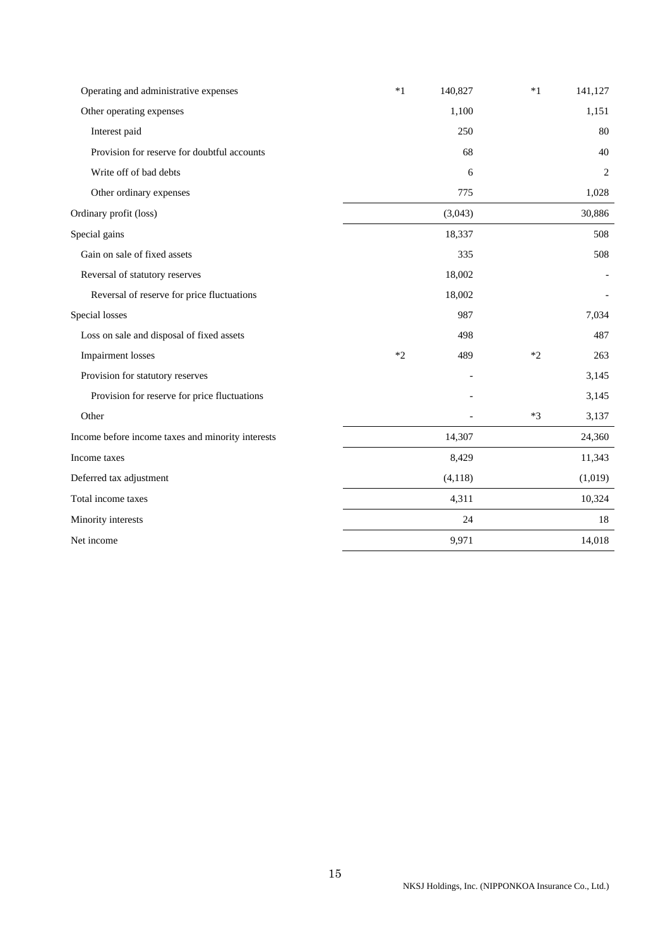| Operating and administrative expenses             | $*1$ | 140,827 | $*1$ | 141,127 |
|---------------------------------------------------|------|---------|------|---------|
| Other operating expenses                          |      | 1,100   |      | 1,151   |
| Interest paid                                     |      | 250     |      | 80      |
| Provision for reserve for doubtful accounts       |      | 68      |      | 40      |
| Write off of bad debts                            |      | 6       |      | 2       |
| Other ordinary expenses                           |      | 775     |      | 1,028   |
| Ordinary profit (loss)                            |      | (3,043) |      | 30,886  |
| Special gains                                     |      | 18,337  |      | 508     |
| Gain on sale of fixed assets                      |      | 335     |      | 508     |
| Reversal of statutory reserves                    |      | 18,002  |      |         |
| Reversal of reserve for price fluctuations        |      | 18,002  |      |         |
| Special losses                                    |      | 987     |      | 7,034   |
| Loss on sale and disposal of fixed assets         |      | 498     |      | 487     |
| <b>Impairment</b> losses                          | $*2$ | 489     | $*2$ | 263     |
| Provision for statutory reserves                  |      |         |      | 3,145   |
| Provision for reserve for price fluctuations      |      |         |      | 3,145   |
| Other                                             |      |         | $*3$ | 3,137   |
| Income before income taxes and minority interests |      | 14,307  |      | 24,360  |
| Income taxes                                      |      | 8,429   |      | 11,343  |
| Deferred tax adjustment                           |      | (4,118) |      | (1,019) |
| Total income taxes                                |      | 4,311   |      | 10,324  |
| Minority interests                                |      | 24      |      | 18      |
| Net income                                        |      | 9,971   |      | 14,018  |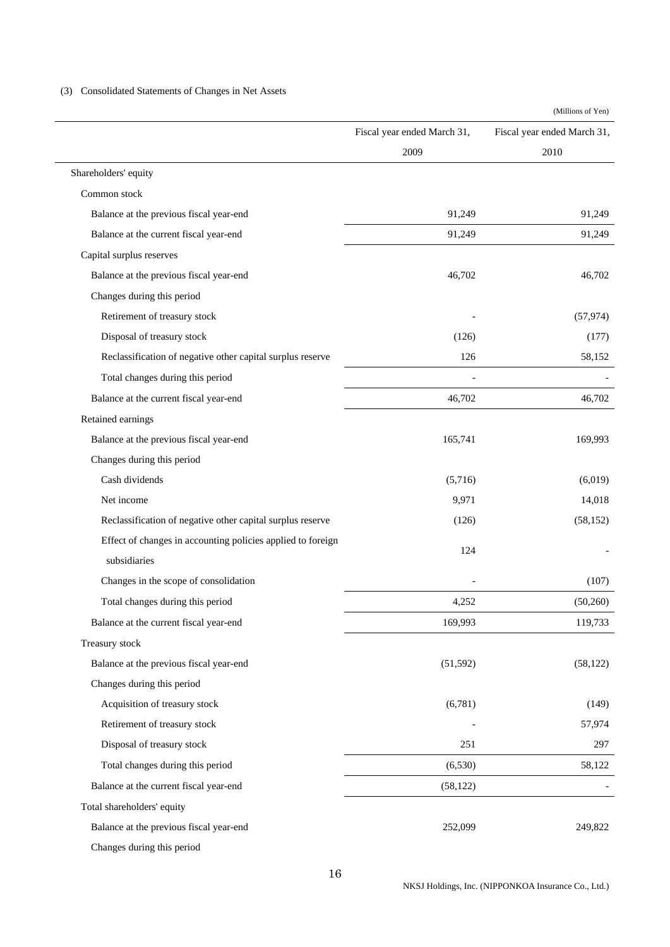# (3) Consolidated Statements of Changes in Net Assets

(Millions of Yen)

|                                                             | Fiscal year ended March 31, | Fiscal year ended March 31, |
|-------------------------------------------------------------|-----------------------------|-----------------------------|
|                                                             | 2009                        | 2010                        |
| Shareholders' equity                                        |                             |                             |
| Common stock                                                |                             |                             |
| Balance at the previous fiscal year-end                     | 91,249                      | 91,249                      |
| Balance at the current fiscal year-end                      | 91,249                      | 91,249                      |
| Capital surplus reserves                                    |                             |                             |
| Balance at the previous fiscal year-end                     | 46,702                      | 46,702                      |
| Changes during this period                                  |                             |                             |
| Retirement of treasury stock                                |                             | (57, 974)                   |
| Disposal of treasury stock                                  | (126)                       | (177)                       |
| Reclassification of negative other capital surplus reserve  | 126                         | 58,152                      |
| Total changes during this period                            |                             |                             |
| Balance at the current fiscal year-end                      | 46,702                      | 46,702                      |
| Retained earnings                                           |                             |                             |
| Balance at the previous fiscal year-end                     | 165,741                     | 169,993                     |
| Changes during this period                                  |                             |                             |
| Cash dividends                                              | (5,716)                     | (6,019)                     |
| Net income                                                  | 9,971                       | 14,018                      |
| Reclassification of negative other capital surplus reserve  | (126)                       | (58, 152)                   |
| Effect of changes in accounting policies applied to foreign | 124                         |                             |
| subsidiaries                                                |                             |                             |
| Changes in the scope of consolidation                       |                             | (107)                       |
| Total changes during this period                            | 4,252                       | (50,260)                    |
| Balance at the current fiscal year-end                      | 169,993                     | 119,733                     |
| Treasury stock                                              |                             |                             |
| Balance at the previous fiscal year-end                     | (51, 592)                   | (58, 122)                   |
| Changes during this period                                  |                             |                             |
| Acquisition of treasury stock                               | (6,781)                     | (149)                       |
| Retirement of treasury stock                                |                             | 57,974                      |
| Disposal of treasury stock                                  | 251                         | 297                         |
| Total changes during this period                            | (6,530)                     | 58,122                      |
| Balance at the current fiscal year-end                      | (58, 122)                   |                             |
| Total shareholders' equity                                  |                             |                             |
| Balance at the previous fiscal year-end                     | 252,099                     | 249,822                     |

Changes during this period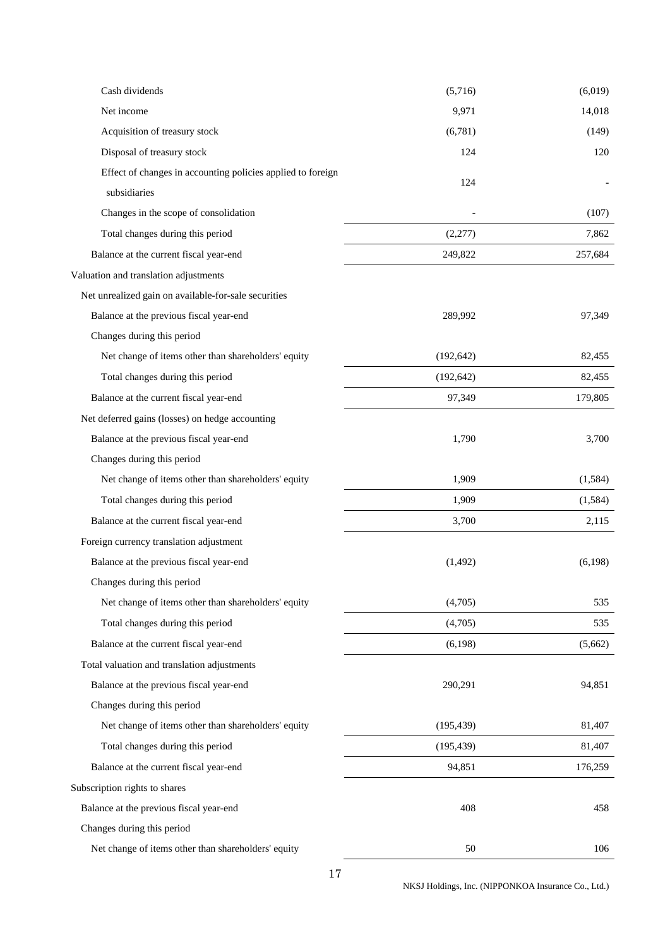| Cash dividends                                              | (5,716)    | (6,019) |
|-------------------------------------------------------------|------------|---------|
| Net income                                                  | 9,971      | 14,018  |
| Acquisition of treasury stock                               | (6,781)    | (149)   |
| Disposal of treasury stock                                  | 124        | 120     |
| Effect of changes in accounting policies applied to foreign |            |         |
| subsidiaries                                                | 124        |         |
| Changes in the scope of consolidation                       |            | (107)   |
| Total changes during this period                            | (2,277)    | 7,862   |
| Balance at the current fiscal year-end                      | 249,822    | 257,684 |
| Valuation and translation adjustments                       |            |         |
| Net unrealized gain on available-for-sale securities        |            |         |
| Balance at the previous fiscal year-end                     | 289,992    | 97,349  |
| Changes during this period                                  |            |         |
| Net change of items other than shareholders' equity         | (192, 642) | 82,455  |
| Total changes during this period                            | (192, 642) | 82,455  |
| Balance at the current fiscal year-end                      | 97,349     | 179,805 |
| Net deferred gains (losses) on hedge accounting             |            |         |
| Balance at the previous fiscal year-end                     | 1,790      | 3,700   |
| Changes during this period                                  |            |         |
| Net change of items other than shareholders' equity         | 1,909      | (1,584) |
| Total changes during this period                            | 1,909      | (1,584) |
| Balance at the current fiscal year-end                      | 3,700      | 2,115   |
| Foreign currency translation adjustment                     |            |         |
| Balance at the previous fiscal year-end                     | (1,492)    | (6,198) |
| Changes during this period                                  |            |         |
| Net change of items other than shareholders' equity         | (4,705)    | 535     |
| Total changes during this period                            | (4,705)    | 535     |
| Balance at the current fiscal year-end                      | (6,198)    | (5,662) |
| Total valuation and translation adjustments                 |            |         |
| Balance at the previous fiscal year-end                     | 290,291    | 94,851  |
| Changes during this period                                  |            |         |
| Net change of items other than shareholders' equity         | (195, 439) | 81,407  |
| Total changes during this period                            | (195, 439) | 81,407  |
| Balance at the current fiscal year-end                      | 94,851     | 176,259 |
| Subscription rights to shares                               |            |         |
| Balance at the previous fiscal year-end                     | 408        | 458     |
| Changes during this period                                  |            |         |
| Net change of items other than shareholders' equity         | 50         | 106     |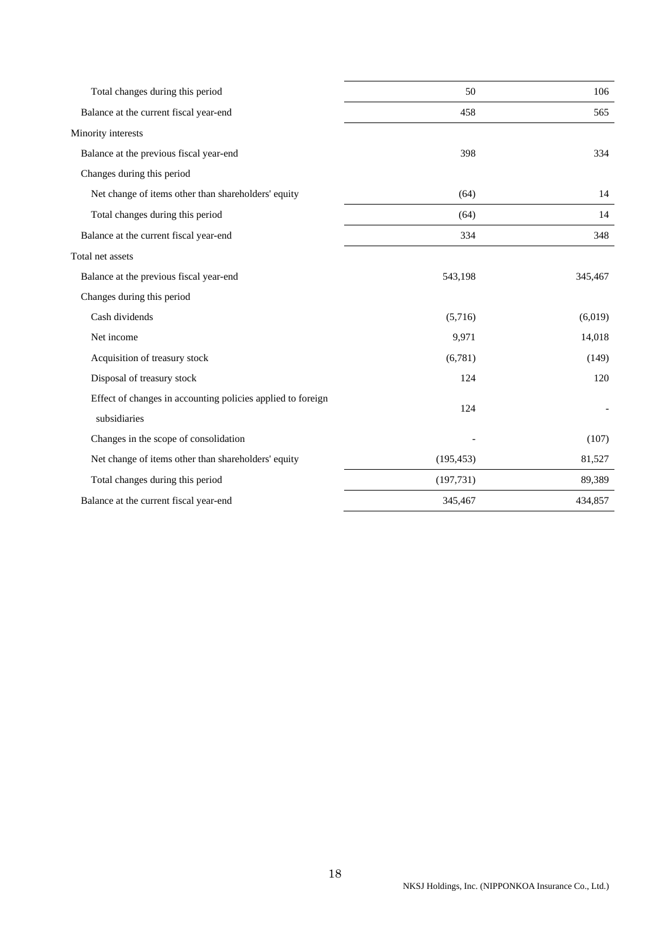| Total changes during this period                            | 50         | 106     |
|-------------------------------------------------------------|------------|---------|
| Balance at the current fiscal year-end                      | 458        | 565     |
| Minority interests                                          |            |         |
| Balance at the previous fiscal year-end                     | 398        | 334     |
| Changes during this period                                  |            |         |
| Net change of items other than shareholders' equity         | (64)       | 14      |
| Total changes during this period                            | (64)       | 14      |
| Balance at the current fiscal year-end                      | 334        | 348     |
| Total net assets                                            |            |         |
| Balance at the previous fiscal year-end                     | 543,198    | 345,467 |
| Changes during this period                                  |            |         |
| Cash dividends                                              | (5,716)    | (6,019) |
| Net income                                                  | 9,971      | 14,018  |
| Acquisition of treasury stock                               | (6,781)    | (149)   |
| Disposal of treasury stock                                  | 124        | 120     |
| Effect of changes in accounting policies applied to foreign | 124        |         |
| subsidiaries                                                |            |         |
| Changes in the scope of consolidation                       |            | (107)   |
| Net change of items other than shareholders' equity         | (195, 453) | 81,527  |
| Total changes during this period                            | (197, 731) | 89,389  |
| Balance at the current fiscal year-end                      | 345,467    | 434,857 |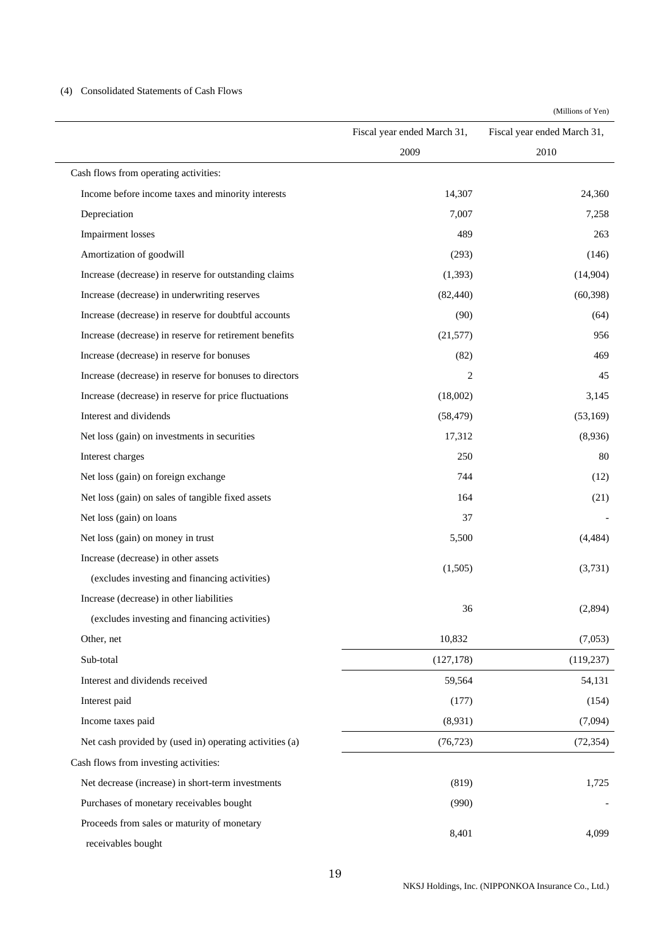### (4) Consolidated Statements of Cash Flows

(Millions of Yen)

|                                                         | Fiscal year ended March 31, | Fiscal year ended March 31, |
|---------------------------------------------------------|-----------------------------|-----------------------------|
|                                                         | 2009                        | 2010                        |
| Cash flows from operating activities:                   |                             |                             |
| Income before income taxes and minority interests       | 14,307                      | 24,360                      |
| Depreciation                                            | 7,007                       | 7,258                       |
| <b>Impairment</b> losses                                | 489                         | 263                         |
| Amortization of goodwill                                | (293)                       | (146)                       |
| Increase (decrease) in reserve for outstanding claims   | (1, 393)                    | (14,904)                    |
| Increase (decrease) in underwriting reserves            | (82, 440)                   | (60, 398)                   |
| Increase (decrease) in reserve for doubtful accounts    | (90)                        | (64)                        |
| Increase (decrease) in reserve for retirement benefits  | (21, 577)                   | 956                         |
| Increase (decrease) in reserve for bonuses              | (82)                        | 469                         |
| Increase (decrease) in reserve for bonuses to directors | 2                           | 45                          |
| Increase (decrease) in reserve for price fluctuations   | (18,002)                    | 3,145                       |
| Interest and dividends                                  | (58, 479)                   | (53,169)                    |
| Net loss (gain) on investments in securities            | 17,312                      | (8,936)                     |
| Interest charges                                        | 250                         | 80                          |
| Net loss (gain) on foreign exchange                     | 744                         | (12)                        |
| Net loss (gain) on sales of tangible fixed assets       | 164                         | (21)                        |
| Net loss (gain) on loans                                | 37                          |                             |
| Net loss (gain) on money in trust                       | 5,500                       | (4, 484)                    |
| Increase (decrease) in other assets                     |                             |                             |
| (excludes investing and financing activities)           | (1,505)                     | (3,731)                     |
| Increase (decrease) in other liabilities                |                             |                             |
| (excludes investing and financing activities)           | 36                          | (2,894)                     |
| Other, net                                              | 10,832                      | (7,053)                     |
| Sub-total                                               | (127, 178)                  | (119, 237)                  |
| Interest and dividends received                         | 59,564                      | 54,131                      |
| Interest paid                                           | (177)                       | (154)                       |
| Income taxes paid                                       | (8,931)                     | (7,094)                     |
| Net cash provided by (used in) operating activities (a) | (76, 723)                   | (72, 354)                   |
| Cash flows from investing activities:                   |                             |                             |
| Net decrease (increase) in short-term investments       | (819)                       | 1,725                       |
| Purchases of monetary receivables bought                | (990)                       |                             |
| Proceeds from sales or maturity of monetary             |                             |                             |
| receivables bought                                      | 8,401                       | 4,099                       |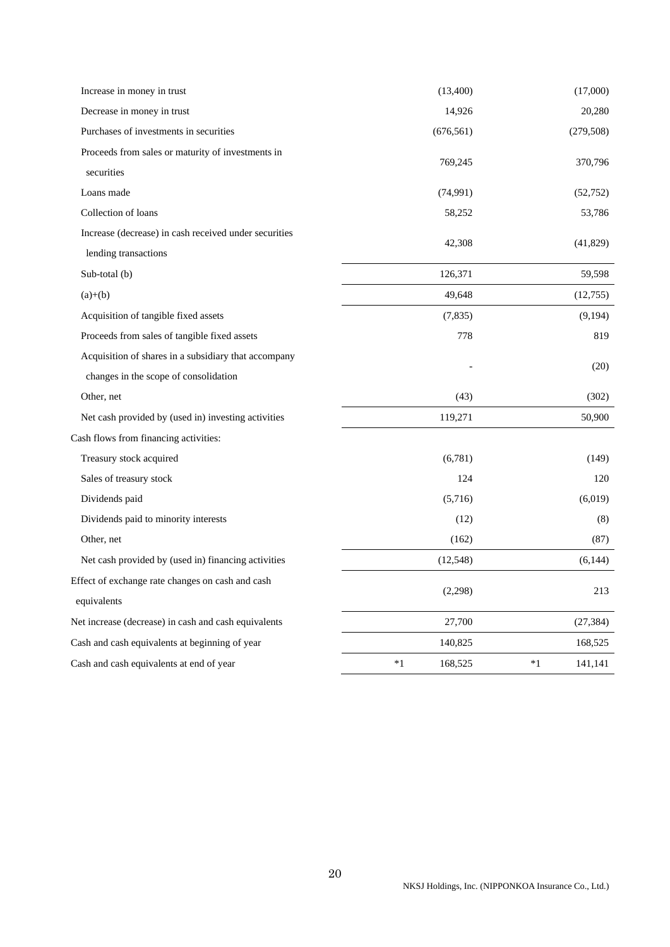| Increase in money in trust                            |      | (13,400)   |      | (17,000)   |
|-------------------------------------------------------|------|------------|------|------------|
| Decrease in money in trust                            |      | 14,926     |      | 20,280     |
| Purchases of investments in securities                |      | (676, 561) |      | (279, 508) |
| Proceeds from sales or maturity of investments in     |      |            |      |            |
| securities                                            |      | 769,245    |      | 370,796    |
| Loans made                                            |      | (74,991)   |      | (52, 752)  |
| Collection of loans                                   |      | 58,252     |      | 53,786     |
| Increase (decrease) in cash received under securities |      |            |      |            |
| lending transactions                                  |      | 42,308     |      | (41,829)   |
| Sub-total (b)                                         |      | 126,371    |      | 59,598     |
| $(a)+(b)$                                             |      | 49,648     |      | (12,755)   |
| Acquisition of tangible fixed assets                  |      | (7,835)    |      | (9,194)    |
| Proceeds from sales of tangible fixed assets          |      | 778        |      | 819        |
| Acquisition of shares in a subsidiary that accompany  |      |            |      |            |
| changes in the scope of consolidation                 |      |            |      | (20)       |
| Other, net                                            |      | (43)       |      | (302)      |
| Net cash provided by (used in) investing activities   |      | 119,271    |      | 50,900     |
| Cash flows from financing activities:                 |      |            |      |            |
| Treasury stock acquired                               |      | (6,781)    |      | (149)      |
| Sales of treasury stock                               |      | 124        |      | 120        |
| Dividends paid                                        |      | (5,716)    |      | (6,019)    |
| Dividends paid to minority interests                  |      | (12)       |      | (8)        |
| Other, net                                            |      | (162)      |      | (87)       |
| Net cash provided by (used in) financing activities   |      | (12, 548)  |      | (6,144)    |
| Effect of exchange rate changes on cash and cash      |      | (2,298)    |      | 213        |
| equivalents                                           |      |            |      |            |
| Net increase (decrease) in cash and cash equivalents  |      | 27,700     |      | (27, 384)  |
| Cash and cash equivalents at beginning of year        |      | 140,825    |      | 168,525    |
| Cash and cash equivalents at end of year              | $*1$ | 168,525    | $*1$ | 141,141    |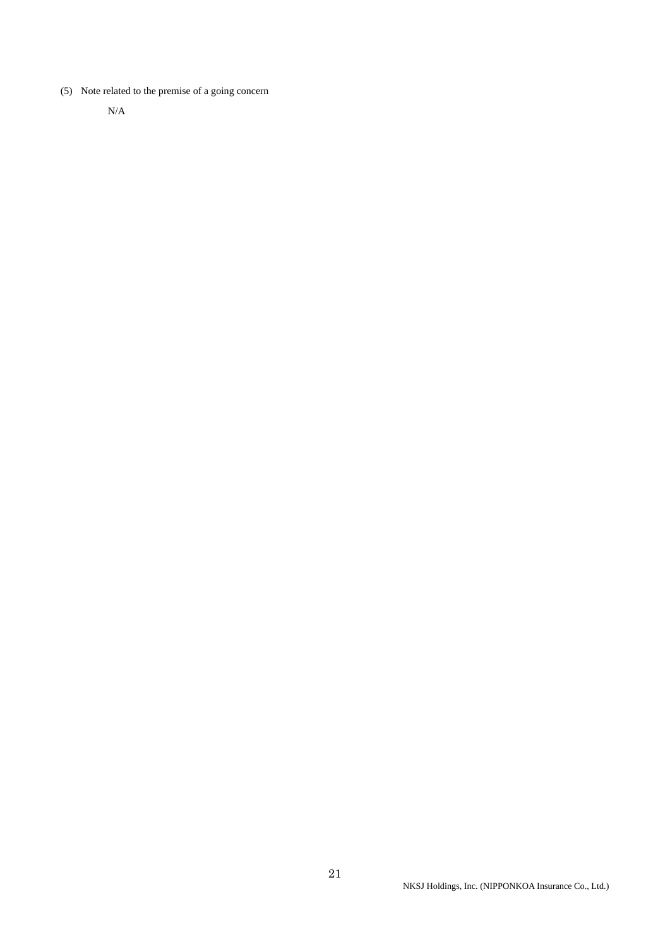(5) Note related to the premise of a going concern

N/A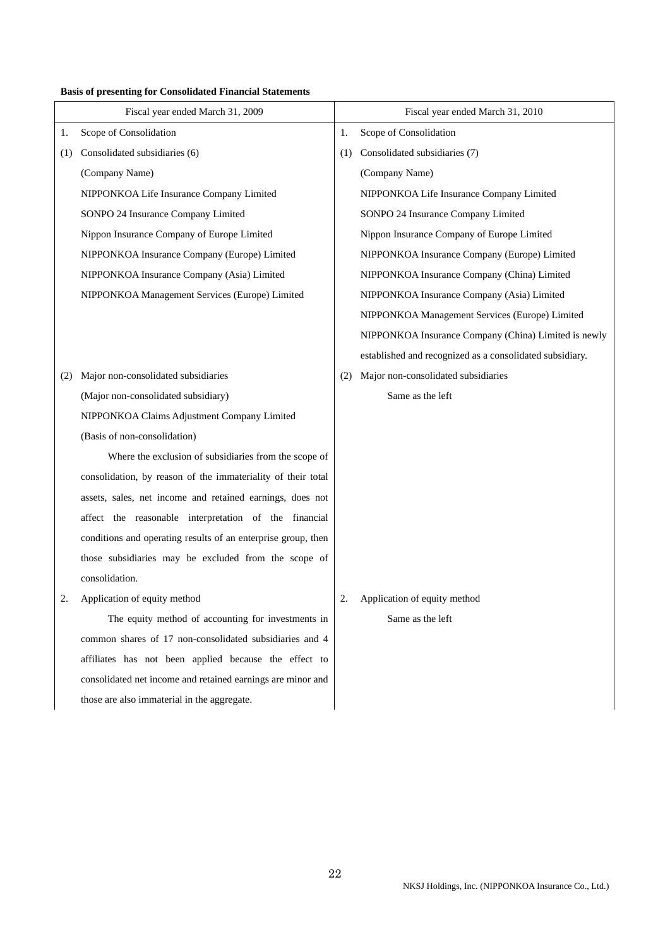# **Basis of presenting for Consolidated Financial Statements**

|     | Fiscal year ended March 31, 2009                              |     | Fiscal year ended March 31, 2010                         |
|-----|---------------------------------------------------------------|-----|----------------------------------------------------------|
| 1.  | Scope of Consolidation                                        | 1.  | Scope of Consolidation                                   |
| (1) | Consolidated subsidiaries (6)                                 | (1) | Consolidated subsidiaries (7)                            |
|     | (Company Name)                                                |     | (Company Name)                                           |
|     | NIPPONKOA Life Insurance Company Limited                      |     | NIPPONKOA Life Insurance Company Limited                 |
|     | SONPO 24 Insurance Company Limited                            |     | SONPO 24 Insurance Company Limited                       |
|     | Nippon Insurance Company of Europe Limited                    |     | Nippon Insurance Company of Europe Limited               |
|     | NIPPONKOA Insurance Company (Europe) Limited                  |     | NIPPONKOA Insurance Company (Europe) Limited             |
|     | NIPPONKOA Insurance Company (Asia) Limited                    |     | NIPPONKOA Insurance Company (China) Limited              |
|     | NIPPONKOA Management Services (Europe) Limited                |     | NIPPONKOA Insurance Company (Asia) Limited               |
|     |                                                               |     | NIPPONKOA Management Services (Europe) Limited           |
|     |                                                               |     | NIPPONKOA Insurance Company (China) Limited is newly     |
|     |                                                               |     | established and recognized as a consolidated subsidiary. |
| (2) | Major non-consolidated subsidiaries                           | (2) | Major non-consolidated subsidiaries                      |
|     | (Major non-consolidated subsidiary)                           |     | Same as the left                                         |
|     | NIPPONKOA Claims Adjustment Company Limited                   |     |                                                          |
|     | (Basis of non-consolidation)                                  |     |                                                          |
|     | Where the exclusion of subsidiaries from the scope of         |     |                                                          |
|     | consolidation, by reason of the immateriality of their total  |     |                                                          |
|     | assets, sales, net income and retained earnings, does not     |     |                                                          |
|     | affect the reasonable interpretation of the financial         |     |                                                          |
|     | conditions and operating results of an enterprise group, then |     |                                                          |
|     | those subsidiaries may be excluded from the scope of          |     |                                                          |
|     | consolidation.                                                |     |                                                          |
| 2.  | Application of equity method                                  | 2.  | Application of equity method                             |
|     | The equity method of accounting for investments in            |     | Same as the left                                         |
|     | common shares of 17 non-consolidated subsidiaries and 4       |     |                                                          |
|     | affiliates has not been applied because the effect to         |     |                                                          |
|     | consolidated net income and retained earnings are minor and   |     |                                                          |
|     | those are also immaterial in the aggregate.                   |     |                                                          |
|     |                                                               |     |                                                          |
|     |                                                               |     |                                                          |
|     |                                                               |     |                                                          |
|     |                                                               |     |                                                          |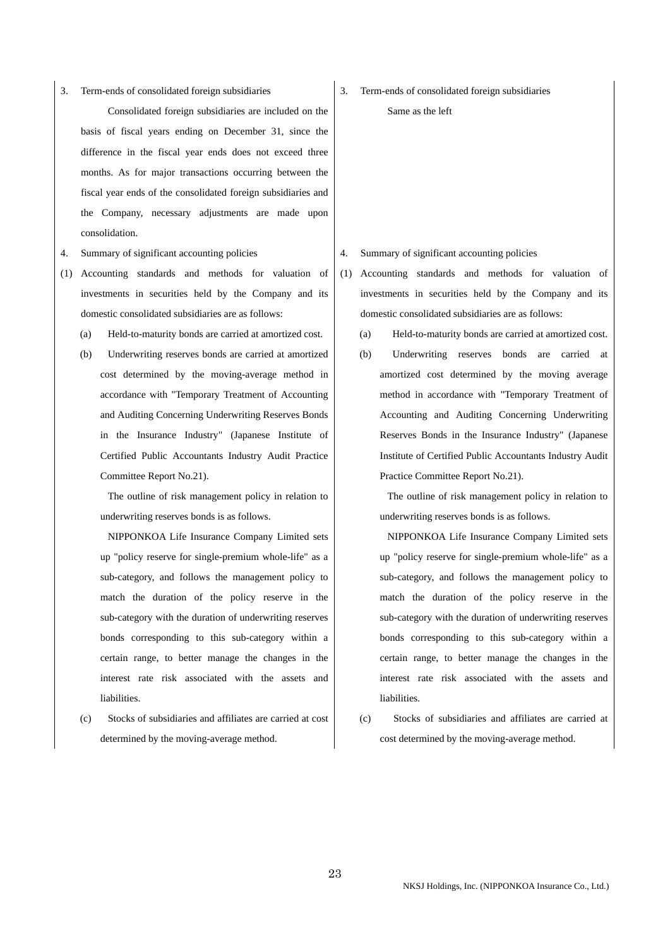3. Term-ends of consolidated foreign subsidiaries

 Consolidated foreign subsidiaries are included on the basis of fiscal years ending on December 31, since the difference in the fiscal year ends does not exceed three months. As for major transactions occurring between the fiscal year ends of the consolidated foreign subsidiaries and the Company, necessary adjustments are made upon consolidation.

- 
- (1) Accounting standards and methods for valuation of investments in securities held by the Company and its domestic consolidated subsidiaries are as follows:
	-
	- (b) Underwriting reserves bonds are carried at amortized cost determined by the moving-average method in accordance with "Temporary Treatment of Accounting and Auditing Concerning Underwriting Reserves Bonds in the Insurance Industry" (Japanese Institute of Certified Public Accountants Industry Audit Practice Committee Report No.21).

 The outline of risk management policy in relation to underwriting reserves bonds is as follows.

 NIPPONKOA Life Insurance Company Limited sets up "policy reserve for single-premium whole-life" as a sub-category, and follows the management policy to match the duration of the policy reserve in the sub-category with the duration of underwriting reserves bonds corresponding to this sub-category within a certain range, to better manage the changes in the interest rate risk associated with the assets and liabilities.

(c) Stocks of subsidiaries and affiliates are carried at cost determined by the moving-average method.

3. Term-ends of consolidated foreign subsidiaries

Same as the left

- 4. Summary of significant accounting policies 4. Summary of significant accounting policies
	- (1) Accounting standards and methods for valuation of investments in securities held by the Company and its domestic consolidated subsidiaries are as follows:
	- (a) Held-to-maturity bonds are carried at amortized cost. (a) Held-to-maturity bonds are carried at amortized cost.
		- (b) Underwriting reserves bonds are carried at amortized cost determined by the moving average method in accordance with "Temporary Treatment of Accounting and Auditing Concerning Underwriting Reserves Bonds in the Insurance Industry" (Japanese Institute of Certified Public Accountants Industry Audit Practice Committee Report No.21).

 The outline of risk management policy in relation to underwriting reserves bonds is as follows.

 NIPPONKOA Life Insurance Company Limited sets up "policy reserve for single-premium whole-life" as a sub-category, and follows the management policy to match the duration of the policy reserve in the sub-category with the duration of underwriting reserves bonds corresponding to this sub-category within a certain range, to better manage the changes in the interest rate risk associated with the assets and liabilities.

(c) Stocks of subsidiaries and affiliates are carried at cost determined by the moving-average method.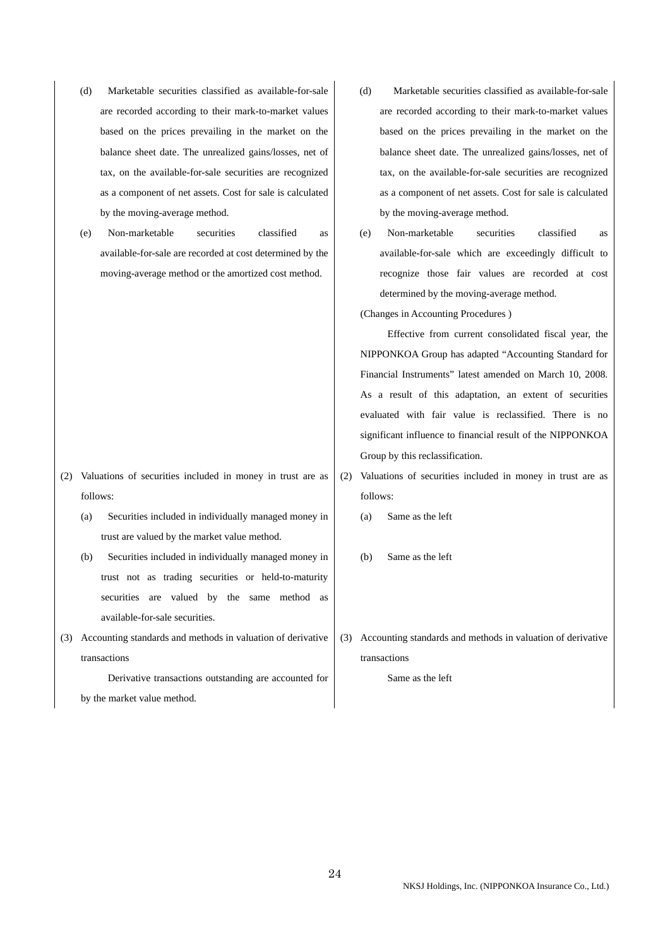- (d) Marketable securities classified as available-for-sale are recorded according to their mark-to-market values based on the prices prevailing in the market on the balance sheet date. The unrealized gains/losses, net of tax, on the available-for-sale securities are recognized as a component of net assets. Cost for sale is calculated by the moving-average method.
- (e) Non-marketable securities classified as available-for-sale are recorded at cost determined by the moving-average method or the amortized cost method.

- (2) Valuations of securities included in money in trust are as follows:
	- (a) Securities included in individually managed money in trust are valued by the market value method.
	- (b) Securities included in individually managed money in trust not as trading securities or held-to-maturity securities are valued by the same method as available-for-sale securities.
- (3) Accounting standards and methods in valuation of derivative transactions

 Derivative transactions outstanding are accounted for by the market value method.

- (d) Marketable securities classified as available-for-sale are recorded according to their mark-to-market values based on the prices prevailing in the market on the balance sheet date. The unrealized gains/losses, net of tax, on the available-for-sale securities are recognized as a component of net assets. Cost for sale is calculated by the moving-average method.
- (e) Non-marketable securities classified as available-for-sale which are exceedingly difficult to recognize those fair values are recorded at cost determined by the moving-average method.
- (Changes in Accounting Procedures )

 Effective from current consolidated fiscal year, the NIPPONKOA Group has adapted "Accounting Standard for Financial Instruments" latest amended on March 10, 2008. As a result of this adaptation, an extent of securities evaluated with fair value is reclassified. There is no significant influence to financial result of the NIPPONKOA Group by this reclassification.

- (2) Valuations of securities included in money in trust are as follows:
	- (a) Same as the left
	- (b) Same as the left
- (3) Accounting standards and methods in valuation of derivative transactions

Same as the left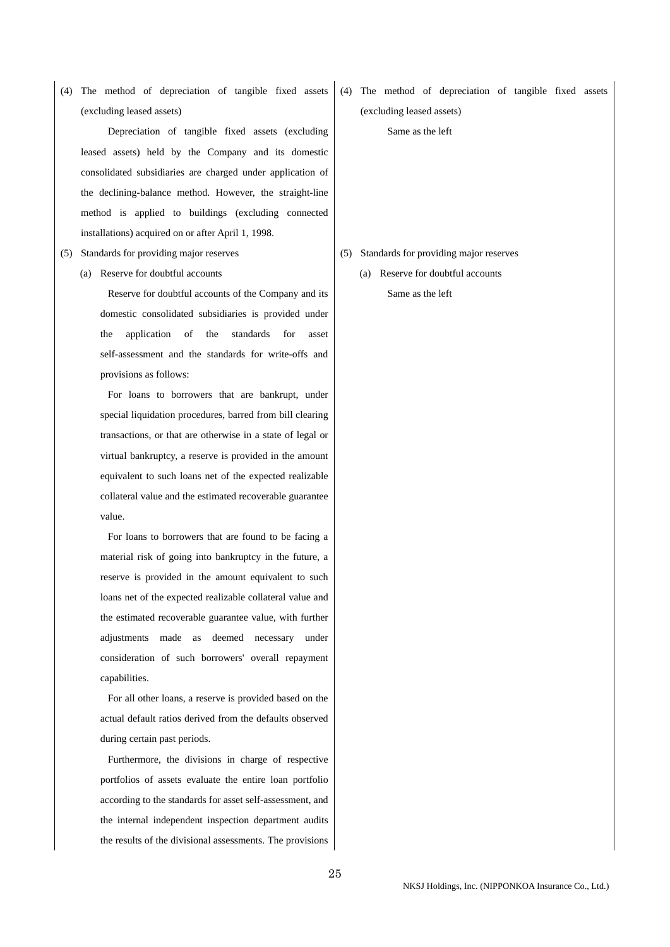(4) The method of depreciation of tangible fixed assets (excluding leased assets)

 Depreciation of tangible fixed assets (excluding leased assets) held by the Company and its domestic consolidated subsidiaries are charged under application of the declining-balance method. However, the straight-line method is applied to buildings (excluding connected installations) acquired on or after April 1, 1998.

- - (a) Reserve for doubtful accounts

 Reserve for doubtful accounts of the Company and its domestic consolidated subsidiaries is provided under the application of the standards for asset self-assessment and the standards for write-offs and provisions as follows:

 For loans to borrowers that are bankrupt, under special liquidation procedures, barred from bill clearing transactions, or that are otherwise in a state of legal or virtual bankruptcy, a reserve is provided in the amount equivalent to such loans net of the expected realizable collateral value and the estimated recoverable guarantee value.

 For loans to borrowers that are found to be facing a material risk of going into bankruptcy in the future, a reserve is provided in the amount equivalent to such loans net of the expected realizable collateral value and the estimated recoverable guarantee value, with further adjustments made as deemed necessary under consideration of such borrowers' overall repayment capabilities.

 For all other loans, a reserve is provided based on the actual default ratios derived from the defaults observed during certain past periods.

 Furthermore, the divisions in charge of respective portfolios of assets evaluate the entire loan portfolio according to the standards for asset self-assessment, and the internal independent inspection department audits the results of the divisional assessments. The provisions

(4) The method of depreciation of tangible fixed assets (excluding leased assets)

Same as the left

- (5) Standards for providing major reserves (5) Standards for providing major reserves
	- (a) Reserve for doubtful accounts Same as the left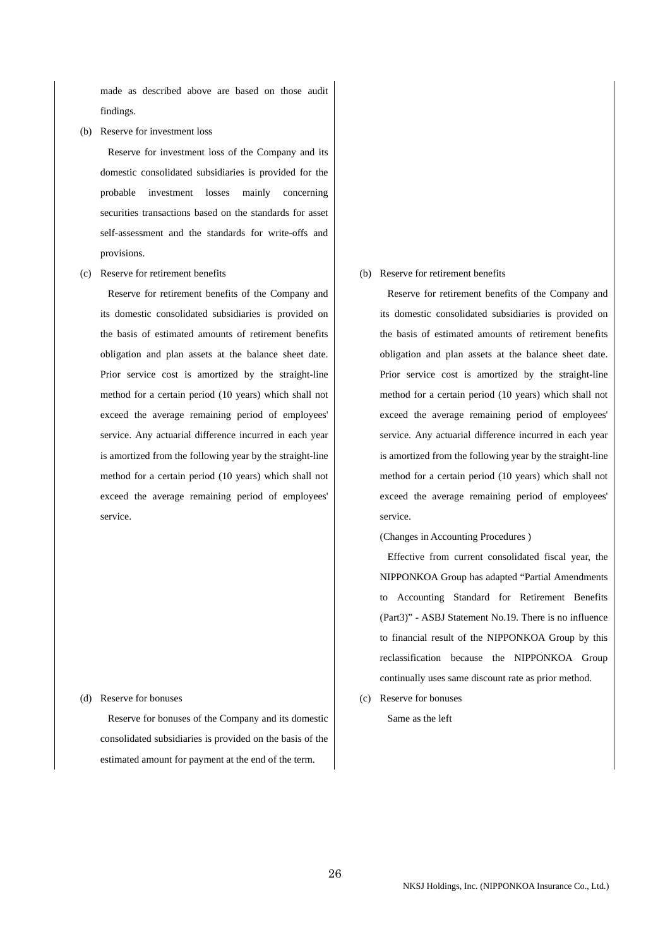made as described above are based on those audit findings.

(b) Reserve for investment loss

 Reserve for investment loss of the Company and its domestic consolidated subsidiaries is provided for the probable investment losses mainly concerning securities transactions based on the standards for asset self-assessment and the standards for write-offs and provisions.

(c) Reserve for retirement benefits

 Reserve for retirement benefits of the Company and its domestic consolidated subsidiaries is provided on the basis of estimated amounts of retirement benefits obligation and plan assets at the balance sheet date. Prior service cost is amortized by the straight-line method for a certain period (10 years) which shall not exceed the average remaining period of employees' service. Any actuarial difference incurred in each year is amortized from the following year by the straight-line method for a certain period (10 years) which shall not exceed the average remaining period of employees' service.

### (d) Reserve for bonuses

 Reserve for bonuses of the Company and its domestic consolidated subsidiaries is provided on the basis of the estimated amount for payment at the end of the term.

#### (b) Reserve for retirement benefits

 Reserve for retirement benefits of the Company and its domestic consolidated subsidiaries is provided on the basis of estimated amounts of retirement benefits obligation and plan assets at the balance sheet date. Prior service cost is amortized by the straight-line method for a certain period (10 years) which shall not exceed the average remaining period of employees' service. Any actuarial difference incurred in each year is amortized from the following year by the straight-line method for a certain period (10 years) which shall not exceed the average remaining period of employees' service.

(Changes in Accounting Procedures )

 Effective from current consolidated fiscal year, the NIPPONKOA Group has adapted "Partial Amendments to Accounting Standard for Retirement Benefits (Part3)" - ASBJ Statement No.19. There is no influence to financial result of the NIPPONKOA Group by this reclassification because the NIPPONKOA Group continually uses same discount rate as prior method.

(c) Reserve for bonuses

Same as the left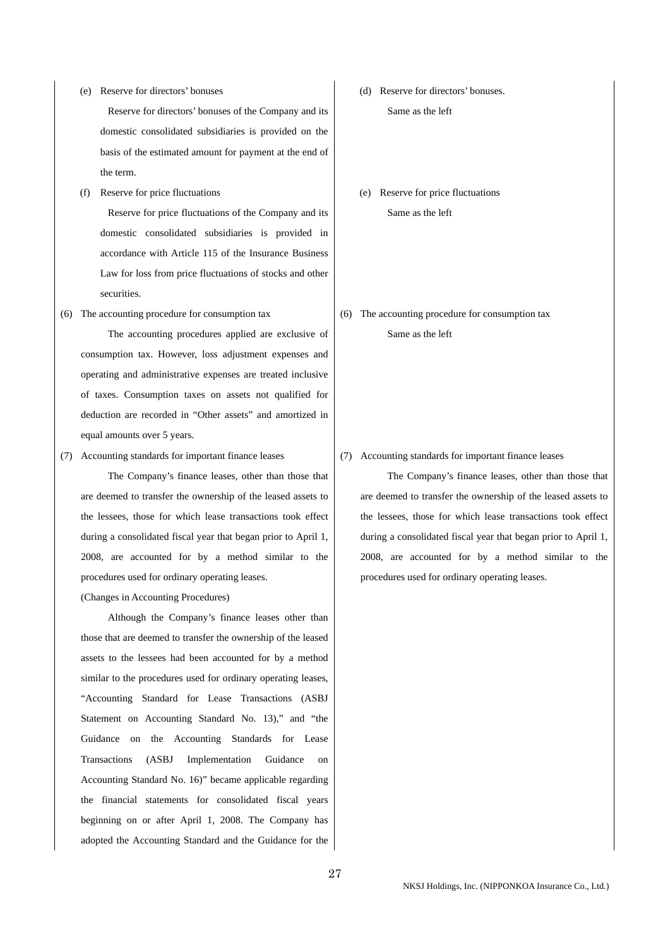(e) Reserve for directors' bonuses

 Reserve for directors' bonuses of the Company and its domestic consolidated subsidiaries is provided on the basis of the estimated amount for payment at the end of the term.

(f) Reserve for price fluctuations

 Reserve for price fluctuations of the Company and its domestic consolidated subsidiaries is provided in accordance with Article 115 of the Insurance Business Law for loss from price fluctuations of stocks and other securities.

(6) The accounting procedure for consumption tax

 The accounting procedures applied are exclusive of consumption tax. However, loss adjustment expenses and operating and administrative expenses are treated inclusive of taxes. Consumption taxes on assets not qualified for deduction are recorded in "Other assets" and amortized in equal amounts over 5 years.

(7) Accounting standards for important finance leases

 The Company's finance leases, other than those that are deemed to transfer the ownership of the leased assets to the lessees, those for which lease transactions took effect during a consolidated fiscal year that began prior to April 1, 2008, are accounted for by a method similar to the procedures used for ordinary operating leases.

### (Changes in Accounting Procedures)

 Although the Company's finance leases other than those that are deemed to transfer the ownership of the leased assets to the lessees had been accounted for by a method similar to the procedures used for ordinary operating leases, "Accounting Standard for Lease Transactions (ASBJ Statement on Accounting Standard No. 13)," and "the Guidance on the Accounting Standards for Lease Transactions (ASBJ Implementation Guidance on Accounting Standard No. 16)" became applicable regarding the financial statements for consolidated fiscal years beginning on or after April 1, 2008. The Company has adopted the Accounting Standard and the Guidance for the

- (d) Reserve for directors' bonuses. Same as the left
- (e) Reserve for price fluctuations Same as the left
- (6) The accounting procedure for consumption tax

Same as the left

(7) Accounting standards for important finance leases

 The Company's finance leases, other than those that are deemed to transfer the ownership of the leased assets to the lessees, those for which lease transactions took effect during a consolidated fiscal year that began prior to April 1, 2008, are accounted for by a method similar to the procedures used for ordinary operating leases.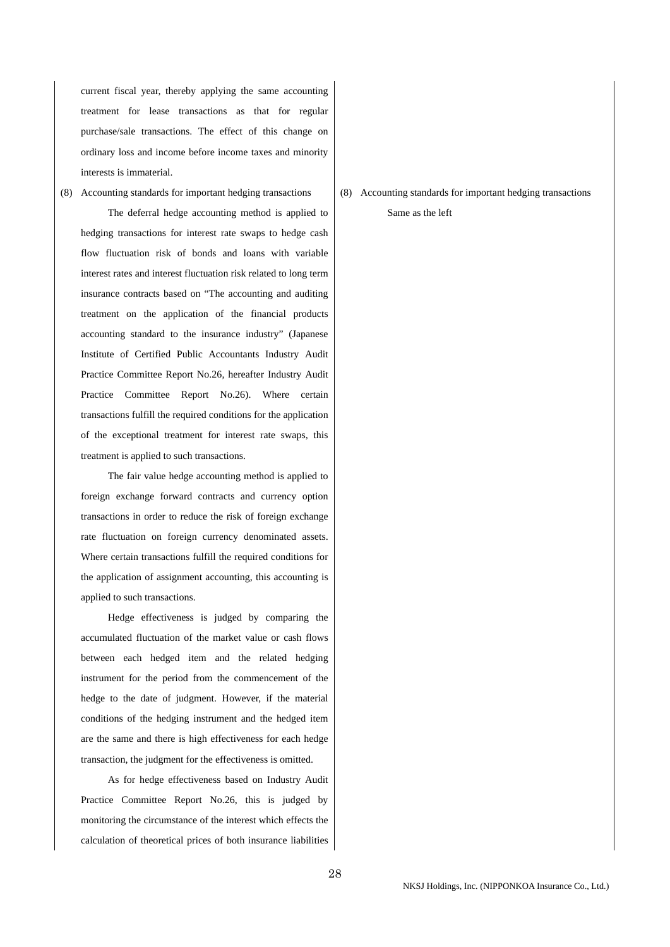current fiscal year, thereby applying the same accounting treatment for lease transactions as that for regular purchase/sale transactions. The effect of this change on ordinary loss and income before income taxes and minority interests is immaterial.

(8) Accounting standards for important hedging transactions

 The deferral hedge accounting method is applied to hedging transactions for interest rate swaps to hedge cash flow fluctuation risk of bonds and loans with variable interest rates and interest fluctuation risk related to long term insurance contracts based on "The accounting and auditing treatment on the application of the financial products accounting standard to the insurance industry" (Japanese Institute of Certified Public Accountants Industry Audit Practice Committee Report No.26, hereafter Industry Audit Practice Committee Report No.26). Where certain transactions fulfill the required conditions for the application of the exceptional treatment for interest rate swaps, this treatment is applied to such transactions.

 The fair value hedge accounting method is applied to foreign exchange forward contracts and currency option transactions in order to reduce the risk of foreign exchange rate fluctuation on foreign currency denominated assets. Where certain transactions fulfill the required conditions for the application of assignment accounting, this accounting is applied to such transactions.

 Hedge effectiveness is judged by comparing the accumulated fluctuation of the market value or cash flows between each hedged item and the related hedging instrument for the period from the commencement of the hedge to the date of judgment. However, if the material conditions of the hedging instrument and the hedged item are the same and there is high effectiveness for each hedge transaction, the judgment for the effectiveness is omitted.

 As for hedge effectiveness based on Industry Audit Practice Committee Report No.26, this is judged by monitoring the circumstance of the interest which effects the calculation of theoretical prices of both insurance liabilities

(8) Accounting standards for important hedging transactions Same as the left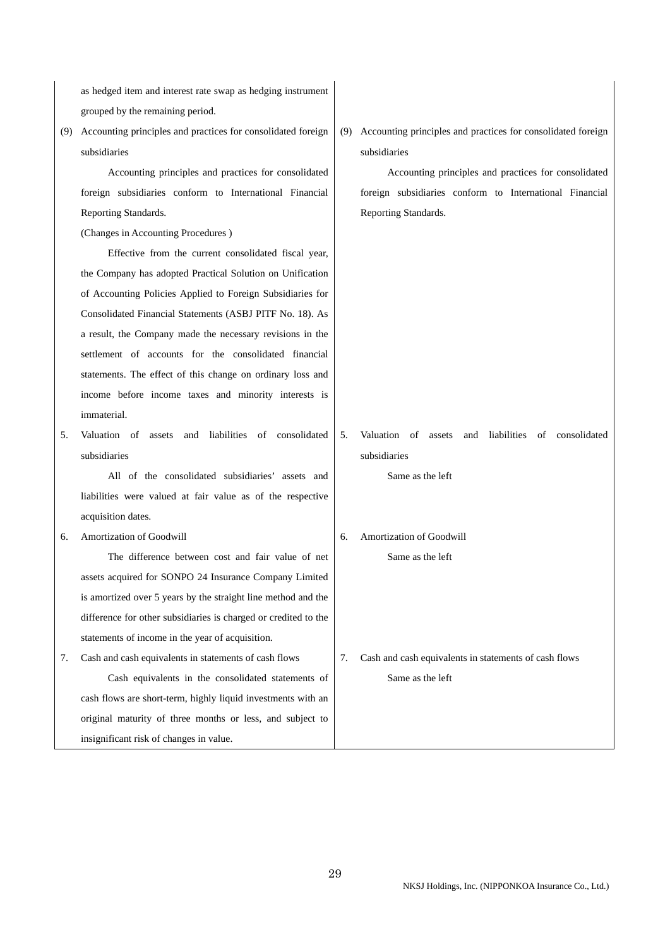as hedged item and interest rate swap as hedging instrument grouped by the remaining period.

(9) Accounting principles and practices for consolidated foreign subsidiaries

 Accounting principles and practices for consolidated foreign subsidiaries conform to International Financial Reporting Standards.

(Changes in Accounting Procedures )

 Effective from the current consolidated fiscal year, the Company has adopted Practical Solution on Unification of Accounting Policies Applied to Foreign Subsidiaries for Consolidated Financial Statements (ASBJ PITF No. 18). As a result, the Company made the necessary revisions in the settlement of accounts for the consolidated financial statements. The effect of this change on ordinary loss and income before income taxes and minority interests is immaterial.

5. Valuation of assets and liabilities of consolidated subsidiaries

 All of the consolidated subsidiaries' assets and liabilities were valued at fair value as of the respective acquisition dates.

6. Amortization of Goodwill

 The difference between cost and fair value of net assets acquired for SONPO 24 Insurance Company Limited is amortized over 5 years by the straight line method and the difference for other subsidiaries is charged or credited to the statements of income in the year of acquisition.

7. Cash and cash equivalents in statements of cash flows Cash equivalents in the consolidated statements of cash flows are short-term, highly liquid investments with an original maturity of three months or less, and subject to insignificant risk of changes in value.

(9) Accounting principles and practices for consolidated foreign subsidiaries

 Accounting principles and practices for consolidated foreign subsidiaries conform to International Financial Reporting Standards.

5. Valuation of assets and liabilities of consolidated subsidiaries

Same as the left

6. Amortization of Goodwill

Same as the left

7. Cash and cash equivalents in statements of cash flows Same as the left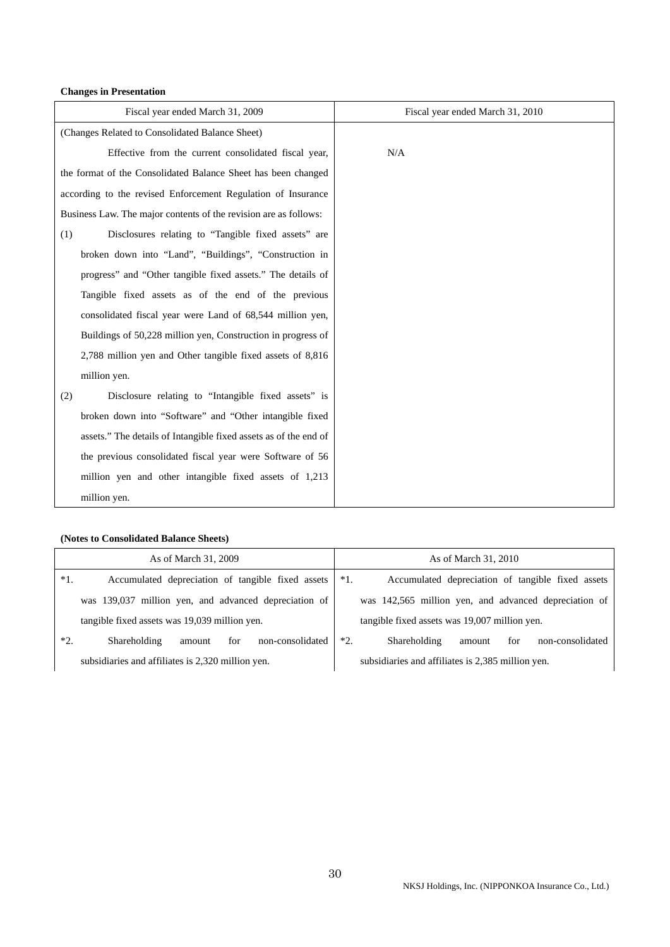### **Changes in Presentation**

| Fiscal year ended March 31, 2009                                 | Fiscal year ended March 31, 2010 |
|------------------------------------------------------------------|----------------------------------|
| (Changes Related to Consolidated Balance Sheet)                  |                                  |
| Effective from the current consolidated fiscal year,             | N/A                              |
| the format of the Consolidated Balance Sheet has been changed    |                                  |
| according to the revised Enforcement Regulation of Insurance     |                                  |
| Business Law. The major contents of the revision are as follows: |                                  |
| Disclosures relating to "Tangible fixed assets" are<br>(1)       |                                  |
| broken down into "Land", "Buildings", "Construction in           |                                  |
| progress" and "Other tangible fixed assets." The details of      |                                  |
| Tangible fixed assets as of the end of the previous              |                                  |
| consolidated fiscal year were Land of 68,544 million yen,        |                                  |
| Buildings of 50,228 million yen, Construction in progress of     |                                  |
| 2,788 million yen and Other tangible fixed assets of 8,816       |                                  |
| million yen.                                                     |                                  |
| Disclosure relating to "Intangible fixed assets" is<br>(2)       |                                  |
| broken down into "Software" and "Other intangible fixed          |                                  |
| assets." The details of Intangible fixed assets as of the end of |                                  |
| the previous consolidated fiscal year were Software of 56        |                                  |
| million yen and other intangible fixed assets of 1,213           |                                  |
| million yen.                                                     |                                  |

# **(Notes to Consolidated Balance Sheets)**

|       | As of March 31, 2009                                  |       | As of March 31, 2010                                  |
|-------|-------------------------------------------------------|-------|-------------------------------------------------------|
| $*1.$ | Accumulated depreciation of tangible fixed assets     | $*1.$ | Accumulated depreciation of tangible fixed assets     |
|       | was 139,037 million yen, and advanced depreciation of |       | was 142,565 million yen, and advanced depreciation of |
|       | tangible fixed assets was 19,039 million yen.         |       | tangible fixed assets was 19,007 million yen.         |
| $*2.$ | Shareholding<br>non-consolidated<br>for<br>amount     | $*2.$ | Shareholding<br>for<br>non-consolidated<br>amount     |
|       | subsidiaries and affiliates is 2,320 million yen.     |       | subsidiaries and affiliates is 2,385 million yen.     |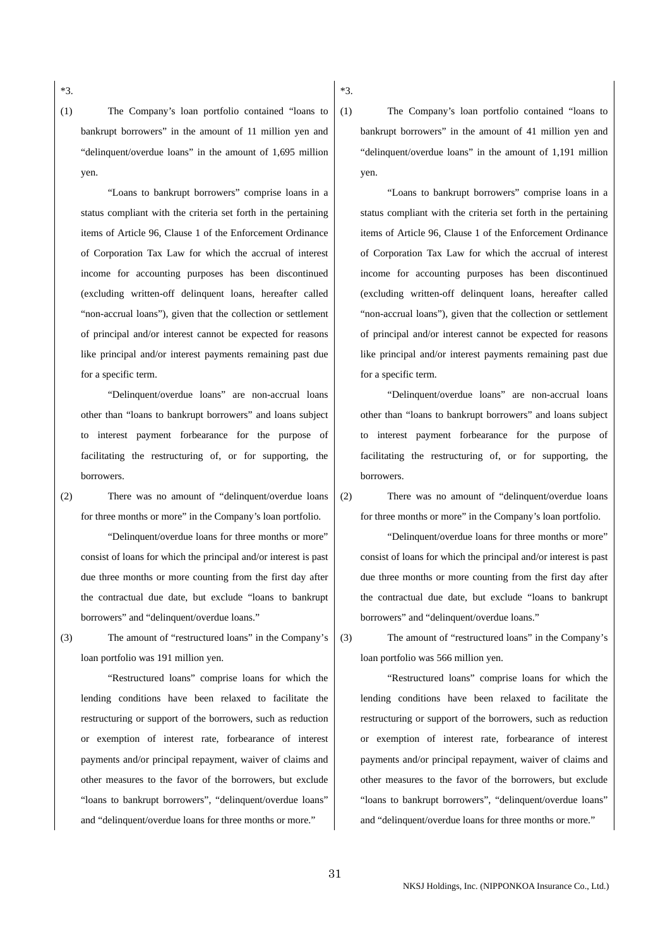\*3.

(1) The Company's loan portfolio contained "loans to bankrupt borrowers" in the amount of 11 million yen and "delinquent/overdue loans" in the amount of 1,695 million yen.

 "Loans to bankrupt borrowers" comprise loans in a status compliant with the criteria set forth in the pertaining items of Article 96, Clause 1 of the Enforcement Ordinance of Corporation Tax Law for which the accrual of interest income for accounting purposes has been discontinued (excluding written-off delinquent loans, hereafter called "non-accrual loans"), given that the collection or settlement of principal and/or interest cannot be expected for reasons like principal and/or interest payments remaining past due for a specific term.

 "Delinquent/overdue loans" are non-accrual loans other than "loans to bankrupt borrowers" and loans subject to interest payment forbearance for the purpose of facilitating the restructuring of, or for supporting, the borrowers.

(2) There was no amount of "delinquent/overdue loans for three months or more" in the Company's loan portfolio.

 "Delinquent/overdue loans for three months or more" consist of loans for which the principal and/or interest is past due three months or more counting from the first day after the contractual due date, but exclude "loans to bankrupt borrowers" and "delinquent/overdue loans."

(3) The amount of "restructured loans" in the Company's loan portfolio was 191 million yen.

 "Restructured loans" comprise loans for which the lending conditions have been relaxed to facilitate the restructuring or support of the borrowers, such as reduction or exemption of interest rate, forbearance of interest payments and/or principal repayment, waiver of claims and other measures to the favor of the borrowers, but exclude "loans to bankrupt borrowers", "delinquent/overdue loans" and "delinquent/overdue loans for three months or more."

(1) The Company's loan portfolio contained "loans to bankrupt borrowers" in the amount of 41 million yen and "delinquent/overdue loans" in the amount of 1,191 million yen.

 "Loans to bankrupt borrowers" comprise loans in a status compliant with the criteria set forth in the pertaining items of Article 96, Clause 1 of the Enforcement Ordinance of Corporation Tax Law for which the accrual of interest income for accounting purposes has been discontinued (excluding written-off delinquent loans, hereafter called "non-accrual loans"), given that the collection or settlement of principal and/or interest cannot be expected for reasons like principal and/or interest payments remaining past due for a specific term.

 "Delinquent/overdue loans" are non-accrual loans other than "loans to bankrupt borrowers" and loans subject to interest payment forbearance for the purpose of facilitating the restructuring of, or for supporting, the borrowers.

\*3.

(2) There was no amount of "delinquent/overdue loans for three months or more" in the Company's loan portfolio.

 "Delinquent/overdue loans for three months or more" consist of loans for which the principal and/or interest is past due three months or more counting from the first day after the contractual due date, but exclude "loans to bankrupt borrowers" and "delinquent/overdue loans."

(3) The amount of "restructured loans" in the Company's loan portfolio was 566 million yen.

 "Restructured loans" comprise loans for which the lending conditions have been relaxed to facilitate the restructuring or support of the borrowers, such as reduction or exemption of interest rate, forbearance of interest payments and/or principal repayment, waiver of claims and other measures to the favor of the borrowers, but exclude "loans to bankrupt borrowers", "delinquent/overdue loans" and "delinquent/overdue loans for three months or more."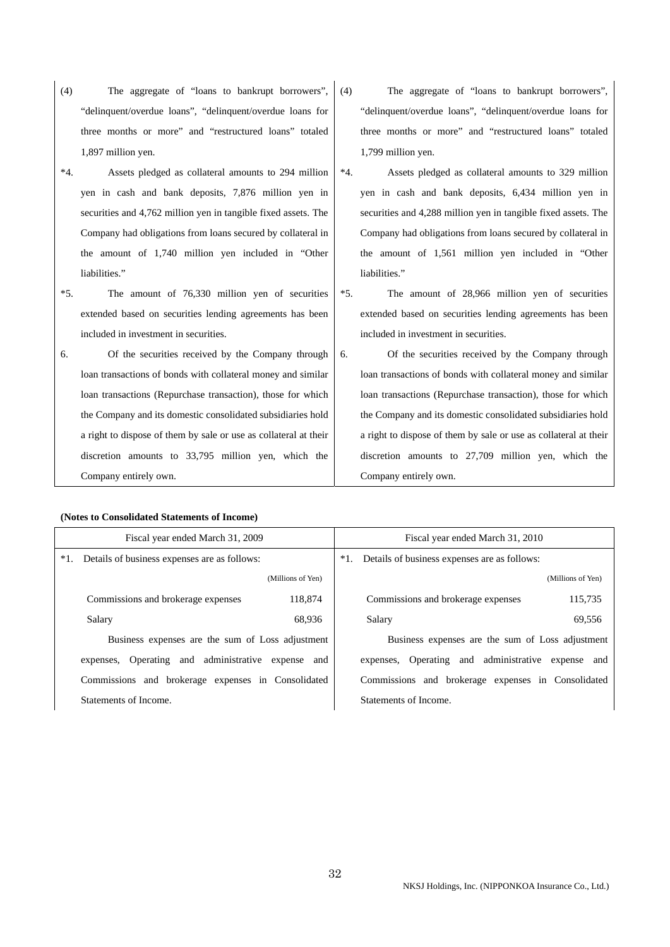- (4) The aggregate of "loans to bankrupt borrowers", "delinquent/overdue loans", "delinquent/overdue loans for three months or more" and "restructured loans" totaled 1,897 million yen.
- \*4. Assets pledged as collateral amounts to 294 million yen in cash and bank deposits, 7,876 million yen in securities and 4,762 million yen in tangible fixed assets. The Company had obligations from loans secured by collateral in the amount of 1,740 million yen included in "Other liabilities."
- \*5. The amount of 76,330 million yen of securities extended based on securities lending agreements has been included in investment in securities.
- 6. Of the securities received by the Company through loan transactions of bonds with collateral money and similar loan transactions (Repurchase transaction), those for which the Company and its domestic consolidated subsidiaries hold a right to dispose of them by sale or use as collateral at their discretion amounts to 33,795 million yen, which the Company entirely own.

### **(Notes to Consolidated Statements of Income)**

(4) The aggregate of "loans to bankrupt borrowers", "delinquent/overdue loans", "delinquent/overdue loans for three months or more" and "restructured loans" totaled 1,799 million yen.

- \*4. Assets pledged as collateral amounts to 329 million yen in cash and bank deposits, 6,434 million yen in securities and 4,288 million yen in tangible fixed assets. The Company had obligations from loans secured by collateral in the amount of 1,561 million yen included in "Other liabilities."
- \*5. The amount of 28,966 million yen of securities extended based on securities lending agreements has been included in investment in securities.
- 6. Of the securities received by the Company through loan transactions of bonds with collateral money and similar loan transactions (Repurchase transaction), those for which the Company and its domestic consolidated subsidiaries hold a right to dispose of them by sale or use as collateral at their discretion amounts to 27,709 million yen, which the Company entirely own.

| Fiscal year ended March 31, 2009                   | Fiscal year ended March 31, 2010                       |
|----------------------------------------------------|--------------------------------------------------------|
| *1. Details of business expenses are as follows:   | Details of business expenses are as follows:<br>$*1$ . |
| (Millions of Yen)                                  | (Millions of Yen)                                      |
| 118,874<br>Commissions and brokerage expenses      | 115,735<br>Commissions and brokerage expenses          |
| Salary<br>68.936                                   | 69,556<br>Salary                                       |
| Business expenses are the sum of Loss adjustment   | Business expenses are the sum of Loss adjustment       |
| expenses, Operating and administrative expense and | expenses, Operating and administrative expense and     |
| Commissions and brokerage expenses in Consolidated | Commissions and brokerage expenses in Consolidated     |
| Statements of Income.                              | Statements of Income.                                  |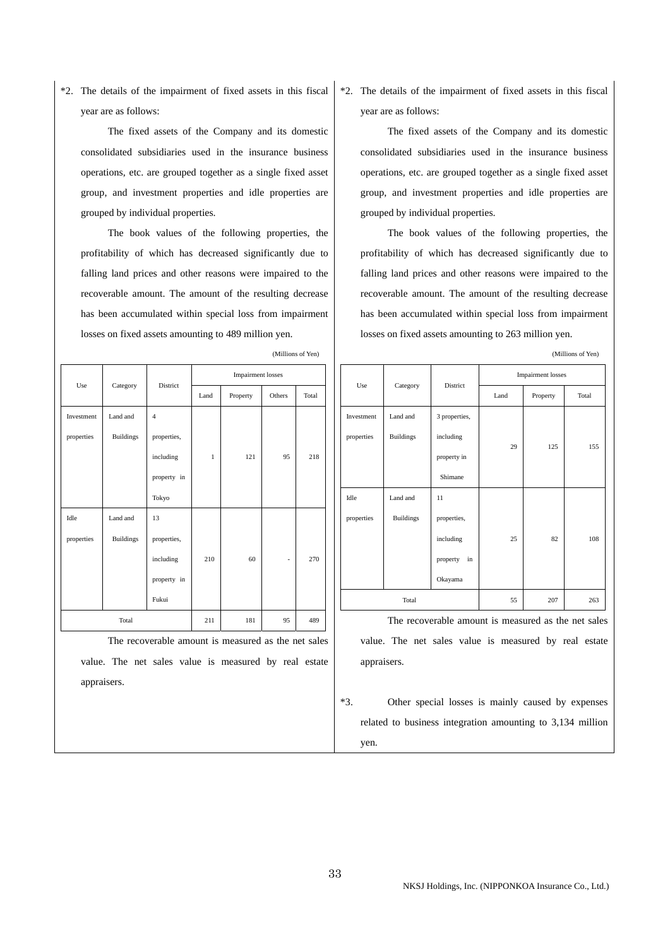\*2. The details of the impairment of fixed assets in this fiscal year are as follows:

 The fixed assets of the Company and its domestic consolidated subsidiaries used in the insurance business operations, etc. are grouped together as a single fixed asset group, and investment properties and idle properties are grouped by individual properties.

 The book values of the following properties, the profitability of which has decreased significantly due to falling land prices and other reasons were impaired to the recoverable amount. The amount of the resulting decrease has been accumulated within special loss from impairment losses on fixed assets amounting to 489 million yen.

| Use        |                  | District       |              | <b>Impairment</b> losses |        |       |
|------------|------------------|----------------|--------------|--------------------------|--------|-------|
|            | Category         |                | Land         | Property                 | Others | Total |
| Investment | Land and         | $\overline{4}$ |              |                          |        |       |
| properties | <b>Buildings</b> | properties,    |              |                          |        |       |
|            |                  | including      | $\mathbf{1}$ | 121                      | 95     | 218   |
|            |                  | property in    |              |                          |        |       |
|            |                  | Tokyo          |              |                          |        |       |
| Idle       | Land and         | 13             |              |                          |        |       |
| properties | <b>Buildings</b> | properties,    |              |                          |        |       |
|            |                  | including      | 210          | 60                       | ٠      | 270   |
|            |                  | property in    |              |                          |        |       |
|            |                  | Fukui          |              |                          |        |       |
| Total      |                  |                | 211          | 181                      | 95     | 489   |

(Millions of Yen)

\*2. The details of the impairment of fixed assets in this fiscal year are as follows:

 The fixed assets of the Company and its domestic consolidated subsidiaries used in the insurance business operations, etc. are grouped together as a single fixed asset group, and investment properties and idle properties are grouped by individual properties.

 The book values of the following properties, the profitability of which has decreased significantly due to falling land prices and other reasons were impaired to the recoverable amount. The amount of the resulting decrease has been accumulated within special loss from impairment losses on fixed assets amounting to 263 million yen.

(Millions of Yen)

|            |                  |                |      | <b>Impairment</b> losses |       |
|------------|------------------|----------------|------|--------------------------|-------|
| Use        | Category         | District       | Land | Property                 | Total |
| Investment | Land and         | 3 properties,  |      |                          |       |
| properties | <b>Buildings</b> | including      | 29   | 125                      | 155   |
|            |                  | property in    |      |                          |       |
|            |                  | Shimane        |      |                          |       |
| Idle       | Land and         | 11             |      |                          |       |
| properties | <b>Buildings</b> | properties,    |      |                          |       |
|            |                  | including      | 25   | 82                       | 108   |
|            |                  | in<br>property |      |                          |       |
|            |                  | Okayama        |      |                          |       |
| Total      |                  |                | 55   | 207                      | 263   |

 The recoverable amount is measured as the net sales value. The net sales value is measured by real estate appraisers.

 \*3. Other special losses is mainly caused by expenses related to business integration amounting to 3,134 million yen.

 The recoverable amount is measured as the net sales value. The net sales value is measured by real estate appraisers.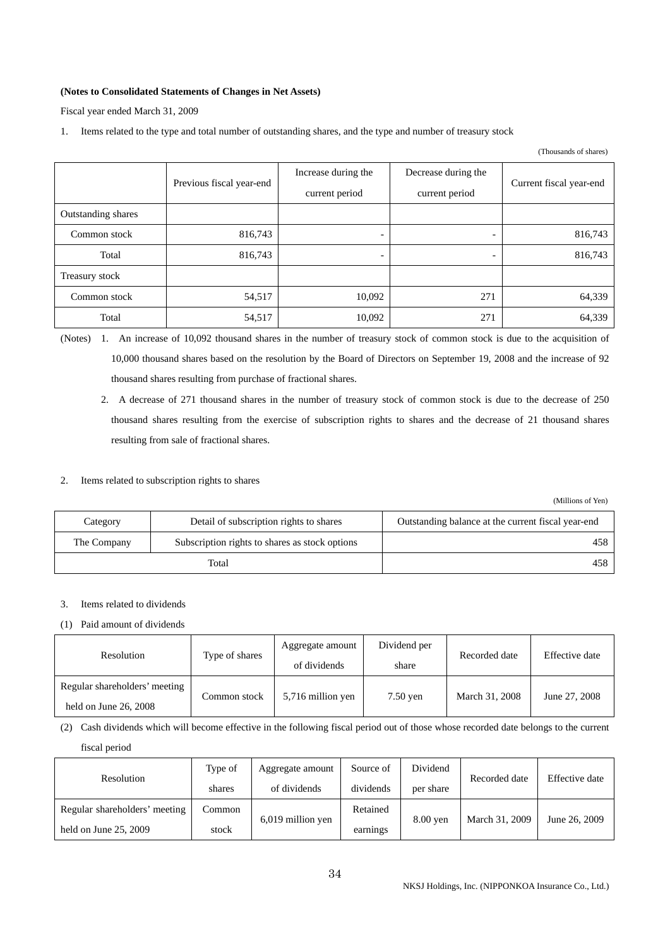### **(Notes to Consolidated Statements of Changes in Net Assets)**

Fiscal year ended March 31, 2009

1. Items related to the type and total number of outstanding shares, and the type and number of treasury stock

|                    |                          |                                                                                |                          | (Thousands of shares)   |
|--------------------|--------------------------|--------------------------------------------------------------------------------|--------------------------|-------------------------|
|                    | Previous fiscal year-end | Increase during the<br>Decrease during the<br>current period<br>current period |                          | Current fiscal year-end |
| Outstanding shares |                          |                                                                                |                          |                         |
| Common stock       | 816,743                  | $\overline{\phantom{0}}$                                                       | $\overline{\phantom{a}}$ | 816,743                 |
| Total              | 816,743                  | $\overline{\phantom{0}}$                                                       |                          | 816,743                 |
| Treasury stock     |                          |                                                                                |                          |                         |
| Common stock       | 54,517                   | 10,092                                                                         | 271                      | 64,339                  |
| Total              | 54,517                   | 10,092                                                                         | 271                      | 64,339                  |

(Notes) 1. An increase of 10,092 thousand shares in the number of treasury stock of common stock is due to the acquisition of 10,000 thousand shares based on the resolution by the Board of Directors on September 19, 2008 and the increase of 92 thousand shares resulting from purchase of fractional shares.

 2. A decrease of 271 thousand shares in the number of treasury stock of common stock is due to the decrease of 250 thousand shares resulting from the exercise of subscription rights to shares and the decrease of 21 thousand shares resulting from sale of fractional shares.

### 2. Items related to subscription rights to shares

(Millions of Yen)

| Category    | Detail of subscription rights to shares        | Outstanding balance at the current fiscal year-end |
|-------------|------------------------------------------------|----------------------------------------------------|
| The Company | Subscription rights to shares as stock options | 458                                                |
|             | Total                                          | 458                                                |

### 3. Items related to dividends

### (1) Paid amount of dividends

| Resolution                                               | Aggregate amount<br>Type of shares<br>of dividends<br>share |                   | Dividend per | Recorded date  | Effective date |
|----------------------------------------------------------|-------------------------------------------------------------|-------------------|--------------|----------------|----------------|
| Regular shareholders' meeting<br>held on June $26, 2008$ | Common stock                                                | 5,716 million yen | $7.50$ ven   | March 31, 2008 | June 27, 2008  |

(2) Cash dividends which will become effective in the following fiscal period out of those whose recorded date belongs to the current

fiscal period

| Resolution                    | Type of | Aggregate amount  | Source of | Dividend  | Recorded date  | Effective date |  |
|-------------------------------|---------|-------------------|-----------|-----------|----------------|----------------|--|
|                               | shares  | of dividends      | dividends | per share |                |                |  |
| Regular shareholders' meeting | Common  |                   | Retained  |           |                |                |  |
| held on June $25, 2009$       | stock   | 6,019 million yen | earnings  | 8.00 yen  | March 31, 2009 | June 26, 2009  |  |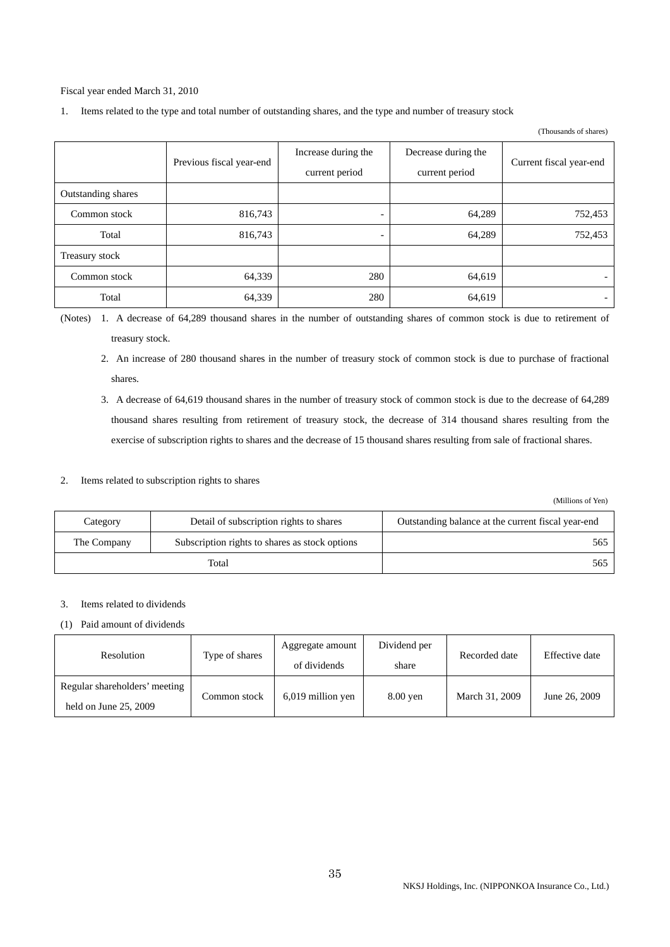Fiscal year ended March 31, 2010

1. Items related to the type and total number of outstanding shares, and the type and number of treasury stock

#### (Thousands of shares)

|                    | Previous fiscal year-end | Increase during the<br>current period | Decrease during the<br>current period | Current fiscal year-end  |
|--------------------|--------------------------|---------------------------------------|---------------------------------------|--------------------------|
| Outstanding shares |                          |                                       |                                       |                          |
| Common stock       | 816,743                  | $\overline{\phantom{a}}$              | 64,289                                | 752,453                  |
| Total              | 816,743                  | $\overline{\phantom{0}}$              | 64,289                                | 752,453                  |
| Treasury stock     |                          |                                       |                                       |                          |
| Common stock       | 64,339                   | 280                                   | 64,619                                | $\overline{\phantom{0}}$ |
| Total              | 64,339                   | 280                                   | 64,619                                | $\overline{\phantom{0}}$ |

(Notes) 1. A decrease of 64,289 thousand shares in the number of outstanding shares of common stock is due to retirement of treasury stock.

- 2. An increase of 280 thousand shares in the number of treasury stock of common stock is due to purchase of fractional shares.
- 3. A decrease of 64,619 thousand shares in the number of treasury stock of common stock is due to the decrease of 64,289 thousand shares resulting from retirement of treasury stock, the decrease of 314 thousand shares resulting from the exercise of subscription rights to shares and the decrease of 15 thousand shares resulting from sale of fractional shares.

### 2. Items related to subscription rights to shares

(Millions of Yen)

| Category    | Detail of subscription rights to shares        | Outstanding balance at the current fiscal year-end |
|-------------|------------------------------------------------|----------------------------------------------------|
| The Company | Subscription rights to shares as stock options | 565.                                               |
|             | Total                                          | 565                                                |

### 3. Items related to dividends

### (1) Paid amount of dividends

| Resolution                                               | Type of shares | Aggregate amount<br>of dividends | Dividend per<br>share | Recorded date  | Effective date |
|----------------------------------------------------------|----------------|----------------------------------|-----------------------|----------------|----------------|
| Regular shareholders' meeting<br>held on June $25, 2009$ | Common stock   | 6,019 million yen                | $8.00$ yen            | March 31, 2009 | June 26, 2009  |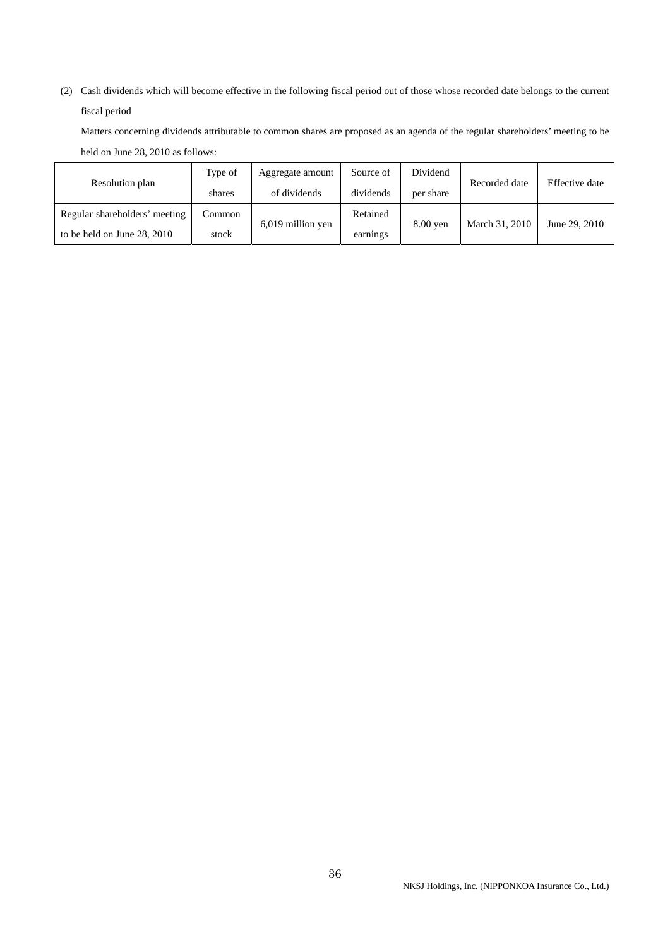(2) Cash dividends which will become effective in the following fiscal period out of those whose recorded date belongs to the current fiscal period

Matters concerning dividends attributable to common shares are proposed as an agenda of the regular shareholders' meeting to be held on June 28, 2010 as follows:

|                               | Type of | Aggregate amount    | Source of | Dividend  | Recorded date  | Effective date |
|-------------------------------|---------|---------------------|-----------|-----------|----------------|----------------|
| Resolution plan               | shares  | of dividends        | dividends | per share |                |                |
| Regular shareholders' meeting | Common  |                     | Retained  | 8.00 ven  |                |                |
| to be held on June 28, 2010   | stock   | $6,019$ million yen | earnings  |           | March 31, 2010 | June 29, 2010  |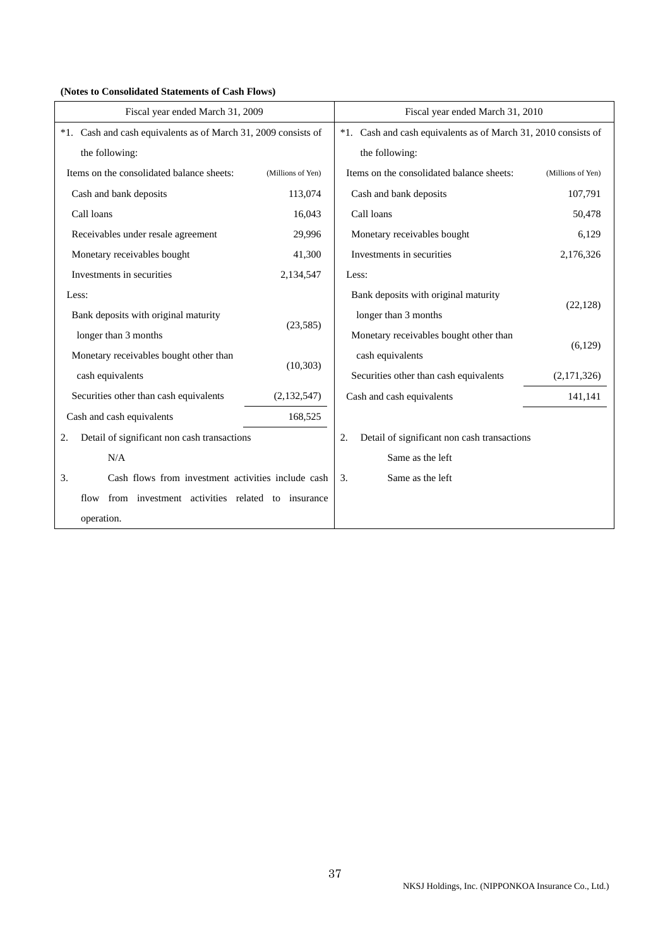| Fiscal year ended March 31, 2009                               |                   | Fiscal year ended March 31, 2010                               |                   |  |
|----------------------------------------------------------------|-------------------|----------------------------------------------------------------|-------------------|--|
| *1. Cash and cash equivalents as of March 31, 2009 consists of |                   | *1. Cash and cash equivalents as of March 31, 2010 consists of |                   |  |
| the following:                                                 |                   | the following:                                                 |                   |  |
| Items on the consolidated balance sheets:                      | (Millions of Yen) | Items on the consolidated balance sheets:                      | (Millions of Yen) |  |
| Cash and bank deposits                                         | 113,074           | Cash and bank deposits                                         | 107,791           |  |
| Call loans                                                     | 16,043            | Call loans                                                     | 50,478            |  |
| Receivables under resale agreement                             | 29,996            | Monetary receivables bought                                    | 6,129             |  |
| Monetary receivables bought                                    | 41,300            | Investments in securities                                      | 2,176,326         |  |
| Investments in securities                                      | 2,134,547         | Less:                                                          |                   |  |
| Less:                                                          |                   | Bank deposits with original maturity                           |                   |  |
| Bank deposits with original maturity                           |                   | longer than 3 months                                           | (22, 128)         |  |
| longer than 3 months                                           | (23,585)          | Monetary receivables bought other than                         |                   |  |
| Monetary receivables bought other than                         |                   | cash equivalents                                               | (6,129)           |  |
| cash equivalents                                               | (10, 303)         | Securities other than cash equivalents                         | (2,171,326)       |  |
| Securities other than cash equivalents                         | (2,132,547)       | Cash and cash equivalents                                      | 141,141           |  |
| Cash and cash equivalents                                      | 168,525           |                                                                |                   |  |
| Detail of significant non cash transactions<br>2.              |                   | Detail of significant non cash transactions<br>2.              |                   |  |
| N/A                                                            |                   | Same as the left                                               |                   |  |
| 3.<br>Cash flows from investment activities include cash       |                   | Same as the left<br>3.                                         |                   |  |
| from investment activities related to insurance<br>flow        |                   |                                                                |                   |  |
| operation.                                                     |                   |                                                                |                   |  |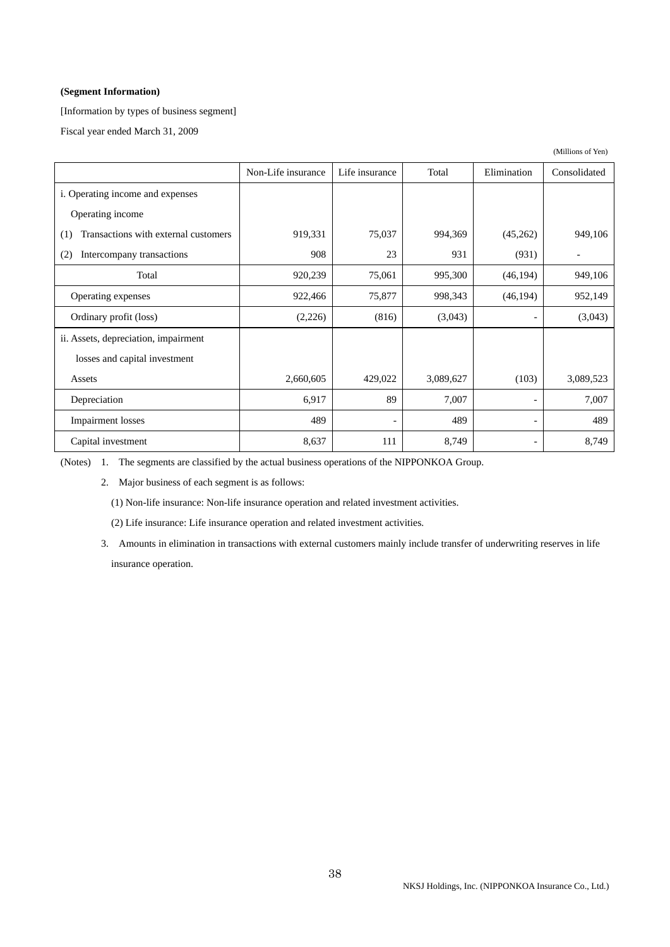### **(Segment Information)**

[Information by types of business segment]

Fiscal year ended March 31, 2009

|                                             | Non-Life insurance | Life insurance               | Total     | Elimination              | Consolidated |
|---------------------------------------------|--------------------|------------------------------|-----------|--------------------------|--------------|
| i. Operating income and expenses            |                    |                              |           |                          |              |
| Operating income                            |                    |                              |           |                          |              |
| Transactions with external customers<br>(1) | 919,331            | 75,037                       | 994,369   | (45,262)                 | 949,106      |
| Intercompany transactions<br>(2)            | 908                | 23                           | 931       | (931)                    |              |
| Total                                       | 920,239            | 75,061                       | 995,300   | (46, 194)                | 949,106      |
| Operating expenses                          | 922,466            | 75,877                       | 998,343   | (46, 194)                | 952,149      |
| Ordinary profit (loss)                      | (2,226)            | (816)                        | (3,043)   | $\overline{\phantom{a}}$ | (3,043)      |
| ii. Assets, depreciation, impairment        |                    |                              |           |                          |              |
| losses and capital investment               |                    |                              |           |                          |              |
| Assets                                      | 2,660,605          | 429,022                      | 3,089,627 | (103)                    | 3,089,523    |
| Depreciation                                | 6,917              | 89                           | 7,007     | $\overline{\phantom{a}}$ | 7,007        |
| <b>Impairment</b> losses                    | 489                | $\qquad \qquad \blacksquare$ | 489       | $\overline{\phantom{a}}$ | 489          |
| Capital investment                          | 8,637              | 111                          | 8,749     |                          | 8,749        |

(Notes) 1. The segments are classified by the actual business operations of the NIPPONKOA Group.

2. Major business of each segment is as follows:

(1) Non-life insurance: Non-life insurance operation and related investment activities.

(2) Life insurance: Life insurance operation and related investment activities.

 3. Amounts in elimination in transactions with external customers mainly include transfer of underwriting reserves in life insurance operation.

(Millions of Yen)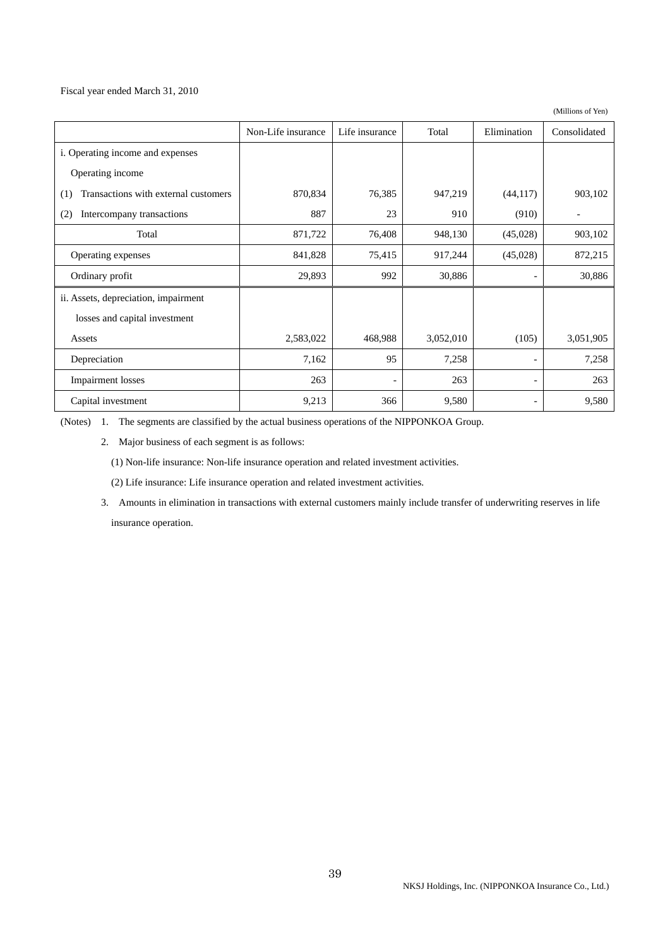Fiscal year ended March 31, 2010

(Millions of Yen)

|                                             | Non-Life insurance | Life insurance           | Total     | Elimination              | Consolidated |
|---------------------------------------------|--------------------|--------------------------|-----------|--------------------------|--------------|
| i. Operating income and expenses            |                    |                          |           |                          |              |
| Operating income                            |                    |                          |           |                          |              |
| Transactions with external customers<br>(1) | 870,834            | 76,385                   | 947,219   | (44, 117)                | 903,102      |
| Intercompany transactions<br>(2)            | 887                | 23                       | 910       | (910)                    |              |
| Total                                       | 871,722            | 76,408                   | 948,130   | (45,028)                 | 903,102      |
| Operating expenses                          | 841,828            | 75,415                   | 917,244   | (45,028)                 | 872,215      |
| Ordinary profit                             | 29,893             | 992                      | 30,886    | $\qquad \qquad -$        | 30,886       |
| ii. Assets, depreciation, impairment        |                    |                          |           |                          |              |
| losses and capital investment               |                    |                          |           |                          |              |
| Assets                                      | 2,583,022          | 468,988                  | 3,052,010 | (105)                    | 3,051,905    |
| Depreciation                                | 7,162              | 95                       | 7,258     | $\overline{\phantom{a}}$ | 7,258        |
| Impairment losses                           | 263                | $\overline{\phantom{a}}$ | 263       | $\overline{\phantom{a}}$ | 263          |
| Capital investment                          | 9,213              | 366                      | 9,580     | $\overline{\phantom{a}}$ | 9,580        |

(Notes) 1. The segments are classified by the actual business operations of the NIPPONKOA Group.

2. Major business of each segment is as follows:

(1) Non-life insurance: Non-life insurance operation and related investment activities.

(2) Life insurance: Life insurance operation and related investment activities.

 3. Amounts in elimination in transactions with external customers mainly include transfer of underwriting reserves in life insurance operation.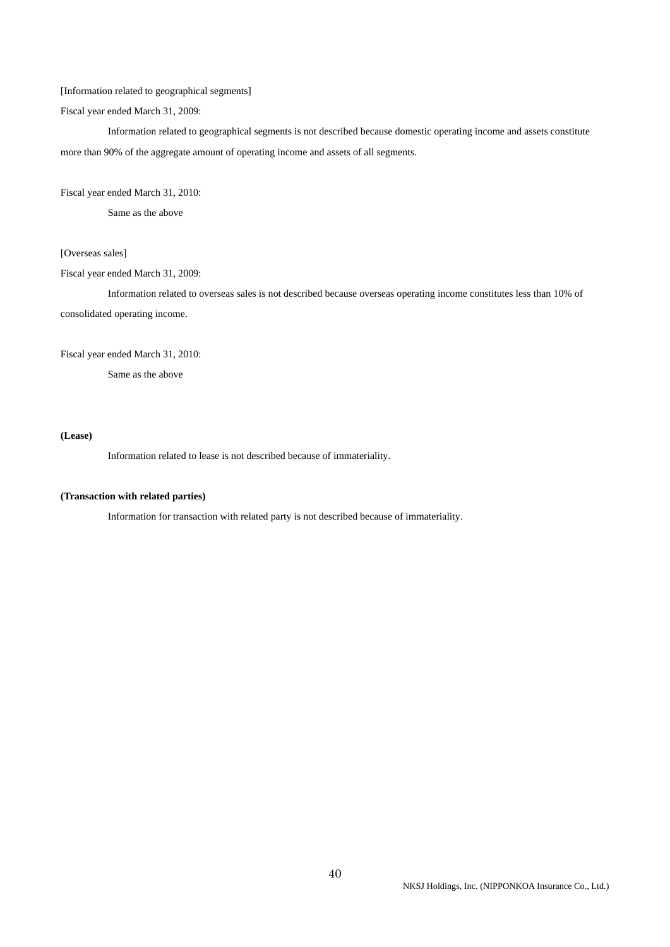### [Information related to geographical segments]

Fiscal year ended March 31, 2009:

 Information related to geographical segments is not described because domestic operating income and assets constitute more than 90% of the aggregate amount of operating income and assets of all segments.

### Fiscal year ended March 31, 2010:

Same as the above

## [Overseas sales]

Fiscal year ended March 31, 2009:

 Information related to overseas sales is not described because overseas operating income constitutes less than 10% of consolidated operating income.

#### Fiscal year ended March 31, 2010:

Same as the above

### **(Lease)**

Information related to lease is not described because of immateriality.

#### **(Transaction with related parties)**

Information for transaction with related party is not described because of immateriality.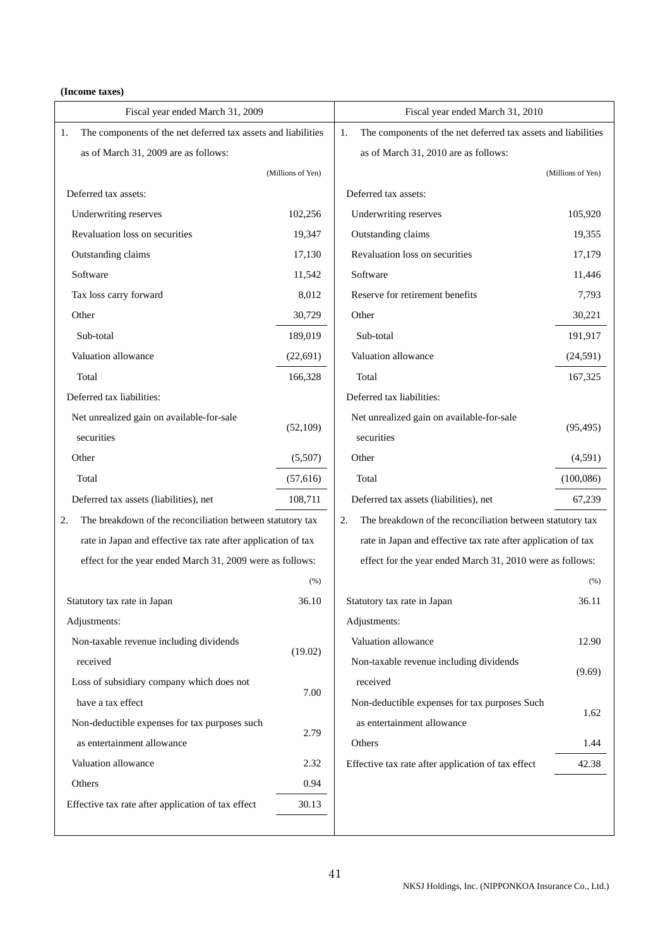### **(Income taxes)**

| Fiscal year ended March 31, 2009                                    |                   | Fiscal year ended March 31, 2010                                    |                   |
|---------------------------------------------------------------------|-------------------|---------------------------------------------------------------------|-------------------|
| The components of the net deferred tax assets and liabilities<br>1. |                   | 1.<br>The components of the net deferred tax assets and liabilities |                   |
| as of March 31, 2009 are as follows:                                |                   | as of March 31, 2010 are as follows:                                |                   |
|                                                                     | (Millions of Yen) |                                                                     | (Millions of Yen) |
| Deferred tax assets:                                                |                   | Deferred tax assets:                                                |                   |
| Underwriting reserves                                               | 102,256           | Underwriting reserves                                               | 105,920           |
| Revaluation loss on securities                                      | 19,347            | Outstanding claims                                                  | 19,355            |
| Outstanding claims                                                  | 17,130            | Revaluation loss on securities                                      | 17,179            |
| Software                                                            | 11,542            | Software                                                            | 11,446            |
| Tax loss carry forward                                              | 8,012             | Reserve for retirement benefits                                     | 7,793             |
| Other                                                               | 30,729            | Other                                                               | 30,221            |
| Sub-total                                                           | 189,019           | Sub-total                                                           | 191,917           |
| Valuation allowance                                                 | (22, 691)         | Valuation allowance                                                 | (24,591)          |
| Total                                                               | 166,328           | Total                                                               | 167,325           |
| Deferred tax liabilities:                                           |                   | Deferred tax liabilities:                                           |                   |
| Net unrealized gain on available-for-sale                           |                   | Net unrealized gain on available-for-sale                           |                   |
| securities                                                          | (52,109)          | securities                                                          | (95, 495)         |
| Other                                                               | (5,507)           | Other                                                               | (4,591)           |
| Total                                                               | (57, 616)         | Total                                                               | (100, 086)        |
| Deferred tax assets (liabilities), net                              | 108,711           | Deferred tax assets (liabilities), net                              | 67,239            |
| The breakdown of the reconciliation between statutory tax<br>2.     |                   | The breakdown of the reconciliation between statutory tax<br>2.     |                   |
| rate in Japan and effective tax rate after application of tax       |                   | rate in Japan and effective tax rate after application of tax       |                   |
| effect for the year ended March 31, 2009 were as follows:           |                   | effect for the year ended March 31, 2010 were as follows:           |                   |
|                                                                     | (% )              |                                                                     | (% )              |
| Statutory tax rate in Japan                                         | 36.10             | Statutory tax rate in Japan                                         | 36.11             |
| Adjustments:                                                        |                   | Adjustments:                                                        |                   |
| Non-taxable revenue including dividends                             |                   | Valuation allowance                                                 | 12.90             |
| received                                                            | (19.02)           | Non-taxable revenue including dividends                             |                   |
| Loss of subsidiary company which does not                           |                   | received                                                            | (9.69)            |
| have a tax effect                                                   | 7.00              | Non-deductible expenses for tax purposes Such                       |                   |
| Non-deductible expenses for tax purposes such                       |                   | as entertainment allowance                                          | 1.62              |
| as entertainment allowance                                          | 2.79              | Others                                                              | 1.44              |
| Valuation allowance                                                 | 2.32              | Effective tax rate after application of tax effect                  | 42.38             |
| Others                                                              | 0.94              |                                                                     |                   |
| Effective tax rate after application of tax effect                  | 30.13             |                                                                     |                   |
|                                                                     |                   |                                                                     |                   |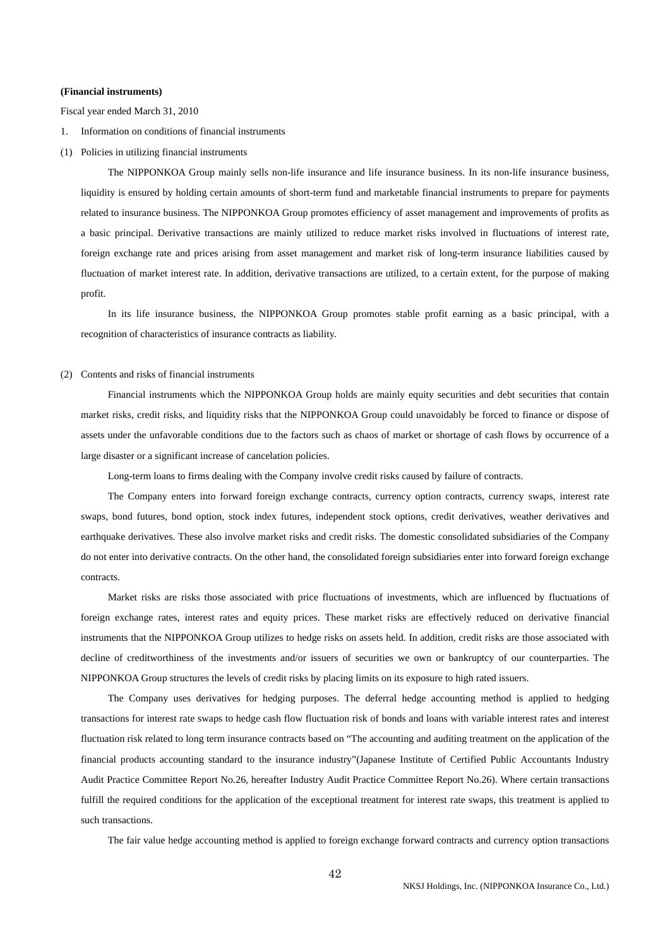#### **(Financial instruments)**

Fiscal year ended March 31, 2010

- 1. Information on conditions of financial instruments
- (1) Policies in utilizing financial instruments

 The NIPPONKOA Group mainly sells non-life insurance and life insurance business. In its non-life insurance business, liquidity is ensured by holding certain amounts of short-term fund and marketable financial instruments to prepare for payments related to insurance business. The NIPPONKOA Group promotes efficiency of asset management and improvements of profits as a basic principal. Derivative transactions are mainly utilized to reduce market risks involved in fluctuations of interest rate, foreign exchange rate and prices arising from asset management and market risk of long-term insurance liabilities caused by fluctuation of market interest rate. In addition, derivative transactions are utilized, to a certain extent, for the purpose of making profit.

 In its life insurance business, the NIPPONKOA Group promotes stable profit earning as a basic principal, with a recognition of characteristics of insurance contracts as liability.

#### (2) Contents and risks of financial instruments

 Financial instruments which the NIPPONKOA Group holds are mainly equity securities and debt securities that contain market risks, credit risks, and liquidity risks that the NIPPONKOA Group could unavoidably be forced to finance or dispose of assets under the unfavorable conditions due to the factors such as chaos of market or shortage of cash flows by occurrence of a large disaster or a significant increase of cancelation policies.

Long-term loans to firms dealing with the Company involve credit risks caused by failure of contracts.

 The Company enters into forward foreign exchange contracts, currency option contracts, currency swaps, interest rate swaps, bond futures, bond option, stock index futures, independent stock options, credit derivatives, weather derivatives and earthquake derivatives. These also involve market risks and credit risks. The domestic consolidated subsidiaries of the Company do not enter into derivative contracts. On the other hand, the consolidated foreign subsidiaries enter into forward foreign exchange contracts.

 Market risks are risks those associated with price fluctuations of investments, which are influenced by fluctuations of foreign exchange rates, interest rates and equity prices. These market risks are effectively reduced on derivative financial instruments that the NIPPONKOA Group utilizes to hedge risks on assets held. In addition, credit risks are those associated with decline of creditworthiness of the investments and/or issuers of securities we own or bankruptcy of our counterparties. The NIPPONKOA Group structures the levels of credit risks by placing limits on its exposure to high rated issuers.

 The Company uses derivatives for hedging purposes. The deferral hedge accounting method is applied to hedging transactions for interest rate swaps to hedge cash flow fluctuation risk of bonds and loans with variable interest rates and interest fluctuation risk related to long term insurance contracts based on "The accounting and auditing treatment on the application of the financial products accounting standard to the insurance industry"(Japanese Institute of Certified Public Accountants Industry Audit Practice Committee Report No.26, hereafter Industry Audit Practice Committee Report No.26). Where certain transactions fulfill the required conditions for the application of the exceptional treatment for interest rate swaps, this treatment is applied to such transactions.

The fair value hedge accounting method is applied to foreign exchange forward contracts and currency option transactions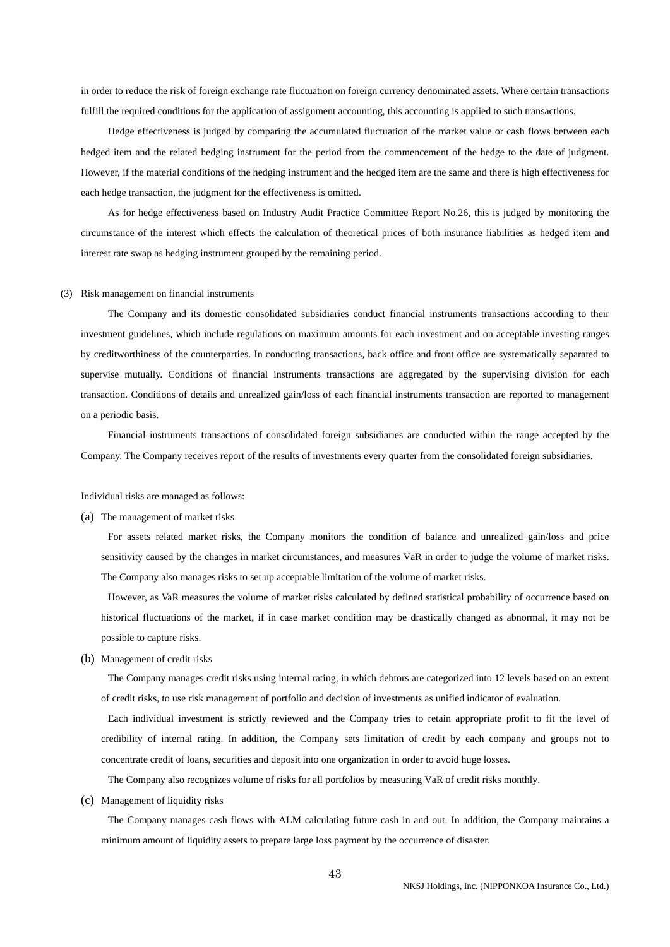in order to reduce the risk of foreign exchange rate fluctuation on foreign currency denominated assets. Where certain transactions fulfill the required conditions for the application of assignment accounting, this accounting is applied to such transactions.

 Hedge effectiveness is judged by comparing the accumulated fluctuation of the market value or cash flows between each hedged item and the related hedging instrument for the period from the commencement of the hedge to the date of judgment. However, if the material conditions of the hedging instrument and the hedged item are the same and there is high effectiveness for each hedge transaction, the judgment for the effectiveness is omitted.

 As for hedge effectiveness based on Industry Audit Practice Committee Report No.26, this is judged by monitoring the circumstance of the interest which effects the calculation of theoretical prices of both insurance liabilities as hedged item and interest rate swap as hedging instrument grouped by the remaining period.

#### (3) Risk management on financial instruments

 The Company and its domestic consolidated subsidiaries conduct financial instruments transactions according to their investment guidelines, which include regulations on maximum amounts for each investment and on acceptable investing ranges by creditworthiness of the counterparties. In conducting transactions, back office and front office are systematically separated to supervise mutually. Conditions of financial instruments transactions are aggregated by the supervising division for each transaction. Conditions of details and unrealized gain/loss of each financial instruments transaction are reported to management on a periodic basis.

 Financial instruments transactions of consolidated foreign subsidiaries are conducted within the range accepted by the Company. The Company receives report of the results of investments every quarter from the consolidated foreign subsidiaries.

Individual risks are managed as follows:

(a) The management of market risks

 For assets related market risks, the Company monitors the condition of balance and unrealized gain/loss and price sensitivity caused by the changes in market circumstances, and measures VaR in order to judge the volume of market risks. The Company also manages risks to set up acceptable limitation of the volume of market risks.

 However, as VaR measures the volume of market risks calculated by defined statistical probability of occurrence based on historical fluctuations of the market, if in case market condition may be drastically changed as abnormal, it may not be possible to capture risks.

(b) Management of credit risks

 The Company manages credit risks using internal rating, in which debtors are categorized into 12 levels based on an extent of credit risks, to use risk management of portfolio and decision of investments as unified indicator of evaluation.

 Each individual investment is strictly reviewed and the Company tries to retain appropriate profit to fit the level of credibility of internal rating. In addition, the Company sets limitation of credit by each company and groups not to concentrate credit of loans, securities and deposit into one organization in order to avoid huge losses.

The Company also recognizes volume of risks for all portfolios by measuring VaR of credit risks monthly.

(c) Management of liquidity risks

 The Company manages cash flows with ALM calculating future cash in and out. In addition, the Company maintains a minimum amount of liquidity assets to prepare large loss payment by the occurrence of disaster.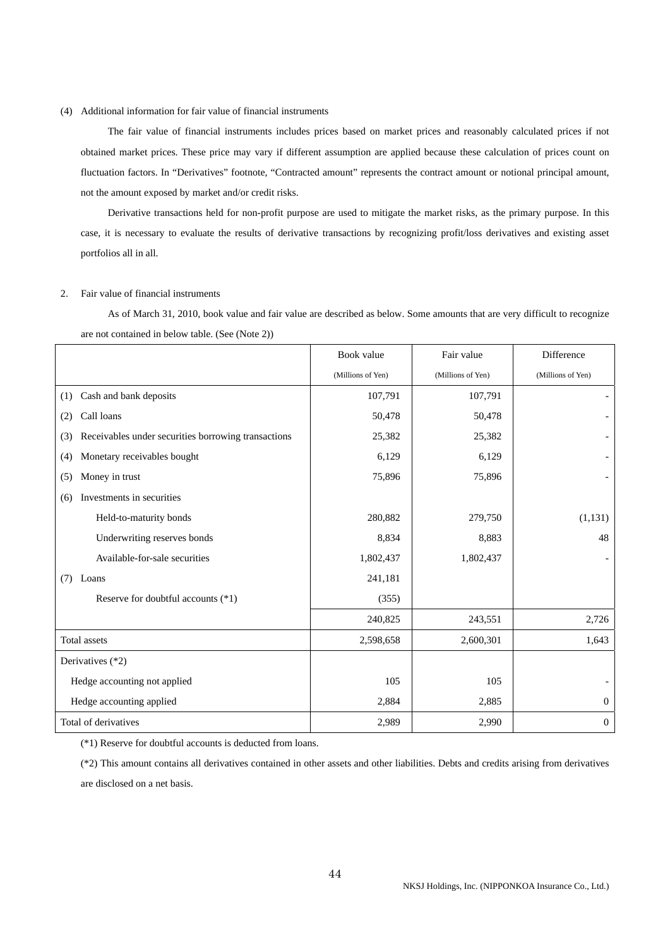### (4) Additional information for fair value of financial instruments

 The fair value of financial instruments includes prices based on market prices and reasonably calculated prices if not obtained market prices. These price may vary if different assumption are applied because these calculation of prices count on fluctuation factors. In "Derivatives" footnote, "Contracted amount" represents the contract amount or notional principal amount, not the amount exposed by market and/or credit risks.

 Derivative transactions held for non-profit purpose are used to mitigate the market risks, as the primary purpose. In this case, it is necessary to evaluate the results of derivative transactions by recognizing profit/loss derivatives and existing asset portfolios all in all.

#### 2. Fair value of financial instruments

 As of March 31, 2010, book value and fair value are described as below. Some amounts that are very difficult to recognize are not contained in below table. (See (Note 2))

|                                                            | Book value        | Fair value        | Difference               |
|------------------------------------------------------------|-------------------|-------------------|--------------------------|
|                                                            | (Millions of Yen) | (Millions of Yen) | (Millions of Yen)        |
| Cash and bank deposits<br>(1)                              | 107,791           | 107,791           |                          |
| Call loans<br>(2)                                          | 50,478            | 50,478            |                          |
| Receivables under securities borrowing transactions<br>(3) | 25,382            | 25,382            |                          |
| Monetary receivables bought<br>(4)                         | 6,129             | 6,129             |                          |
| Money in trust<br>(5)                                      | 75,896            | 75,896            |                          |
| Investments in securities<br>(6)                           |                   |                   |                          |
| Held-to-maturity bonds                                     | 280,882           | 279,750           | (1,131)                  |
| Underwriting reserves bonds                                | 8,834             | 8,883             | 48                       |
| Available-for-sale securities                              | 1,802,437         | 1,802,437         |                          |
| Loans<br>(7)                                               | 241,181           |                   |                          |
| Reserve for doubtful accounts (*1)                         | (355)             |                   |                          |
|                                                            | 240,825           | 243,551           | 2,726                    |
| Total assets                                               | 2,598,658         | 2,600,301         | 1,643                    |
| Derivatives (*2)                                           |                   |                   |                          |
| Hedge accounting not applied                               | 105               | 105               | $\overline{\phantom{0}}$ |
| Hedge accounting applied                                   | 2,884             | 2,885             | $\overline{0}$           |
| Total of derivatives                                       | 2,989             | 2,990             | $\mathbf{0}$             |

(\*1) Reserve for doubtful accounts is deducted from loans.

(\*2) This amount contains all derivatives contained in other assets and other liabilities. Debts and credits arising from derivatives are disclosed on a net basis.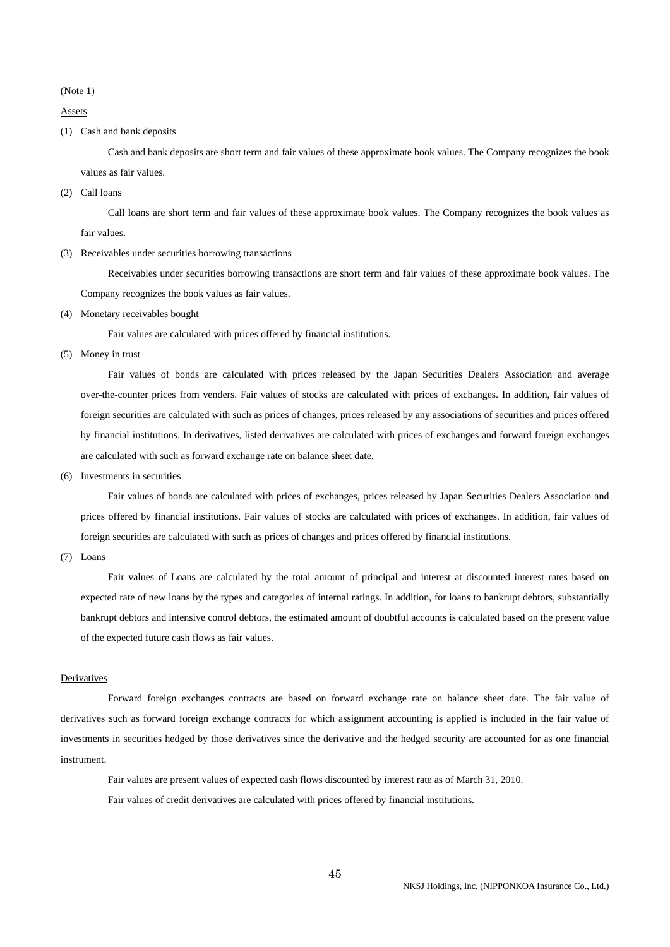(Note 1)

Assets

(1) Cash and bank deposits

 Cash and bank deposits are short term and fair values of these approximate book values. The Company recognizes the book values as fair values.

(2) Call loans

 Call loans are short term and fair values of these approximate book values. The Company recognizes the book values as fair values.

(3) Receivables under securities borrowing transactions

 Receivables under securities borrowing transactions are short term and fair values of these approximate book values. The Company recognizes the book values as fair values.

(4) Monetary receivables bought

Fair values are calculated with prices offered by financial institutions.

(5) Money in trust

 Fair values of bonds are calculated with prices released by the Japan Securities Dealers Association and average over-the-counter prices from venders. Fair values of stocks are calculated with prices of exchanges. In addition, fair values of foreign securities are calculated with such as prices of changes, prices released by any associations of securities and prices offered by financial institutions. In derivatives, listed derivatives are calculated with prices of exchanges and forward foreign exchanges are calculated with such as forward exchange rate on balance sheet date.

(6) Investments in securities

 Fair values of bonds are calculated with prices of exchanges, prices released by Japan Securities Dealers Association and prices offered by financial institutions. Fair values of stocks are calculated with prices of exchanges. In addition, fair values of foreign securities are calculated with such as prices of changes and prices offered by financial institutions.

(7) Loans

 Fair values of Loans are calculated by the total amount of principal and interest at discounted interest rates based on expected rate of new loans by the types and categories of internal ratings. In addition, for loans to bankrupt debtors, substantially bankrupt debtors and intensive control debtors, the estimated amount of doubtful accounts is calculated based on the present value of the expected future cash flows as fair values.

#### Derivatives

 Forward foreign exchanges contracts are based on forward exchange rate on balance sheet date. The fair value of derivatives such as forward foreign exchange contracts for which assignment accounting is applied is included in the fair value of investments in securities hedged by those derivatives since the derivative and the hedged security are accounted for as one financial instrument.

 Fair values are present values of expected cash flows discounted by interest rate as of March 31, 2010. Fair values of credit derivatives are calculated with prices offered by financial institutions.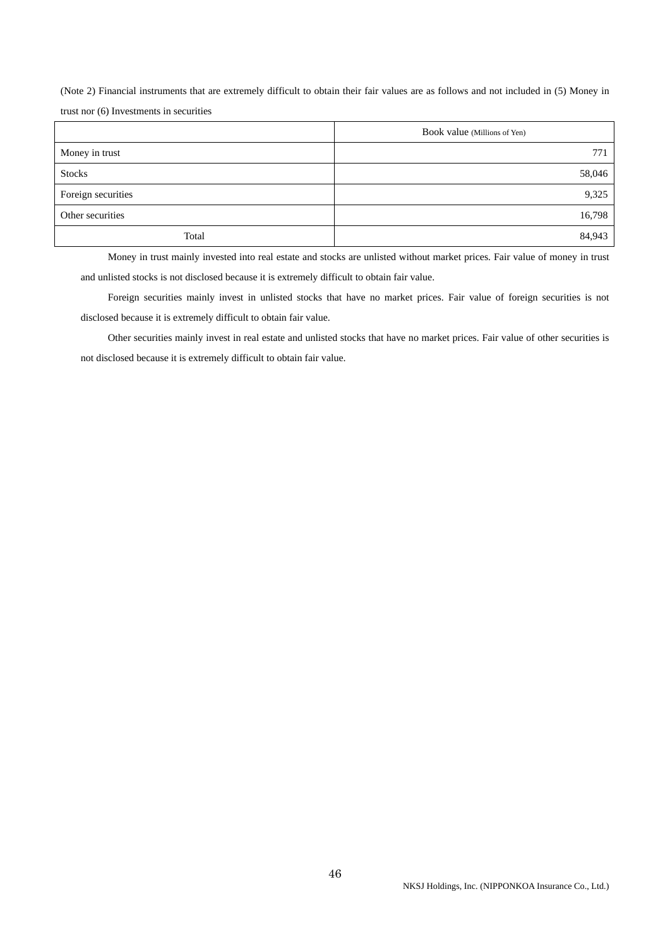(Note 2) Financial instruments that are extremely difficult to obtain their fair values are as follows and not included in (5) Money in trust nor (6) Investments in securities

|                    | Book value (Millions of Yen) |
|--------------------|------------------------------|
| Money in trust     | 771                          |
| <b>Stocks</b>      | 58,046                       |
| Foreign securities | 9,325                        |
| Other securities   | 16,798                       |
| Total              | 84,943                       |

 Money in trust mainly invested into real estate and stocks are unlisted without market prices. Fair value of money in trust and unlisted stocks is not disclosed because it is extremely difficult to obtain fair value.

 Foreign securities mainly invest in unlisted stocks that have no market prices. Fair value of foreign securities is not disclosed because it is extremely difficult to obtain fair value.

 Other securities mainly invest in real estate and unlisted stocks that have no market prices. Fair value of other securities is not disclosed because it is extremely difficult to obtain fair value.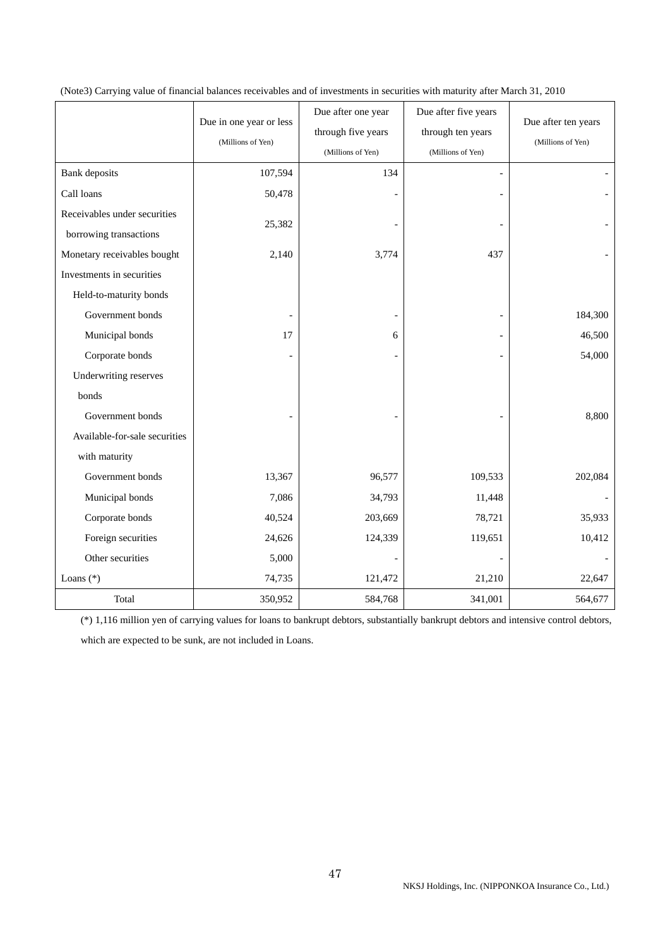|                               | Due in one year or less<br>(Millions of Yen) | Due after one year<br>through five years<br>(Millions of Yen) | Due after five years<br>through ten years<br>(Millions of Yen) | Due after ten years<br>(Millions of Yen) |
|-------------------------------|----------------------------------------------|---------------------------------------------------------------|----------------------------------------------------------------|------------------------------------------|
| <b>Bank</b> deposits          | 107,594                                      | 134                                                           | $\overline{a}$                                                 |                                          |
| Call loans                    | 50,478                                       |                                                               |                                                                |                                          |
| Receivables under securities  |                                              |                                                               |                                                                |                                          |
| borrowing transactions        | 25,382                                       |                                                               |                                                                |                                          |
| Monetary receivables bought   | 2,140                                        | 3,774                                                         | 437                                                            |                                          |
| Investments in securities     |                                              |                                                               |                                                                |                                          |
| Held-to-maturity bonds        |                                              |                                                               |                                                                |                                          |
| Government bonds              |                                              |                                                               |                                                                | 184,300                                  |
| Municipal bonds               | 17                                           | 6                                                             |                                                                | 46,500                                   |
| Corporate bonds               |                                              |                                                               |                                                                | 54,000                                   |
| Underwriting reserves         |                                              |                                                               |                                                                |                                          |
| bonds                         |                                              |                                                               |                                                                |                                          |
| Government bonds              |                                              |                                                               |                                                                | 8,800                                    |
| Available-for-sale securities |                                              |                                                               |                                                                |                                          |
| with maturity                 |                                              |                                                               |                                                                |                                          |
| Government bonds              | 13,367                                       | 96,577                                                        | 109,533                                                        | 202,084                                  |
| Municipal bonds               | 7,086                                        | 34,793                                                        | 11,448                                                         |                                          |
| Corporate bonds               | 40,524                                       | 203,669                                                       | 78,721                                                         | 35,933                                   |
| Foreign securities            | 24,626                                       | 124,339                                                       | 119,651                                                        | 10,412                                   |
| Other securities              | 5,000                                        |                                                               |                                                                |                                          |
| Loans (*)                     | 74,735                                       | 121,472                                                       | 21,210                                                         | 22,647                                   |
| Total                         | 350,952                                      | 584,768                                                       | 341,001                                                        | 564,677                                  |

## (Note3) Carrying value of financial balances receivables and of investments in securities with maturity after March 31, 2010

(\*) 1,116 million yen of carrying values for loans to bankrupt debtors, substantially bankrupt debtors and intensive control debtors, which are expected to be sunk, are not included in Loans.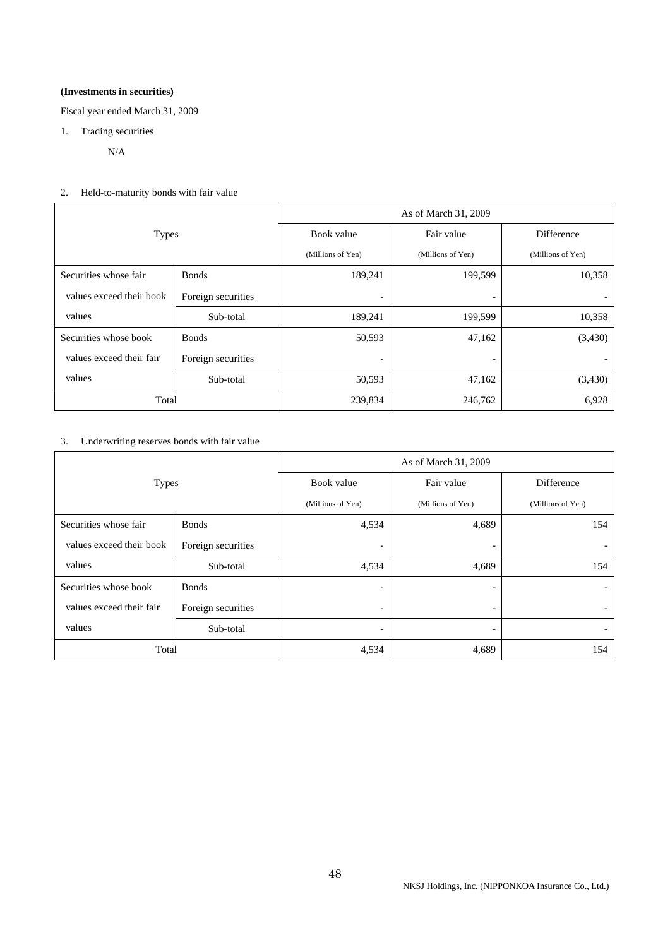## **(Investments in securities)**

Fiscal year ended March 31, 2009

1. Trading securities

N/A

2. Held-to-maturity bonds with fair value

|                          |                    | As of March 31, 2009     |                          |                   |  |
|--------------------------|--------------------|--------------------------|--------------------------|-------------------|--|
| <b>Types</b>             |                    | Book value               | Fair value               | Difference        |  |
|                          |                    | (Millions of Yen)        | (Millions of Yen)        | (Millions of Yen) |  |
| Securities whose fair    | <b>Bonds</b>       | 189,241                  | 199,599                  | 10,358            |  |
| values exceed their book | Foreign securities |                          |                          |                   |  |
| values                   | Sub-total          | 189,241                  | 199,599                  | 10,358            |  |
| Securities whose book    | <b>Bonds</b>       | 50,593                   | 47,162                   | (3,430)           |  |
| values exceed their fair | Foreign securities | $\overline{\phantom{0}}$ | $\overline{\phantom{a}}$ |                   |  |
| values                   | Sub-total          | 50,593                   | 47,162                   | (3,430)           |  |
| Total                    |                    | 239,834                  | 246,762                  | 6,928             |  |

3. Underwriting reserves bonds with fair value

|                          |                    | As of March 31, 2009     |                          |                   |  |
|--------------------------|--------------------|--------------------------|--------------------------|-------------------|--|
| <b>Types</b>             |                    | Book value               | Fair value               | Difference        |  |
|                          |                    | (Millions of Yen)        | (Millions of Yen)        | (Millions of Yen) |  |
| Securities whose fair    | <b>Bonds</b>       | 4,534                    | 4,689                    | 154               |  |
| values exceed their book | Foreign securities | $\overline{\phantom{0}}$ | $\overline{\phantom{a}}$ |                   |  |
| values                   | Sub-total          | 4,534                    | 4,689                    | 154               |  |
| Securities whose book    | <b>B</b> onds      | $\overline{\phantom{0}}$ | $\overline{\phantom{a}}$ |                   |  |
| values exceed their fair | Foreign securities | $\overline{\phantom{a}}$ | $\overline{\phantom{a}}$ |                   |  |
| values                   | Sub-total          | $\overline{\phantom{a}}$ | $\overline{\phantom{a}}$ |                   |  |
| Total                    |                    | 4,534                    | 4,689                    | 154               |  |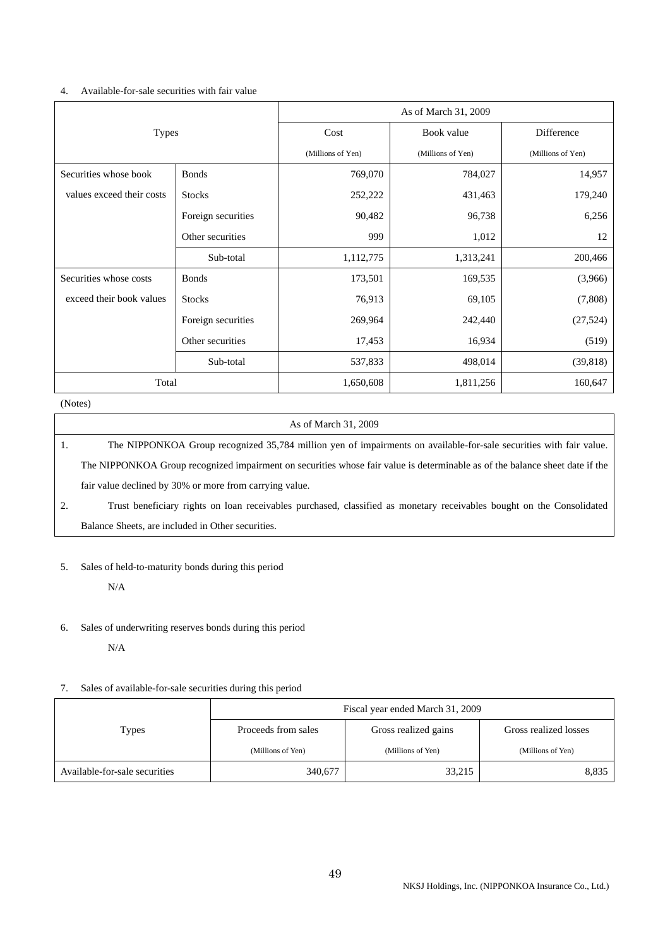### 4. Available-for-sale securities with fair value

|                           |                    | As of March 31, 2009 |                   |                   |  |
|---------------------------|--------------------|----------------------|-------------------|-------------------|--|
| <b>Types</b>              |                    | Cost                 | Book value        | Difference        |  |
|                           |                    | (Millions of Yen)    | (Millions of Yen) | (Millions of Yen) |  |
| Securities whose book     | <b>Bonds</b>       | 769,070              | 784,027           | 14,957            |  |
| values exceed their costs | <b>Stocks</b>      | 252,222              | 431,463           | 179,240           |  |
|                           | Foreign securities | 90,482               | 96,738            | 6,256             |  |
|                           | Other securities   | 999                  | 1,012             | 12                |  |
|                           | Sub-total          | 1,112,775            | 1,313,241         | 200,466           |  |
| Securities whose costs    | <b>Bonds</b>       | 173,501              | 169,535           | (3,966)           |  |
| exceed their book values  | <b>Stocks</b>      | 76,913               | 69,105            | (7,808)           |  |
|                           | Foreign securities | 269,964              | 242,440           | (27, 524)         |  |
|                           | Other securities   | 17,453               | 16,934            | (519)             |  |
|                           | Sub-total          | 537,833              | 498,014           | (39, 818)         |  |
| Total                     |                    | 1,650,608            | 1,811,256         | 160,647           |  |

(Notes)

## As of March 31, 2009

1. The NIPPONKOA Group recognized 35,784 million yen of impairments on available-for-sale securities with fair value. The NIPPONKOA Group recognized impairment on securities whose fair value is determinable as of the balance sheet date if the fair value declined by 30% or more from carrying value.

2. Trust beneficiary rights on loan receivables purchased, classified as monetary receivables bought on the Consolidated Balance Sheets, are included in Other securities.

5. Sales of held-to-maturity bonds during this period

N/A

## 6. Sales of underwriting reserves bonds during this period

N/A

## 7. Sales of available-for-sale securities during this period

|                               | Fiscal year ended March 31, 2009 |                      |                       |  |  |
|-------------------------------|----------------------------------|----------------------|-----------------------|--|--|
| <b>Types</b>                  | Proceeds from sales              | Gross realized gains | Gross realized losses |  |  |
|                               | (Millions of Yen)                | (Millions of Yen)    | (Millions of Yen)     |  |  |
| Available-for-sale securities | 340,677                          | 33,215               | 8,835                 |  |  |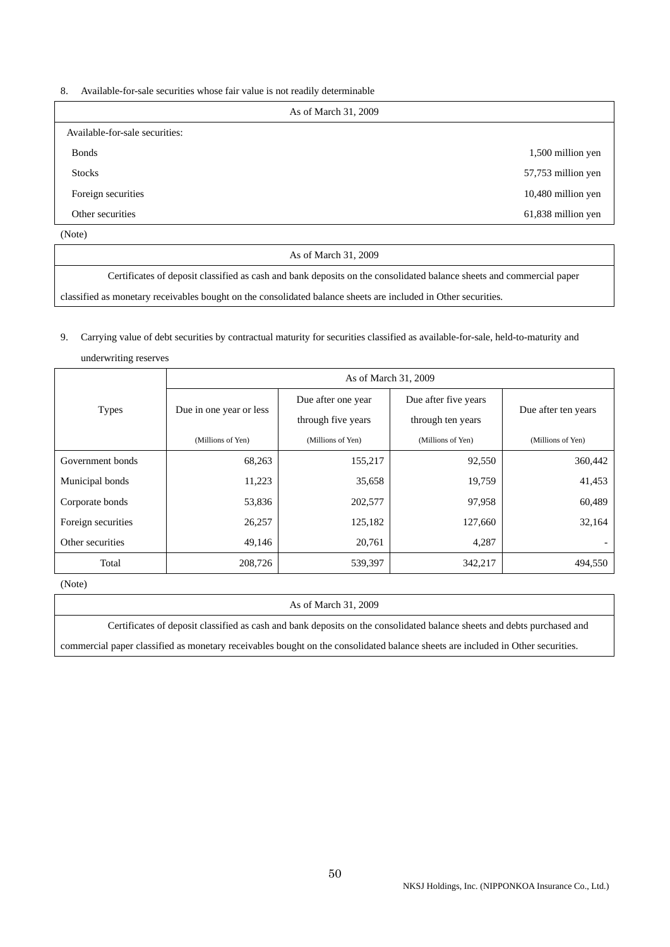8. Available-for-sale securities whose fair value is not readily determinable

| As of March 31, 2009           |                    |
|--------------------------------|--------------------|
| Available-for-sale securities: |                    |
| <b>Bonds</b>                   | 1,500 million yen  |
| <b>Stocks</b>                  | 57,753 million yen |
| Foreign securities             | 10,480 million yen |
| Other securities               | 61,838 million yen |
| (Note)                         |                    |

As of March 31, 2009

Certificates of deposit classified as cash and bank deposits on the consolidated balance sheets and commercial paper

classified as monetary receivables bought on the consolidated balance sheets are included in Other securities.

# 9. Carrying value of debt securities by contractual maturity for securities classified as available-for-sale, held-to-maturity and

| underwriting reserves |                         |                                          |                                           |                     |  |
|-----------------------|-------------------------|------------------------------------------|-------------------------------------------|---------------------|--|
|                       | As of March 31, 2009    |                                          |                                           |                     |  |
| <b>Types</b>          | Due in one year or less | Due after one year<br>through five years | Due after five years<br>through ten years | Due after ten years |  |
|                       | (Millions of Yen)       | (Millions of Yen)                        | (Millions of Yen)                         | (Millions of Yen)   |  |
| Government bonds      | 68,263                  | 155,217                                  | 92,550                                    | 360,442             |  |
| Municipal bonds       | 11,223                  | 35,658                                   | 19,759                                    | 41,453              |  |
| Corporate bonds       | 53,836                  | 202,577                                  | 97,958                                    | 60,489              |  |
| Foreign securities    | 26,257                  | 125,182                                  | 127,660                                   | 32,164              |  |
| Other securities      | 49,146                  | 20,761                                   | 4,287                                     |                     |  |
| Total                 | 208,726                 | 539,397                                  | 342,217                                   | 494,550             |  |

(Note)

#### As of March 31, 2009

Certificates of deposit classified as cash and bank deposits on the consolidated balance sheets and debts purchased and

commercial paper classified as monetary receivables bought on the consolidated balance sheets are included in Other securities.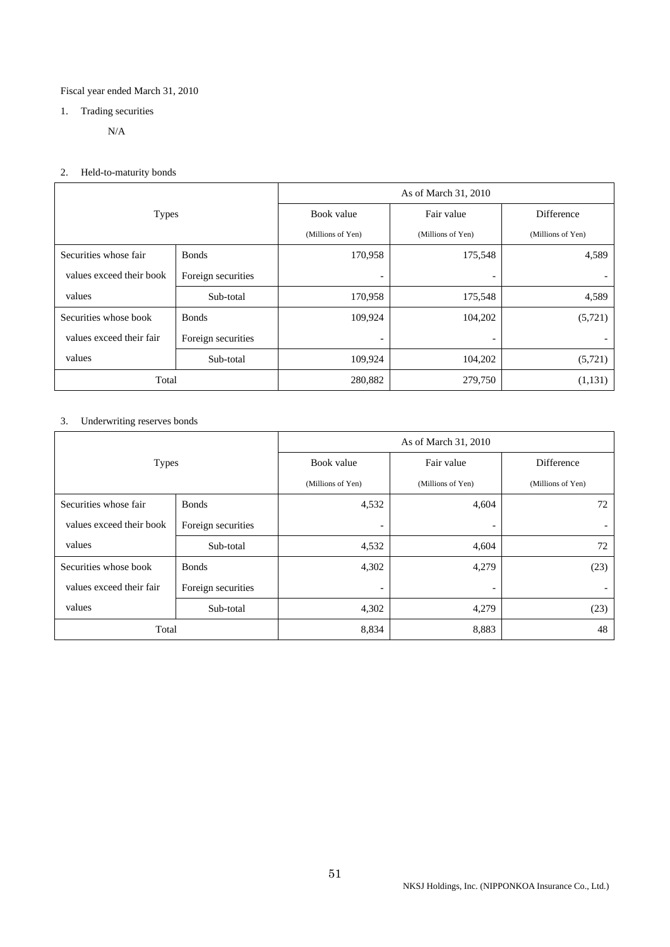## Fiscal year ended March 31, 2010

# 1. Trading securities

N/A

# 2. Held-to-maturity bonds

|                          |                    | As of March 31, 2010     |                          |                   |  |
|--------------------------|--------------------|--------------------------|--------------------------|-------------------|--|
| <b>Types</b>             |                    | Book value               | Fair value               | Difference        |  |
|                          |                    | (Millions of Yen)        | (Millions of Yen)        | (Millions of Yen) |  |
| Securities whose fair    | <b>Bonds</b>       | 170,958                  | 175,548                  | 4,589             |  |
| values exceed their book | Foreign securities | $\overline{\phantom{a}}$ | $\overline{\phantom{a}}$ |                   |  |
| values                   | Sub-total          | 170,958                  | 175,548                  | 4,589             |  |
| Securities whose book    | <b>Bonds</b>       | 109,924                  | 104,202                  | (5, 721)          |  |
| values exceed their fair | Foreign securities | $\overline{\phantom{0}}$ | $\overline{\phantom{a}}$ |                   |  |
| values                   | Sub-total          | 109,924                  | 104,202                  | (5,721)           |  |
| Total                    |                    | 280,882                  | 279,750                  | (1,131)           |  |

# 3. Underwriting reserves bonds

|                          |                    | As of March 31, 2010     |                          |                              |  |
|--------------------------|--------------------|--------------------------|--------------------------|------------------------------|--|
| <b>Types</b>             |                    | Book value               | Fair value               | <b>Difference</b>            |  |
|                          |                    | (Millions of Yen)        | (Millions of Yen)        | (Millions of Yen)            |  |
| Securities whose fair    | <b>Bonds</b>       | 4,532                    | 4,604                    | 72                           |  |
| values exceed their book | Foreign securities | $\overline{\phantom{0}}$ | $\overline{\phantom{0}}$ | $\qquad \qquad \blacksquare$ |  |
| values                   | Sub-total          | 4,532                    | 4,604                    | 72                           |  |
| Securities whose book    | <b>B</b> onds      | 4,302                    | 4,279                    | (23)                         |  |
| values exceed their fair | Foreign securities | $\overline{\phantom{0}}$ | $\overline{\phantom{a}}$ |                              |  |
| values                   | Sub-total          | 4,302                    | 4,279                    | (23)                         |  |
| Total                    |                    | 8,834                    | 8,883                    | 48                           |  |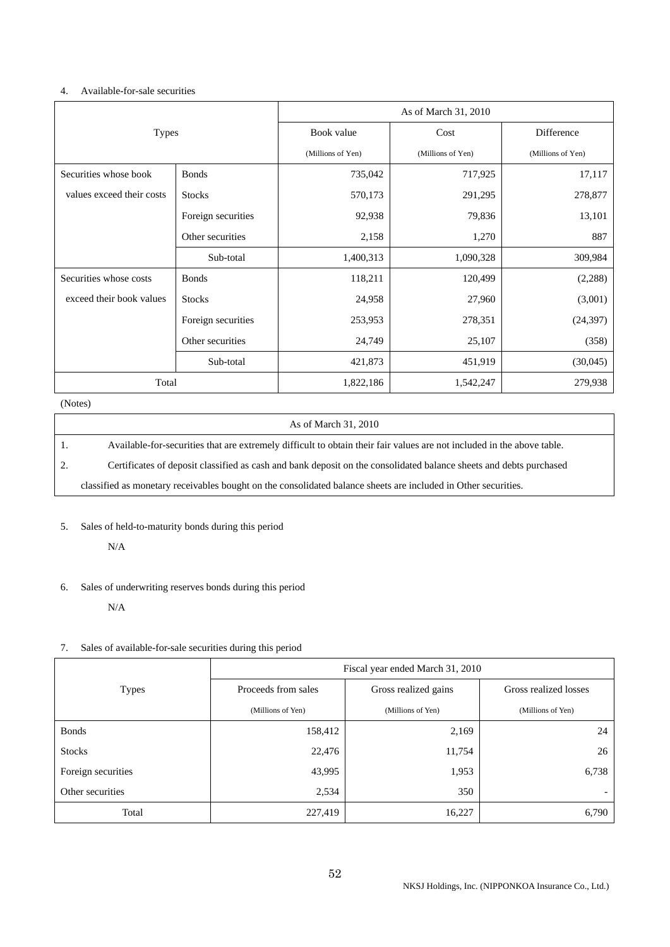### 4. Available-for-sale securities

|                           |                    | As of March 31, 2010 |                   |                   |  |
|---------------------------|--------------------|----------------------|-------------------|-------------------|--|
| <b>Types</b>              |                    | Book value           | Cost              | Difference        |  |
|                           |                    | (Millions of Yen)    | (Millions of Yen) | (Millions of Yen) |  |
| Securities whose book     | <b>Bonds</b>       | 735,042              | 717,925           | 17,117            |  |
| values exceed their costs | <b>Stocks</b>      | 570,173              | 291,295           | 278,877           |  |
|                           | Foreign securities | 92,938               | 79,836            | 13,101            |  |
| Other securities          |                    | 2,158                | 1,270             | 887               |  |
|                           | Sub-total          | 1,400,313            | 1,090,328         | 309,984           |  |
| Securities whose costs    | <b>Bonds</b>       | 118,211              | 120,499           | (2, 288)          |  |
| exceed their book values  | <b>Stocks</b>      | 24,958               | 27,960            | (3,001)           |  |
|                           | Foreign securities | 253,953              | 278,351           | (24, 397)         |  |
|                           | Other securities   | 24,749               | 25,107            | (358)             |  |
|                           | Sub-total          | 421,873              | 451,919           | (30,045)          |  |
| Total                     |                    | 1,822,186            | 1,542,247         | 279,938           |  |

## (Notes)

|    | As of March 31, 2010                                                                                                   |
|----|------------------------------------------------------------------------------------------------------------------------|
|    | Available-for-securities that are extremely difficult to obtain their fair values are not included in the above table. |
| 2. | Certificates of deposit classified as cash and bank deposit on the consolidated balance sheets and debts purchased     |
|    | classified as monetary receivables bought on the consolidated balance sheets are included in Other securities.         |

## 5. Sales of held-to-maturity bonds during this period

N/A

## 6. Sales of underwriting reserves bonds during this period

N/A

## 7. Sales of available-for-sale securities during this period

|                    | Fiscal year ended March 31, 2010 |                      |                          |  |
|--------------------|----------------------------------|----------------------|--------------------------|--|
| <b>Types</b>       | Proceeds from sales              | Gross realized gains | Gross realized losses    |  |
|                    | (Millions of Yen)                | (Millions of Yen)    | (Millions of Yen)        |  |
| <b>Bonds</b>       | 158,412                          | 2,169                | 24                       |  |
| <b>Stocks</b>      | 22,476                           | 11,754               | 26                       |  |
| Foreign securities | 43,995                           | 1,953                | 6,738                    |  |
| Other securities   | 2,534                            | 350                  | $\overline{\phantom{0}}$ |  |
| Total              | 227,419                          | 16,227               | 6,790                    |  |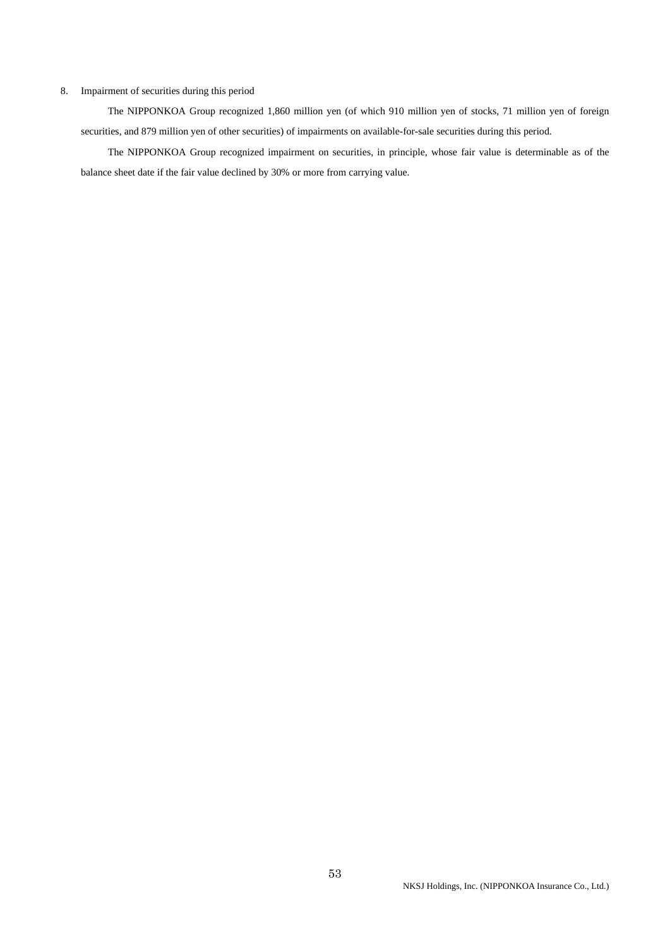#### 8. Impairment of securities during this period

 The NIPPONKOA Group recognized 1,860 million yen (of which 910 million yen of stocks, 71 million yen of foreign securities, and 879 million yen of other securities) of impairments on available-for-sale securities during this period.

 The NIPPONKOA Group recognized impairment on securities, in principle, whose fair value is determinable as of the balance sheet date if the fair value declined by 30% or more from carrying value.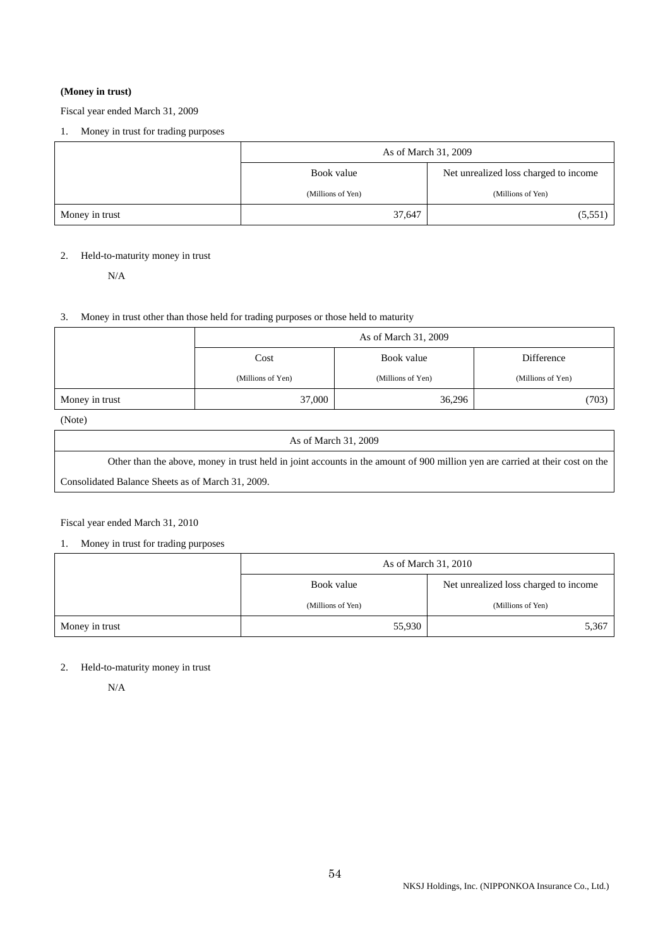## **(Money in trust)**

## Fiscal year ended March 31, 2009

## 1. Money in trust for trading purposes

|                | As of March 31, 2009                                |                   |  |
|----------------|-----------------------------------------------------|-------------------|--|
|                | Net unrealized loss charged to income<br>Book value |                   |  |
|                | (Millions of Yen)                                   | (Millions of Yen) |  |
| Money in trust | 37,647                                              | (5,551)           |  |

## 2. Held-to-maturity money in trust

N/A

## 3. Money in trust other than those held for trading purposes or those held to maturity

|                | As of March 31, 2009 |                   |                   |  |  |
|----------------|----------------------|-------------------|-------------------|--|--|
|                | Cost                 | Book value        | Difference        |  |  |
|                | (Millions of Yen)    | (Millions of Yen) | (Millions of Yen) |  |  |
| Money in trust | 37,000               | 36,296            | (703)             |  |  |

(Note)

|  |  | As of March 31, 2009 |  |  |
|--|--|----------------------|--|--|
|--|--|----------------------|--|--|

Other than the above, money in trust held in joint accounts in the amount of 900 million yen are carried at their cost on the

Consolidated Balance Sheets as of March 31, 2009.

## Fiscal year ended March 31, 2010

# 1. Money in trust for trading purposes

|                | As of March 31, 2010                                |                   |  |
|----------------|-----------------------------------------------------|-------------------|--|
|                | Net unrealized loss charged to income<br>Book value |                   |  |
|                | (Millions of Yen)                                   | (Millions of Yen) |  |
| Money in trust | 55,930                                              | 5,367             |  |

### 2. Held-to-maturity money in trust

N/A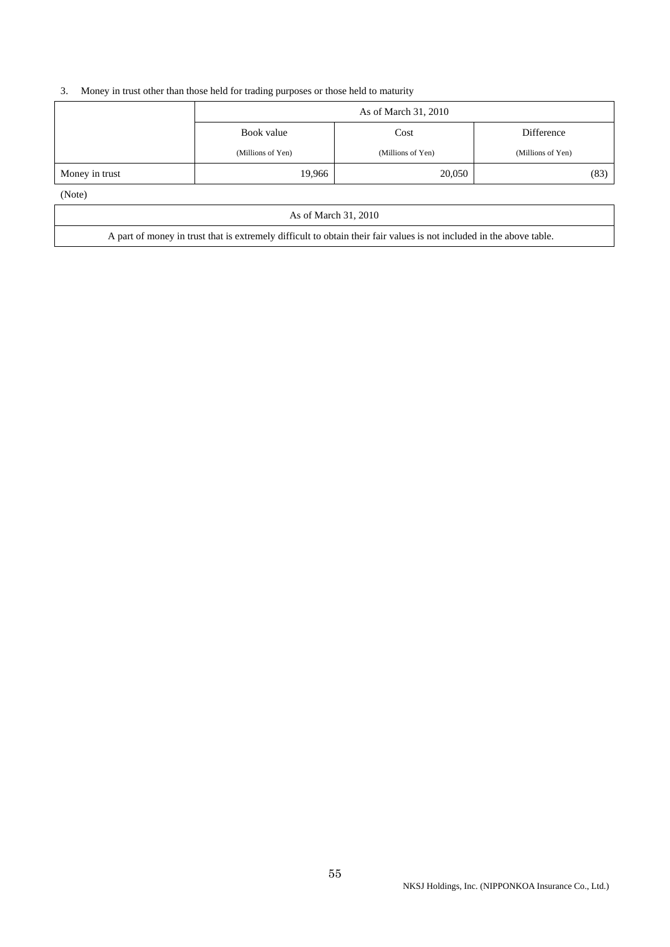## 3. Money in trust other than those held for trading purposes or those held to maturity

|                | As of March 31, 2010 |                   |                   |  |
|----------------|----------------------|-------------------|-------------------|--|
|                | Book value<br>Cost   |                   | Difference        |  |
|                | (Millions of Yen)    | (Millions of Yen) | (Millions of Yen) |  |
| Money in trust | 19,966               | 20,050            | (83)              |  |
| (Note)         |                      |                   |                   |  |

As of March 31, 2010

A part of money in trust that is extremely difficult to obtain their fair values is not included in the above table.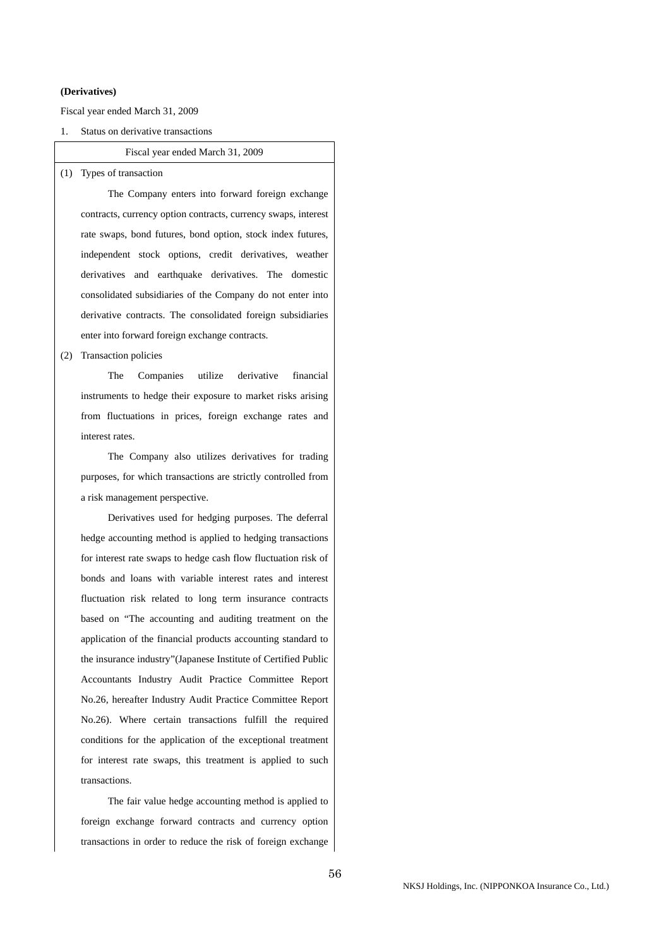### **(Derivatives)**

Fiscal year ended March 31, 2009

1. Status on derivative transactions

### Fiscal year ended March 31, 2009

(1) Types of transaction

 The Company enters into forward foreign exchange contracts, currency option contracts, currency swaps, interest rate swaps, bond futures, bond option, stock index futures, independent stock options, credit derivatives, weather derivatives and earthquake derivatives. The domestic consolidated subsidiaries of the Company do not enter into derivative contracts. The consolidated foreign subsidiaries enter into forward foreign exchange contracts.

(2) Transaction policies

 The Companies utilize derivative financial instruments to hedge their exposure to market risks arising from fluctuations in prices, foreign exchange rates and interest rates.

 The Company also utilizes derivatives for trading purposes, for which transactions are strictly controlled from a risk management perspective.

 Derivatives used for hedging purposes. The deferral hedge accounting method is applied to hedging transactions for interest rate swaps to hedge cash flow fluctuation risk of bonds and loans with variable interest rates and interest fluctuation risk related to long term insurance contracts based on "The accounting and auditing treatment on the application of the financial products accounting standard to the insurance industry"(Japanese Institute of Certified Public Accountants Industry Audit Practice Committee Report No.26, hereafter Industry Audit Practice Committee Report No.26). Where certain transactions fulfill the required conditions for the application of the exceptional treatment for interest rate swaps, this treatment is applied to such transactions.

 The fair value hedge accounting method is applied to foreign exchange forward contracts and currency option transactions in order to reduce the risk of foreign exchange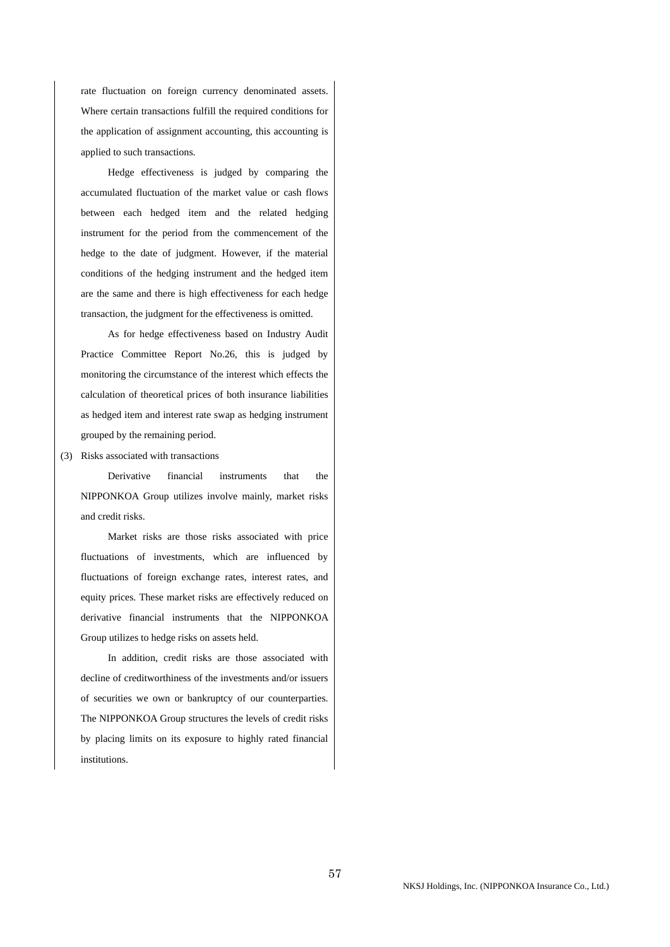rate fluctuation on foreign currency denominated assets. Where certain transactions fulfill the required conditions for the application of assignment accounting, this accounting is applied to such transactions.

 Hedge effectiveness is judged by comparing the accumulated fluctuation of the market value or cash flows between each hedged item and the related hedging instrument for the period from the commencement of the hedge to the date of judgment. However, if the material conditions of the hedging instrument and the hedged item are the same and there is high effectiveness for each hedge transaction, the judgment for the effectiveness is omitted.

 As for hedge effectiveness based on Industry Audit Practice Committee Report No.26, this is judged by monitoring the circumstance of the interest which effects the calculation of theoretical prices of both insurance liabilities as hedged item and interest rate swap as hedging instrument grouped by the remaining period.

(3) Risks associated with transactions

 Derivative financial instruments that the NIPPONKOA Group utilizes involve mainly, market risks and credit risks.

 Market risks are those risks associated with price fluctuations of investments, which are influenced by fluctuations of foreign exchange rates, interest rates, and equity prices. These market risks are effectively reduced on derivative financial instruments that the NIPPONKOA Group utilizes to hedge risks on assets held.

 In addition, credit risks are those associated with decline of creditworthiness of the investments and/or issuers of securities we own or bankruptcy of our counterparties. The NIPPONKOA Group structures the levels of credit risks by placing limits on its exposure to highly rated financial institutions.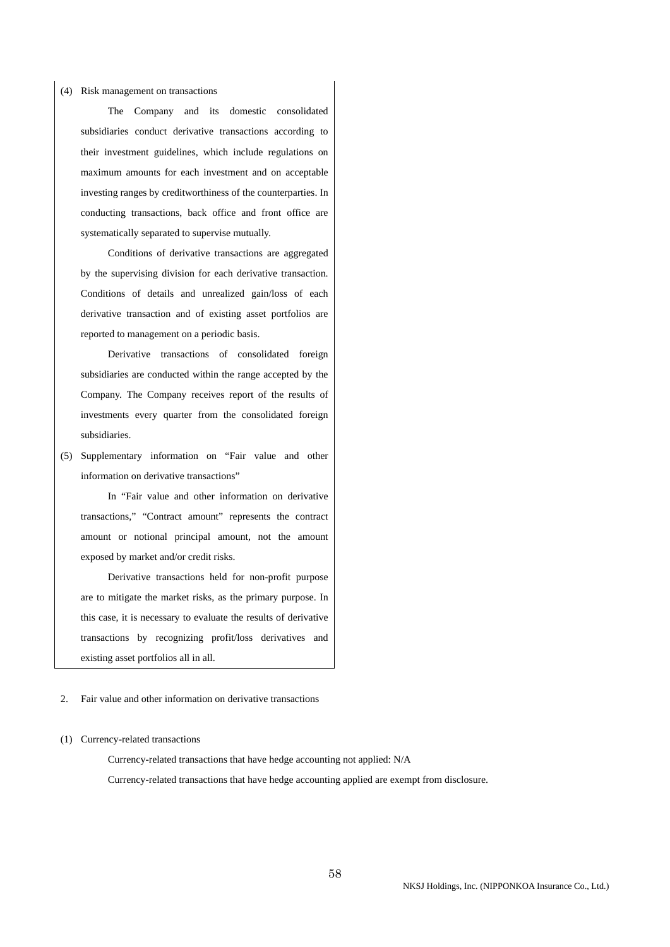#### (4) Risk management on transactions

 The Company and its domestic consolidated subsidiaries conduct derivative transactions according to their investment guidelines, which include regulations on maximum amounts for each investment and on acceptable investing ranges by creditworthiness of the counterparties. In conducting transactions, back office and front office are systematically separated to supervise mutually.

 Conditions of derivative transactions are aggregated by the supervising division for each derivative transaction. Conditions of details and unrealized gain/loss of each derivative transaction and of existing asset portfolios are reported to management on a periodic basis.

 Derivative transactions of consolidated foreign subsidiaries are conducted within the range accepted by the Company. The Company receives report of the results of investments every quarter from the consolidated foreign subsidiaries.

(5) Supplementary information on "Fair value and other information on derivative transactions"

 In "Fair value and other information on derivative transactions," "Contract amount" represents the contract amount or notional principal amount, not the amount exposed by market and/or credit risks.

 Derivative transactions held for non-profit purpose are to mitigate the market risks, as the primary purpose. In this case, it is necessary to evaluate the results of derivative transactions by recognizing profit/loss derivatives and existing asset portfolios all in all.

### 2. Fair value and other information on derivative transactions

#### (1) Currency-related transactions

 Currency-related transactions that have hedge accounting not applied: N/A Currency-related transactions that have hedge accounting applied are exempt from disclosure.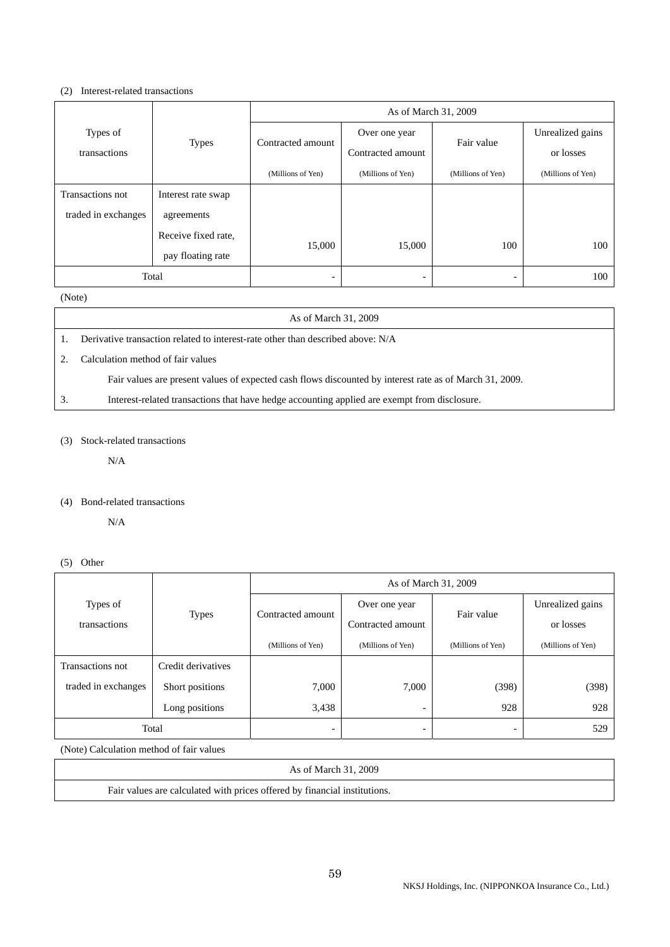### (2) Interest-related transactions

|                     |                     | As of March 31, 2009     |                   |                   |                   |
|---------------------|---------------------|--------------------------|-------------------|-------------------|-------------------|
| Types of            |                     |                          | Over one year     |                   | Unrealized gains  |
| transactions        | <b>Types</b>        | Contracted amount        | Contracted amount | Fair value        | or losses         |
|                     |                     | (Millions of Yen)        | (Millions of Yen) | (Millions of Yen) | (Millions of Yen) |
| Transactions not    | Interest rate swap  |                          |                   |                   |                   |
| traded in exchanges | agreements          |                          |                   |                   |                   |
|                     | Receive fixed rate, |                          |                   |                   |                   |
|                     | pay floating rate   | 15,000                   | 15,000            | 100               | 100               |
| Total               |                     | $\overline{\phantom{0}}$ |                   |                   | 100               |

## (Note)

| As of March 31, 2009                                                                                    |
|---------------------------------------------------------------------------------------------------------|
| Derivative transaction related to interest-rate other than described above: N/A                         |
| Calculation method of fair values                                                                       |
| Fair values are present values of expected cash flows discounted by interest rate as of March 31, 2009. |
| Interest-related transactions that have hedge accounting applied are exempt from disclosure.            |

## (3) Stock-related transactions

N/A

### (4) Bond-related transactions

N/A

(5) Other

|                     | <b>Types</b>       | As of March 31, 2009     |                          |                          |                   |
|---------------------|--------------------|--------------------------|--------------------------|--------------------------|-------------------|
| Types of            |                    | Contracted amount        | Over one year            | Fair value               | Unrealized gains  |
| transactions        |                    |                          | Contracted amount        |                          | or losses         |
|                     |                    | (Millions of Yen)        | (Millions of Yen)        | (Millions of Yen)        | (Millions of Yen) |
| Transactions not    | Credit derivatives |                          |                          |                          |                   |
| traded in exchanges | Short positions    | 7,000                    | 7,000                    | (398)                    | (398)             |
|                     | Long positions     | 3,438                    | $\overline{\phantom{a}}$ | 928                      | 928               |
| Total               |                    | $\overline{\phantom{0}}$ | $\overline{\phantom{0}}$ | $\overline{\phantom{0}}$ | 529               |

(Note) Calculation method of fair values

| As of March 31, 2009                                                      |
|---------------------------------------------------------------------------|
| Fair values are calculated with prices offered by financial institutions. |
|                                                                           |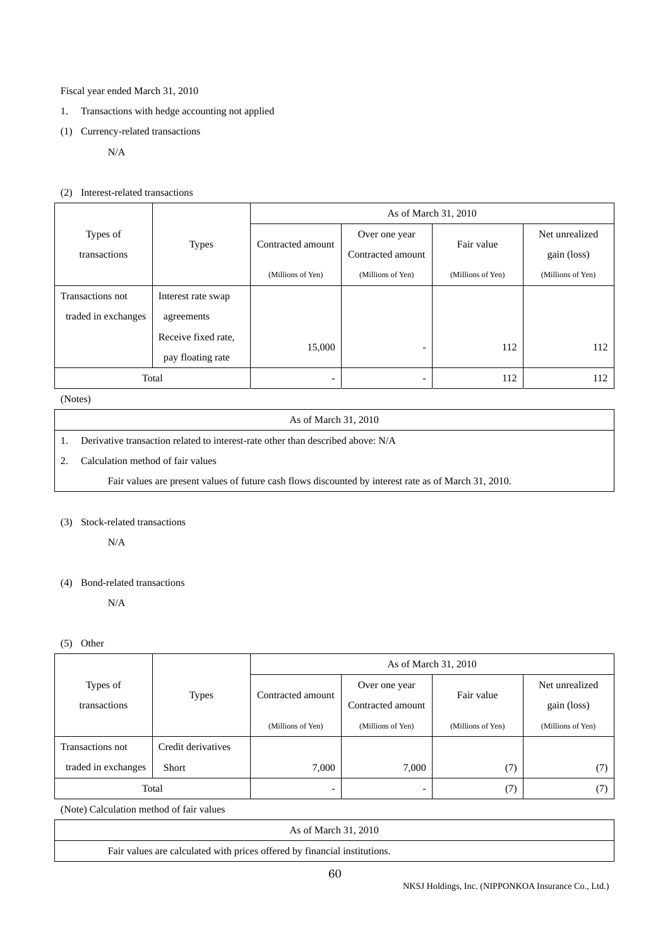## Fiscal year ended March 31, 2010

- 1. Transactions with hedge accounting not applied
- (1) Currency-related transactions

## N/A

## (2) Interest-related transactions

|                     |                     | As of March 31, 2010     |                          |                   |                   |
|---------------------|---------------------|--------------------------|--------------------------|-------------------|-------------------|
| Types of            |                     |                          | Over one year            | Fair value        | Net unrealized    |
| transactions        | <b>Types</b>        | Contracted amount        | Contracted amount        |                   | gain (loss)       |
|                     |                     | (Millions of Yen)        | (Millions of Yen)        | (Millions of Yen) | (Millions of Yen) |
| Transactions not    | Interest rate swap  |                          |                          |                   |                   |
| traded in exchanges | agreements          |                          |                          |                   |                   |
|                     | Receive fixed rate, |                          |                          |                   |                   |
|                     | pay floating rate   | 15,000                   | $\overline{\phantom{0}}$ | 112               | 112               |
| Total               |                     | $\overline{\phantom{0}}$ |                          | 112               | 112               |

## (Notes)

### As of March 31, 2010

1. Derivative transaction related to interest-rate other than described above: N/A

### 2. Calculation method of fair values

Fair values are present values of future cash flows discounted by interest rate as of March 31, 2010.

# (3) Stock-related transactions

N/A

## (4) Bond-related transactions

N/A

## (5) Other

|                     |                    | As of March 31, 2010     |                          |                   |                   |  |
|---------------------|--------------------|--------------------------|--------------------------|-------------------|-------------------|--|
| Types of            |                    |                          | Over one year            | Fair value        | Net unrealized    |  |
| transactions        | <b>Types</b>       | Contracted amount        | Contracted amount        |                   | gain (loss)       |  |
|                     |                    | (Millions of Yen)        | (Millions of Yen)        | (Millions of Yen) | (Millions of Yen) |  |
| Transactions not    | Credit derivatives |                          |                          |                   |                   |  |
| traded in exchanges | Short              | 7,000                    | 7,000                    | (7)               | (7)               |  |
| Total               |                    | $\overline{\phantom{0}}$ | $\overline{\phantom{0}}$ | (7)               | (7                |  |

(Note) Calculation method of fair values

|  | As of March 31, 2010 |  |  |
|--|----------------------|--|--|
|  |                      |  |  |

Fair values are calculated with prices offered by financial institutions.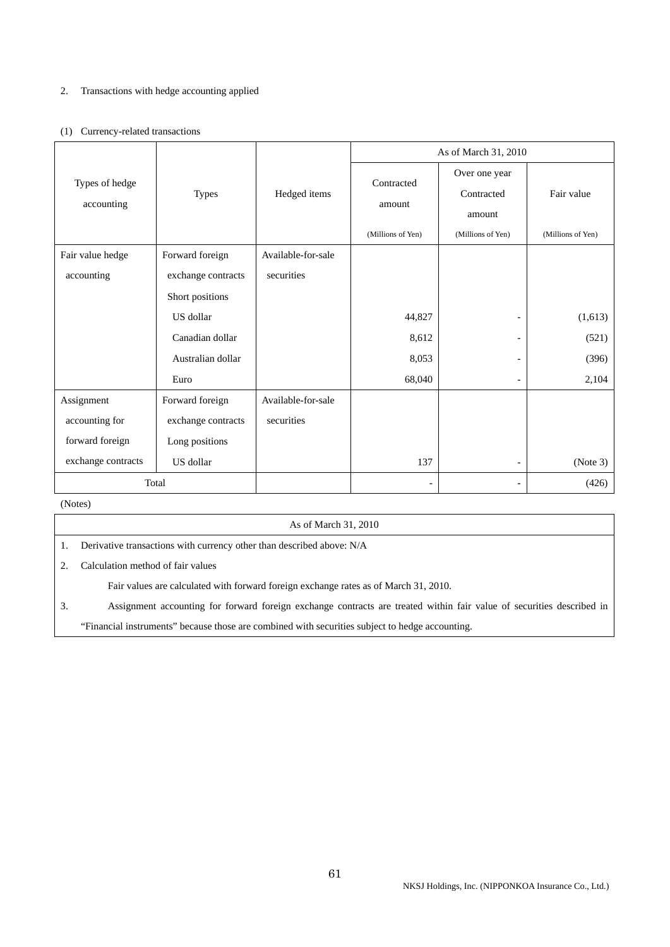## 2. Transactions with hedge accounting applied

## (1) Currency-related transactions

|                              |                    |                    | As of March 31, 2010 |                                       |                   |  |
|------------------------------|--------------------|--------------------|----------------------|---------------------------------------|-------------------|--|
| Types of hedge<br>accounting | <b>Types</b>       | Hedged items       | Contracted<br>amount | Over one year<br>Contracted<br>amount | Fair value        |  |
|                              |                    |                    | (Millions of Yen)    | (Millions of Yen)                     | (Millions of Yen) |  |
| Fair value hedge             | Forward foreign    | Available-for-sale |                      |                                       |                   |  |
| accounting                   | exchange contracts | securities         |                      |                                       |                   |  |
|                              | Short positions    |                    |                      |                                       |                   |  |
|                              | US dollar          |                    | 44,827               | $\overline{\phantom{a}}$              | (1,613)           |  |
|                              | Canadian dollar    |                    | 8,612                | $\overline{\phantom{a}}$              | (521)             |  |
|                              | Australian dollar  |                    | 8,053                | $\overline{\phantom{a}}$              | (396)             |  |
|                              | Euro               |                    | 68,040               | -                                     | 2,104             |  |
| Assignment                   | Forward foreign    | Available-for-sale |                      |                                       |                   |  |
| accounting for               | exchange contracts | securities         |                      |                                       |                   |  |
| forward foreign              | Long positions     |                    |                      |                                       |                   |  |
| exchange contracts           | US dollar          |                    | 137                  | $\overline{\phantom{a}}$              | (Note 3)          |  |
| Total                        |                    |                    | $\overline{a}$       | $\overline{\phantom{a}}$              | (426)             |  |

(Notes)

| As of March 31, 2010 |  |
|----------------------|--|
|                      |  |

1. Derivative transactions with currency other than described above: N/A

2. Calculation method of fair values

Fair values are calculated with forward foreign exchange rates as of March 31, 2010.

3. Assignment accounting for forward foreign exchange contracts are treated within fair value of securities described in "Financial instruments" because those are combined with securities subject to hedge accounting.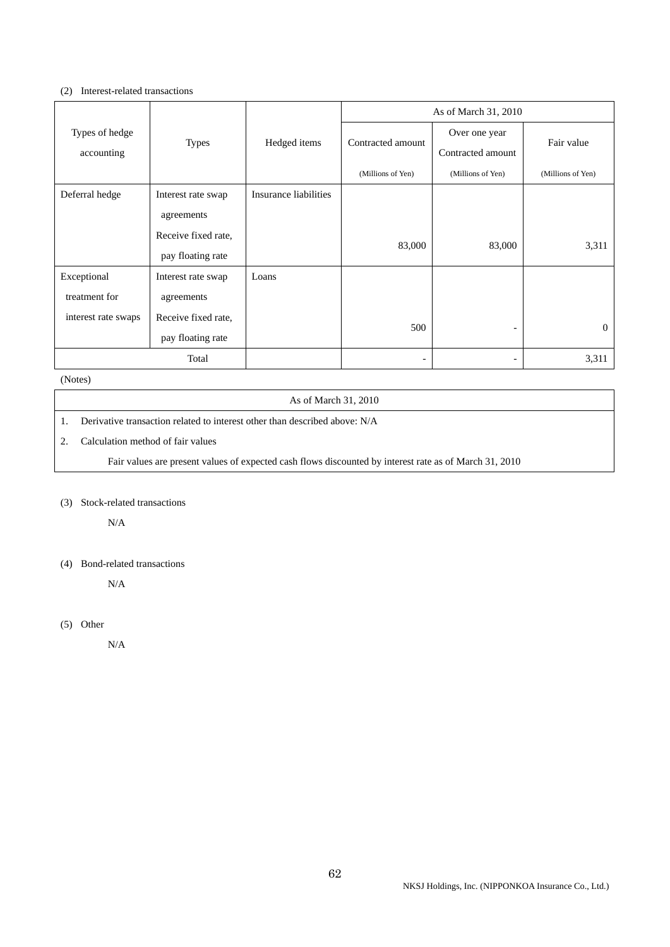### (2) Interest-related transactions

|                     |                     |                       | As of March 31, 2010 |                   |                   |
|---------------------|---------------------|-----------------------|----------------------|-------------------|-------------------|
| Types of hedge      |                     |                       | Contracted amount    | Over one year     | Fair value        |
| accounting          | <b>Types</b>        | Hedged items          |                      | Contracted amount |                   |
|                     |                     |                       | (Millions of Yen)    | (Millions of Yen) | (Millions of Yen) |
| Deferral hedge      | Interest rate swap  | Insurance liabilities |                      |                   |                   |
|                     | agreements          |                       |                      |                   |                   |
|                     | Receive fixed rate, |                       |                      |                   |                   |
|                     | pay floating rate   |                       | 83,000               | 83,000            | 3,311             |
| Exceptional         | Interest rate swap  | Loans                 |                      |                   |                   |
| treatment for       | agreements          |                       |                      |                   |                   |
| interest rate swaps | Receive fixed rate, |                       | 500                  |                   | $\Omega$          |
|                     | pay floating rate   |                       |                      |                   |                   |
| Total               |                     |                       |                      |                   | 3,311             |

(Notes)

### As of March 31, 2010

- 1. Derivative transaction related to interest other than described above: N/A
- 2. Calculation method of fair values

Fair values are present values of expected cash flows discounted by interest rate as of March 31, 2010

(3) Stock-related transactions

N/A

## (4) Bond-related transactions

N/A

(5) Other

N/A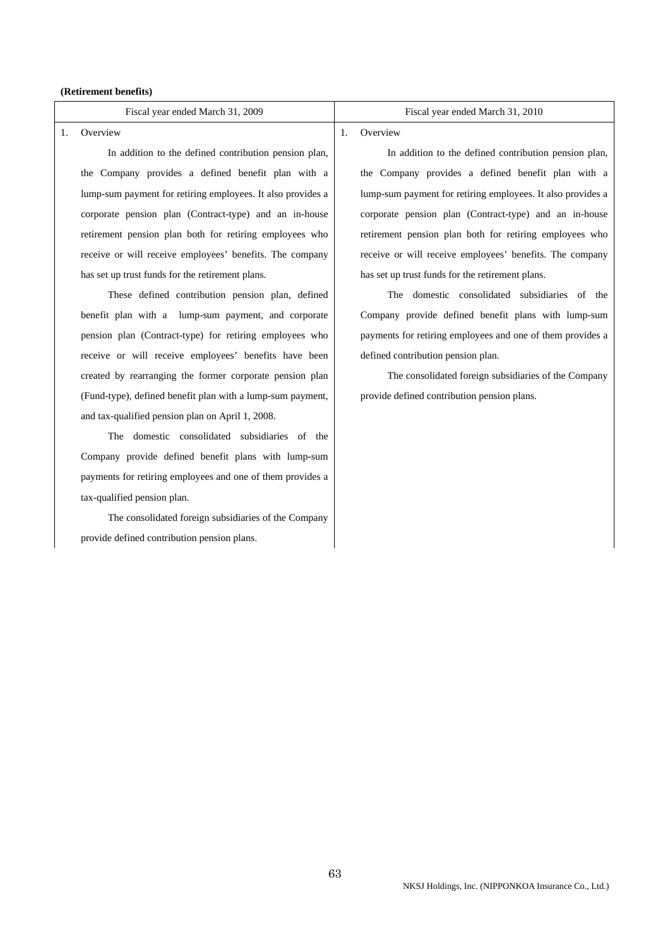#### **(Retirement benefits)**

#### 1. Overview

 In addition to the defined contribution pension plan, the Company provides a defined benefit plan with a lump-sum payment for retiring employees. It also provides a corporate pension plan (Contract-type) and an in-house retirement pension plan both for retiring employees who receive or will receive employees' benefits. The company has set up trust funds for the retirement plans.

 These defined contribution pension plan, defined benefit plan with a lump-sum payment, and corporate pension plan (Contract-type) for retiring employees who receive or will receive employees' benefits have been created by rearranging the former corporate pension plan (Fund-type), defined benefit plan with a lump-sum payment, and tax-qualified pension plan on April 1, 2008.

 The domestic consolidated subsidiaries of the Company provide defined benefit plans with lump-sum payments for retiring employees and one of them provides a tax-qualified pension plan.

 The consolidated foreign subsidiaries of the Company provide defined contribution pension plans.

#### Fiscal year ended March 31, 2009 Fiscal year ended March 31, 2010

## 1. Overview

 In addition to the defined contribution pension plan, the Company provides a defined benefit plan with a lump-sum payment for retiring employees. It also provides a corporate pension plan (Contract-type) and an in-house retirement pension plan both for retiring employees who receive or will receive employees' benefits. The company has set up trust funds for the retirement plans.

 The domestic consolidated subsidiaries of the Company provide defined benefit plans with lump-sum payments for retiring employees and one of them provides a defined contribution pension plan.

 The consolidated foreign subsidiaries of the Company provide defined contribution pension plans.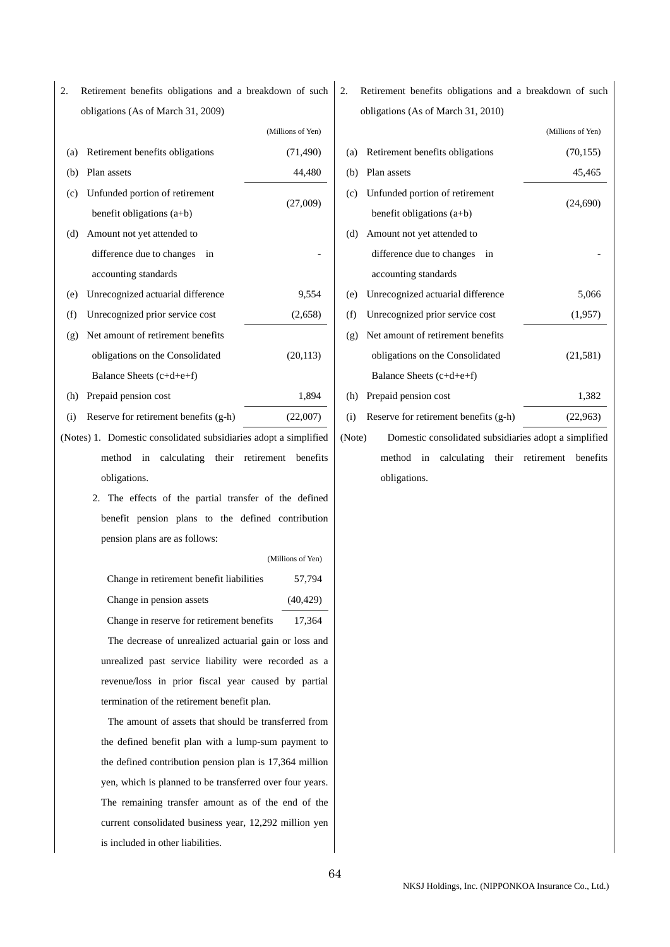2. Retirement benefits obligations and a breakdown of such obligations (As of March 31, 2009)

|     |                                   | (Millions of Yen) |
|-----|-----------------------------------|-------------------|
| (a) | Retirement benefits obligations   | (71, 490)         |
| (b) | Plan assets                       | 44,480            |
| (c) | Unfunded portion of retirement    |                   |
|     | benefit obligations $(a+b)$       | (27,009)          |
| (d) | Amount not yet attended to        |                   |
|     | difference due to changes<br>in   |                   |
|     | accounting standards              |                   |
| (e) | Unrecognized actuarial difference | 9,554             |
| (f) | Unrecognized prior service cost   | (2,658)           |
| (g) | Net amount of retirement benefits |                   |
|     | obligations on the Consolidated   | (20, 113)         |
|     | Balance Sheets $(c+d+e+f)$        |                   |
| (h) | Prepaid pension cost              | 1,894             |

- (i) Reserve for retirement benefits (g-h) (22,007)
- (Notes) 1. Domestic consolidated subsidiaries adopt a simplified method in calculating their retirement benefits obligations.
	- 2. The effects of the partial transfer of the defined benefit pension plans to the defined contribution pension plans are as follows:

|                                                       | (Millions of Yen) |
|-------------------------------------------------------|-------------------|
| Change in retirement benefit liabilities              | 57,794            |
| Change in pension assets                              | (40, 429)         |
| Change in reserve for retirement benefits             | 17.364            |
| The decrease of unrealized actuarial gain or loss and |                   |

unrealized past service liability were recorded as a revenue/loss in prior fiscal year caused by partial termination of the retirement benefit plan.

 The amount of assets that should be transferred from the defined benefit plan with a lump-sum payment to the defined contribution pension plan is 17,364 million yen, which is planned to be transferred over four years. The remaining transfer amount as of the end of the current consolidated business year, 12,292 million yen is included in other liabilities.

2. Retirement benefits obligations and a breakdown of such obligations (As of March 31, 2010)

|        |                                                       | (Millions of Yen) |  |
|--------|-------------------------------------------------------|-------------------|--|
| (a)    | Retirement benefits obligations                       | (70, 155)         |  |
| (b)    | Plan assets                                           | 45,465            |  |
| (c)    | Unfunded portion of retirement                        | (24,690)          |  |
|        | benefit obligations $(a+b)$                           |                   |  |
| (d)    | Amount not yet attended to                            |                   |  |
|        | difference due to changes<br>in                       |                   |  |
|        | accounting standards                                  |                   |  |
| (e)    | Unrecognized actuarial difference                     | 5,066             |  |
| (f)    | Unrecognized prior service cost                       | (1,957)           |  |
| (g)    | Net amount of retirement benefits                     |                   |  |
|        | obligations on the Consolidated                       | (21, 581)         |  |
|        | Balance Sheets $(c+d+e+f)$                            |                   |  |
| (h)    | Prepaid pension cost                                  | 1,382             |  |
| (i)    | Reserve for retirement benefits (g-h)                 | (22,963)          |  |
| (Note) | Domestic consolidated subsidiaries adopt a simplified |                   |  |
|        |                                                       |                   |  |

method in calculating their retirement benefits obligations.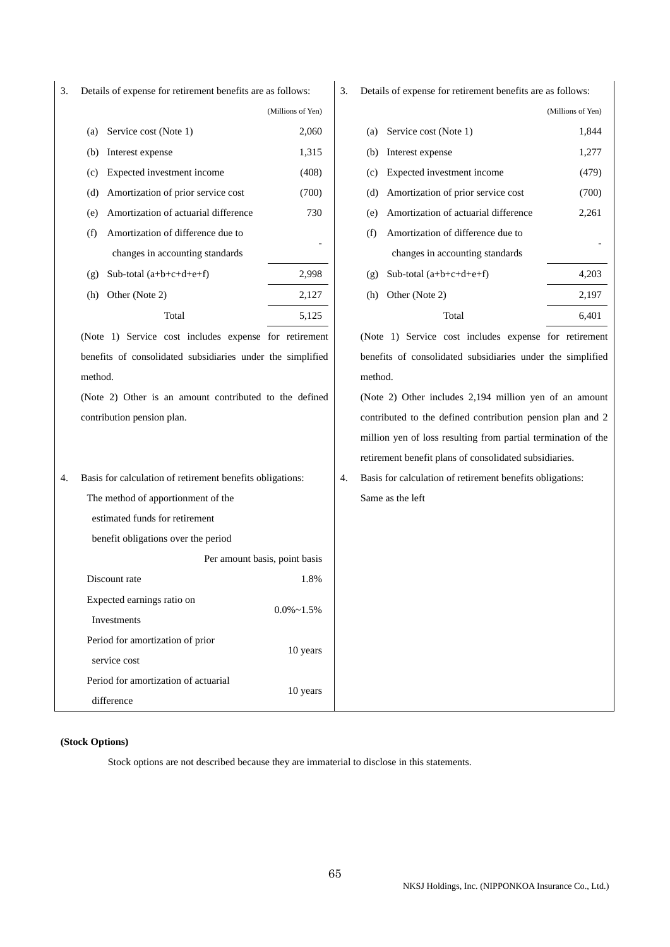3. Details of expense for retirement benefits are as follows: (Millions of Yen) (a) Service cost (Note 1) 2,060 (b) Interest expense  $1,315$ (c) Expected investment income (408) (d) Amortization of prior service cost (700) (e) Amortization of actuarial difference 730 (f) Amortization of difference due to changes in accounting standards - (g) Sub-total  $(a+b+c+d+e+f)$  2,998 (h) Other (Note 2) 2,127 Total 5.125 (Note 1) Service cost includes expense for retirement benefits of consolidated subsidiaries under the simplified method. (Note 2) Other is an amount contributed to the defined contribution pension plan. 3. Details of expense for retirement benefits are as follows: (Millions of Yen) (a) Service cost (Note 1) 1,844 (b) Interest expense  $1,277$ (c) Expected investment income (479) (d) Amortization of prior service cost (700) (e) Amortization of actuarial difference 2,261 (f) Amortization of difference due to changes in accounting standards - (g) Sub-total  $(a+b+c+d+e+f)$  4,203 (h) Other (Note 2) 2,197 Total 6.401 (Note 1) Service cost includes expense for retirement benefits of consolidated subsidiaries under the simplified method. (Note 2) Other includes 2,194 million yen of an amount contributed to the defined contribution pension plan and 2 million yen of loss resulting from partial termination of the retirement benefit plans of consolidated subsidiaries. 4. Basis for calculation of retirement benefits obligations: The method of apportionment of the estimated funds for retirement benefit obligations over the period Per amount basis, point basis Discount rate 1.8% Expected earnings ratio on Investments  $0.0\%$ ~1.5% Period for amortization of prior service cost 10 years Period for amortization of actuarial difference 10 years 4. Basis for calculation of retirement benefits obligations: Same as the left

### **(Stock Options)**

Stock options are not described because they are immaterial to disclose in this statements.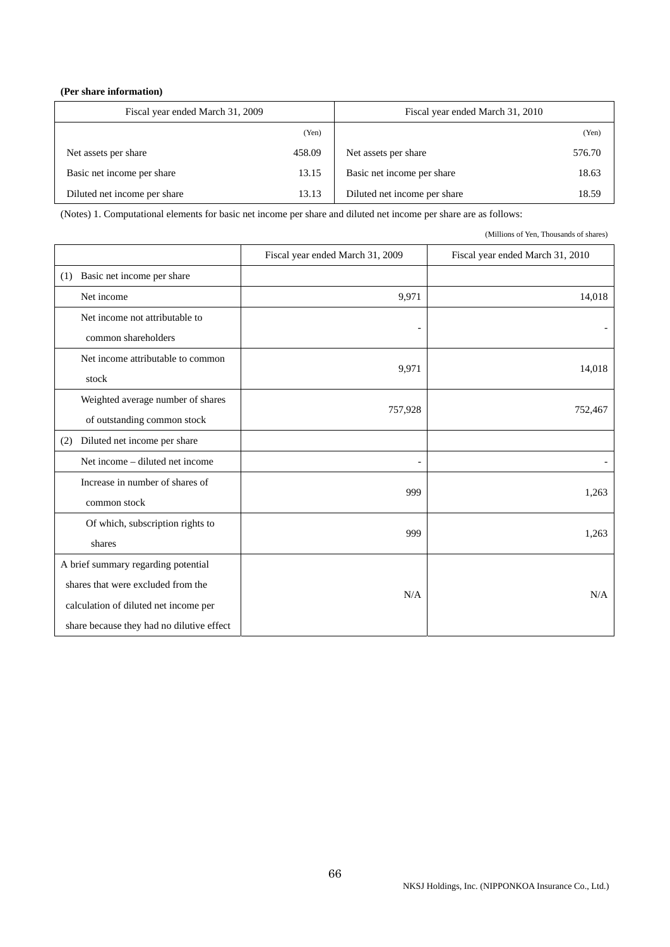## **(Per share information)**

| Fiscal year ended March 31, 2009 |        | Fiscal year ended March 31, 2010 |        |
|----------------------------------|--------|----------------------------------|--------|
|                                  | (Yen)  |                                  | (Yen)  |
| Net assets per share             | 458.09 | Net assets per share             | 576.70 |
| Basic net income per share       | 13.15  | Basic net income per share       | 18.63  |
| Diluted net income per share     | 13.13  | Diluted net income per share     | 18.59  |

(Notes) 1. Computational elements for basic net income per share and diluted net income per share are as follows:

(Millions of Yen, Thousands of shares)

|                                                                             | Fiscal year ended March 31, 2009 | Fiscal year ended March 31, 2010 |
|-----------------------------------------------------------------------------|----------------------------------|----------------------------------|
| Basic net income per share<br>(1)                                           |                                  |                                  |
| Net income                                                                  | 9,971                            | 14,018                           |
| Net income not attributable to<br>common shareholders                       |                                  |                                  |
| Net income attributable to common<br>stock                                  | 9,971                            | 14,018                           |
| Weighted average number of shares<br>of outstanding common stock            | 757,928                          | 752,467                          |
| Diluted net income per share<br>(2)                                         |                                  |                                  |
| Net income – diluted net income                                             | $\overline{a}$                   |                                  |
| Increase in number of shares of<br>common stock                             | 999                              | 1,263                            |
| Of which, subscription rights to<br>shares                                  | 999                              | 1,263                            |
| A brief summary regarding potential                                         |                                  |                                  |
| shares that were excluded from the<br>calculation of diluted net income per | N/A                              | N/A                              |
| share because they had no dilutive effect                                   |                                  |                                  |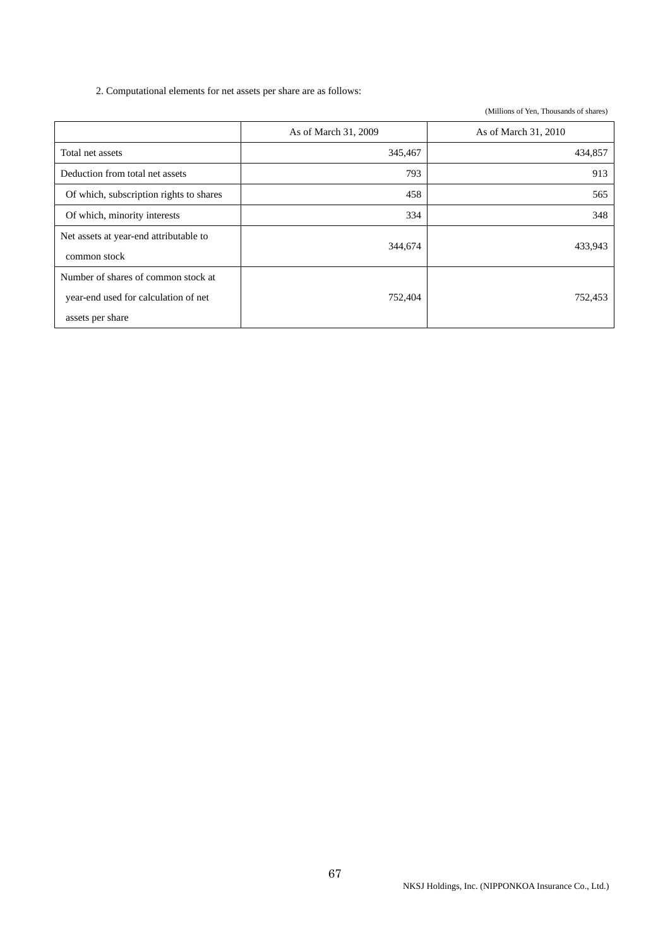2. Computational elements for net assets per share are as follows:

(Millions of Yen, Thousands of shares)

|                                                                                                 | As of March 31, 2009 | As of March 31, 2010 |
|-------------------------------------------------------------------------------------------------|----------------------|----------------------|
| Total net assets                                                                                | 345,467              | 434,857              |
| Deduction from total net assets                                                                 | 793                  | 913                  |
| Of which, subscription rights to shares                                                         | 458                  | 565                  |
| Of which, minority interests                                                                    | 334                  | 348                  |
| Net assets at year-end attributable to<br>common stock                                          | 344,674              | 433,943              |
| Number of shares of common stock at<br>year-end used for calculation of net<br>assets per share | 752,404              | 752,453              |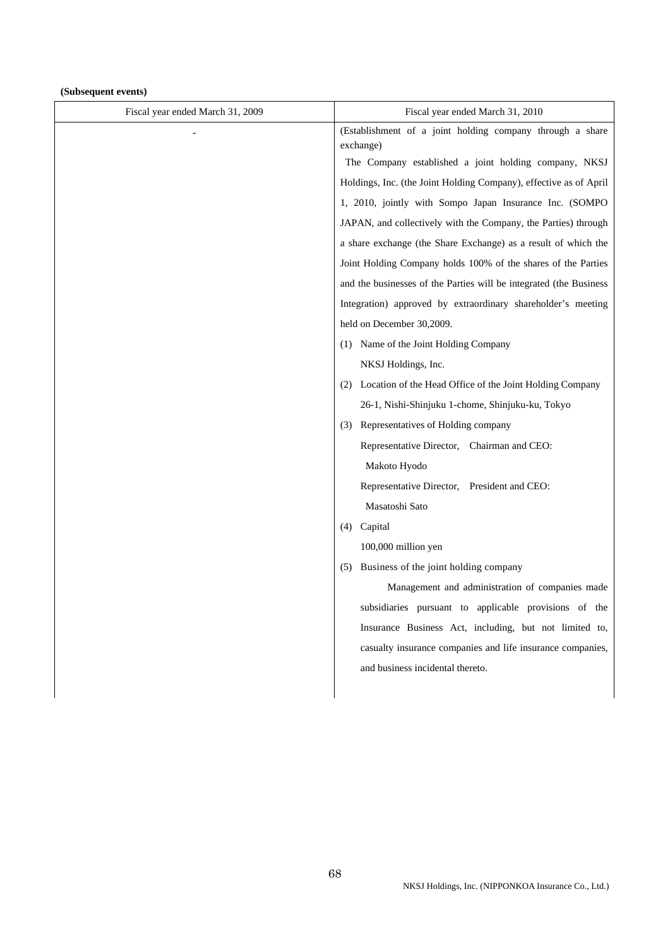## **(Subsequent events)**

| Fiscal year ended March 31, 2009 | Fiscal year ended March 31, 2010                                       |  |
|----------------------------------|------------------------------------------------------------------------|--|
|                                  | (Establishment of a joint holding company through a share<br>exchange) |  |
|                                  | The Company established a joint holding company, NKSJ                  |  |
|                                  | Holdings, Inc. (the Joint Holding Company), effective as of April      |  |
|                                  | 1, 2010, jointly with Sompo Japan Insurance Inc. (SOMPO                |  |
|                                  | JAPAN, and collectively with the Company, the Parties) through         |  |
|                                  | a share exchange (the Share Exchange) as a result of which the         |  |
|                                  | Joint Holding Company holds 100% of the shares of the Parties          |  |
|                                  | and the businesses of the Parties will be integrated (the Business     |  |
|                                  | Integration) approved by extraordinary shareholder's meeting           |  |
|                                  | held on December 30,2009.                                              |  |
|                                  | (1) Name of the Joint Holding Company                                  |  |
|                                  | NKSJ Holdings, Inc.                                                    |  |
|                                  | (2) Location of the Head Office of the Joint Holding Company           |  |
|                                  | 26-1, Nishi-Shinjuku 1-chome, Shinjuku-ku, Tokyo                       |  |
|                                  | (3) Representatives of Holding company                                 |  |
|                                  | Representative Director, Chairman and CEO:                             |  |
|                                  | Makoto Hyodo                                                           |  |
|                                  | Representative Director, President and CEO:                            |  |
|                                  | Masatoshi Sato                                                         |  |
|                                  | Capital<br>(4)                                                         |  |
|                                  | 100,000 million yen                                                    |  |
|                                  | Business of the joint holding company<br>(5)                           |  |
|                                  | Management and administration of companies made                        |  |
|                                  | subsidiaries pursuant to applicable provisions of the                  |  |
|                                  | Insurance Business Act, including, but not limited to,                 |  |
|                                  | casualty insurance companies and life insurance companies,             |  |
|                                  | and business incidental thereto.                                       |  |
|                                  |                                                                        |  |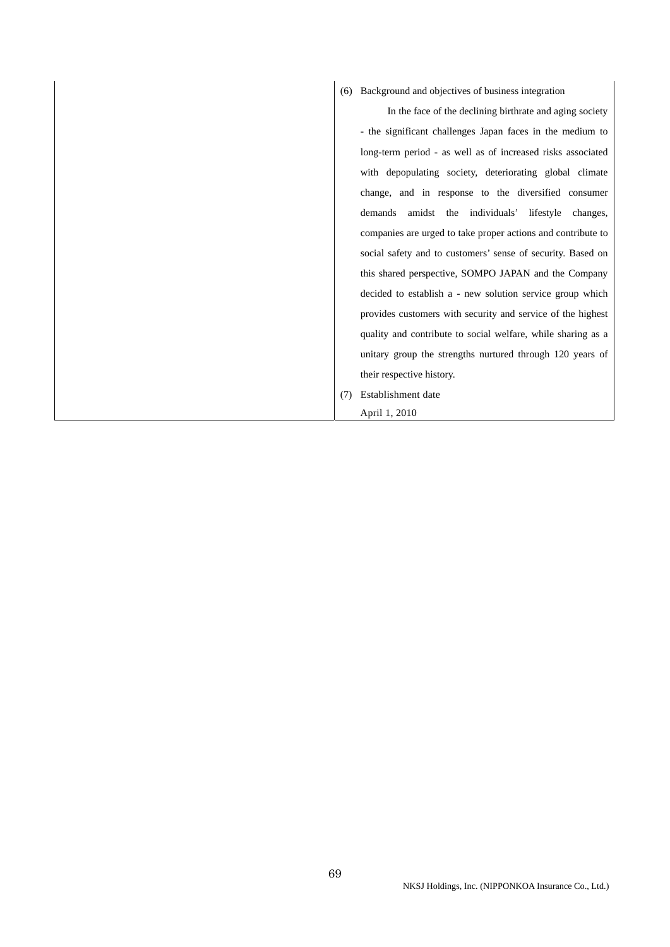# (6) Background and objectives of business integration

 In the face of the declining birthrate and aging society - the significant challenges Japan faces in the medium to long-term period - as well as of increased risks associated with depopulating society, deteriorating global climate change, and in response to the diversified consumer demands amidst the individuals' lifestyle changes, companies are urged to take proper actions and contribute to social safety and to customers' sense of security. Based on this shared perspective, SOMPO JAPAN and the Company decided to establish a - new solution service group which provides customers with security and service of the highest quality and contribute to social welfare, while sharing as a unitary group the strengths nurtured through 120 years of their respective history.

(7) Establishment date

## April 1, 2010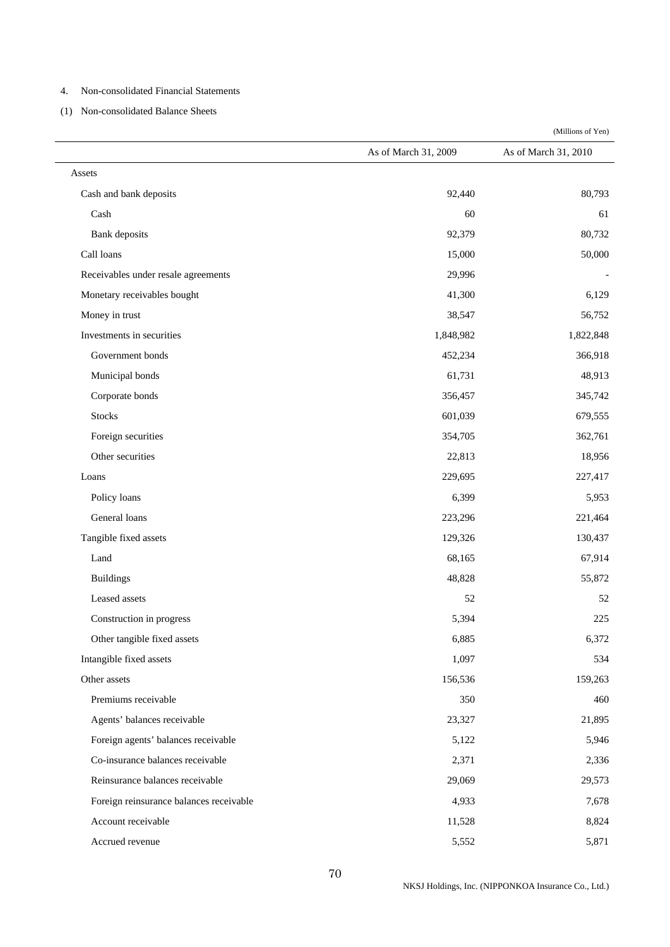#### 4. Non-consolidated Financial Statements

(1) Non-consolidated Balance Sheets

Assets Cash and bank deposits 80,793  $\cosh$  60 61 Bank deposits 80,732 Call loans 50,000 50,000 50,000 50,000 50,000 50,000 50,000 50,000 50,000 50,000 50,000 50,000 50,000 50,000 50 Receivables under resale agreements 29,996 Monetary receivables bought 6,129 Money in trust 56,752 Investments in securities 1,848,982 1,822,848 Government bonds 366,918 and 366,918 and 366,918 and 366,918 and 366,918 and 366,918 and 366,918 and 366,918 and 366,918 and 366,918 and 366,918 and 366,918 and 366,918 and 366,918 and 366,918 and 366,918 and 366,918 and 3 Municipal bonds 48,913 48,913 Corporate bonds 356,457 345,742 Stocks 601,039 679,555 Foreign securities 354,705 362,761 Other securities 22,813 18,956 Loans 229,695 227,417 Policy loans  $6,399$  5,953 General loans 223,296 221,464 Tangible fixed assets 129,326 130,437 Land 68,165 67,914 Buildings 55,872 Leased assets 52 52 Construction in progress 5,394 225 Other tangible fixed assets 6,372 Intangible fixed assets 534 Other assets 159,263 159,263 159,263 Premiums receivable 350 460 Agents' balances receivable 23,327 21,895 Foreign agents' balances receivable 5,946 5,946 Co-insurance balances receivable 2,371 2,336 Reinsurance balances receivable 29,069 29,069 29,573 Foreign reinsurance balances receivable  $4,933$   $7,678$ 

Account receivable 8,824

Accrued revenue 5,871

(Millions of Yen)

As of March 31, 2009 As of March 31, 2010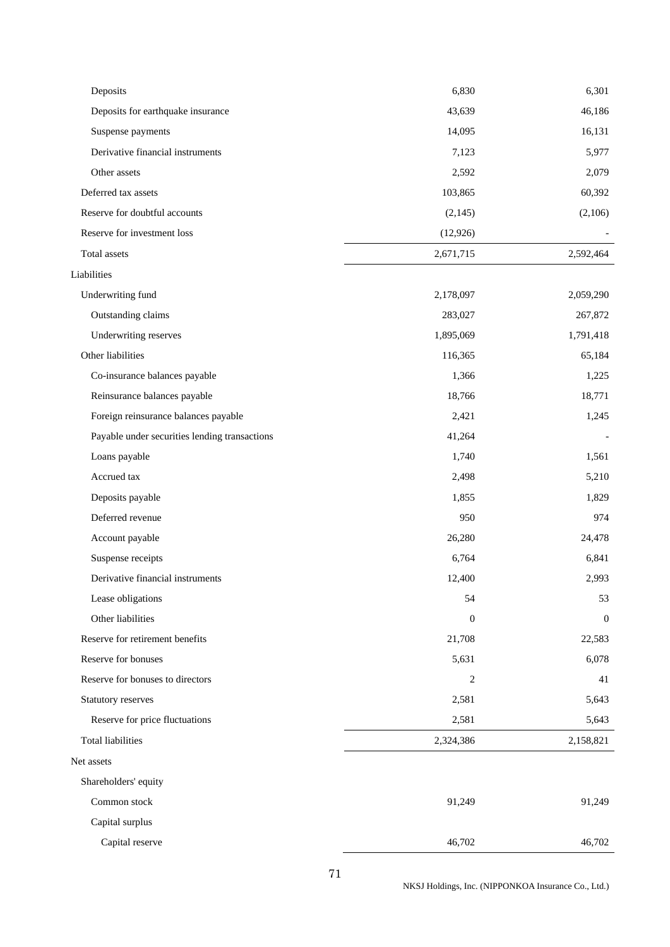| Deposits                                      | 6,830            | 6,301        |
|-----------------------------------------------|------------------|--------------|
| Deposits for earthquake insurance             | 43,639           | 46,186       |
| Suspense payments                             | 14,095           | 16,131       |
| Derivative financial instruments              | 7,123            | 5,977        |
| Other assets                                  | 2,592            | 2,079        |
| Deferred tax assets                           | 103,865          | 60,392       |
| Reserve for doubtful accounts                 | (2,145)          | (2,106)      |
| Reserve for investment loss                   | (12, 926)        |              |
| Total assets                                  | 2,671,715        | 2,592,464    |
| Liabilities                                   |                  |              |
| Underwriting fund                             | 2,178,097        | 2,059,290    |
| Outstanding claims                            | 283,027          | 267,872      |
| Underwriting reserves                         | 1,895,069        | 1,791,418    |
| Other liabilities                             | 116,365          | 65,184       |
| Co-insurance balances payable                 | 1,366            | 1,225        |
| Reinsurance balances payable                  | 18,766           | 18,771       |
| Foreign reinsurance balances payable          | 2,421            | 1,245        |
| Payable under securities lending transactions | 41,264           |              |
| Loans payable                                 | 1,740            | 1,561        |
| Accrued tax                                   | 2,498            | 5,210        |
| Deposits payable                              | 1,855            | 1,829        |
| Deferred revenue                              | 950              | 974          |
| Account payable                               | 26,280           | 24,478       |
| Suspense receipts                             | 6,764            | 6,841        |
| Derivative financial instruments              | 12,400           | 2,993        |
| Lease obligations                             | 54               | 53           |
| Other liabilities                             | $\boldsymbol{0}$ | $\mathbf{0}$ |
| Reserve for retirement benefits               | 21,708           | 22,583       |
| Reserve for bonuses                           | 5,631            | 6,078        |
| Reserve for bonuses to directors              | 2                | 41           |
| Statutory reserves                            | 2,581            | 5,643        |
| Reserve for price fluctuations                | 2,581            | 5,643        |
| <b>Total liabilities</b>                      | 2,324,386        | 2,158,821    |
| Net assets                                    |                  |              |
| Shareholders' equity                          |                  |              |
| Common stock                                  | 91,249           | 91,249       |
| Capital surplus                               |                  |              |
| Capital reserve                               | 46,702           | 46,702       |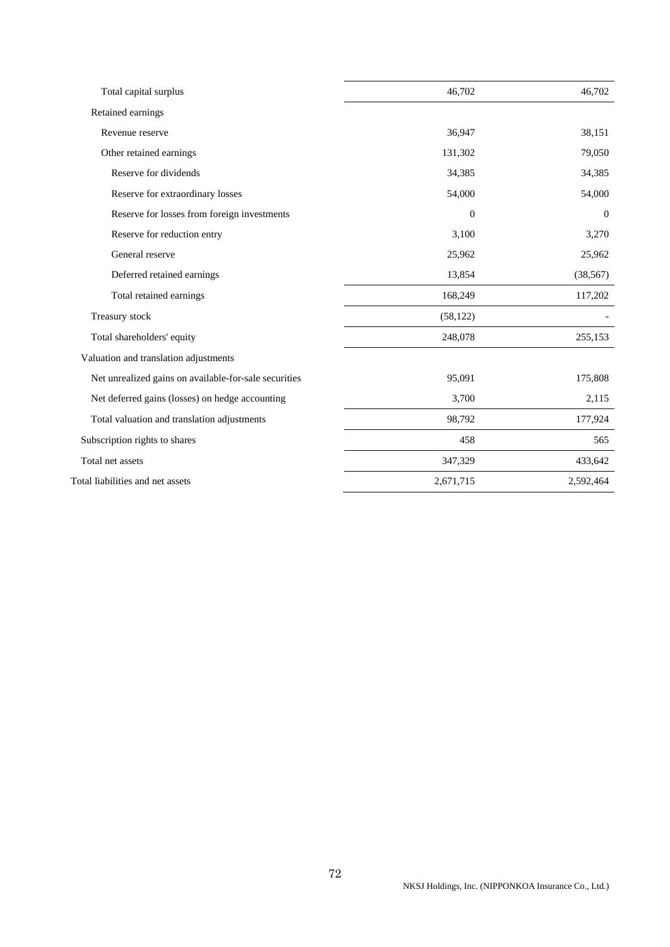| Total capital surplus                                 | 46,702           | 46,702    |
|-------------------------------------------------------|------------------|-----------|
| Retained earnings                                     |                  |           |
| Revenue reserve                                       | 36,947           | 38,151    |
| Other retained earnings                               | 131,302          | 79,050    |
| Reserve for dividends                                 | 34,385           | 34,385    |
| Reserve for extraordinary losses                      | 54,000           | 54,000    |
| Reserve for losses from foreign investments           | $\boldsymbol{0}$ | $\theta$  |
| Reserve for reduction entry                           | 3,100            | 3,270     |
| General reserve                                       | 25,962           | 25,962    |
| Deferred retained earnings                            | 13,854           | (38, 567) |
| Total retained earnings                               | 168,249          | 117,202   |
| Treasury stock                                        | (58, 122)        |           |
| Total shareholders' equity                            | 248,078          | 255,153   |
| Valuation and translation adjustments                 |                  |           |
| Net unrealized gains on available-for-sale securities | 95,091           | 175,808   |
| Net deferred gains (losses) on hedge accounting       | 3,700            | 2,115     |
| Total valuation and translation adjustments           | 98,792           | 177,924   |
| Subscription rights to shares                         | 458              | 565       |
| Total net assets                                      | 347,329          | 433,642   |
| Total liabilities and net assets                      | 2,671,715        | 2,592,464 |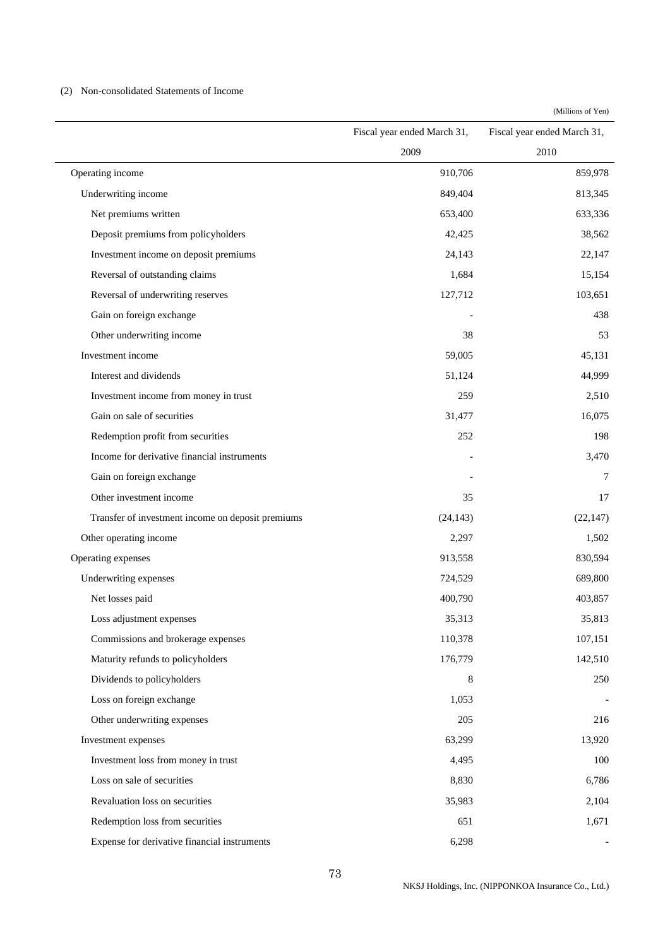### (2) Non-consolidated Statements of Income

|                                                   | Fiscal year ended March 31, | Fiscal year ended March 31, |
|---------------------------------------------------|-----------------------------|-----------------------------|
|                                                   | 2009                        | 2010                        |
| Operating income                                  | 910,706                     | 859,978                     |
| Underwriting income                               | 849,404                     | 813,345                     |
| Net premiums written                              | 653,400                     | 633,336                     |
| Deposit premiums from policyholders               | 42,425                      | 38,562                      |
| Investment income on deposit premiums             | 24,143                      | 22,147                      |
| Reversal of outstanding claims                    | 1,684                       | 15,154                      |
| Reversal of underwriting reserves                 | 127,712                     | 103,651                     |
| Gain on foreign exchange                          |                             | 438                         |
| Other underwriting income                         | 38                          | 53                          |
| Investment income                                 | 59,005                      | 45,131                      |
| Interest and dividends                            | 51,124                      | 44,999                      |
| Investment income from money in trust             | 259                         | 2,510                       |
| Gain on sale of securities                        | 31,477                      | 16,075                      |
| Redemption profit from securities                 | 252                         | 198                         |
| Income for derivative financial instruments       |                             | 3,470                       |
| Gain on foreign exchange                          |                             | 7                           |
| Other investment income                           | 35                          | 17                          |
| Transfer of investment income on deposit premiums | (24, 143)                   | (22, 147)                   |
| Other operating income                            | 2,297                       | 1,502                       |
| Operating expenses                                | 913,558                     | 830,594                     |
| Underwriting expenses                             | 724,529                     | 689,800                     |
| Net losses paid                                   | 400,790                     | 403,857                     |
| Loss adjustment expenses                          | 35,313                      | 35,813                      |
| Commissions and brokerage expenses                | 110,378                     | 107,151                     |
| Maturity refunds to policyholders                 | 176,779                     | 142,510                     |
| Dividends to policyholders                        | 8                           | 250                         |
| Loss on foreign exchange                          | 1,053                       |                             |
| Other underwriting expenses                       | 205                         | 216                         |
| Investment expenses                               | 63,299                      | 13,920                      |
| Investment loss from money in trust               | 4,495                       | 100                         |
| Loss on sale of securities                        | 8,830                       | 6,786                       |
| Revaluation loss on securities                    | 35,983                      | 2,104                       |
| Redemption loss from securities                   | 651                         | 1,671                       |
| Expense for derivative financial instruments      | 6,298                       |                             |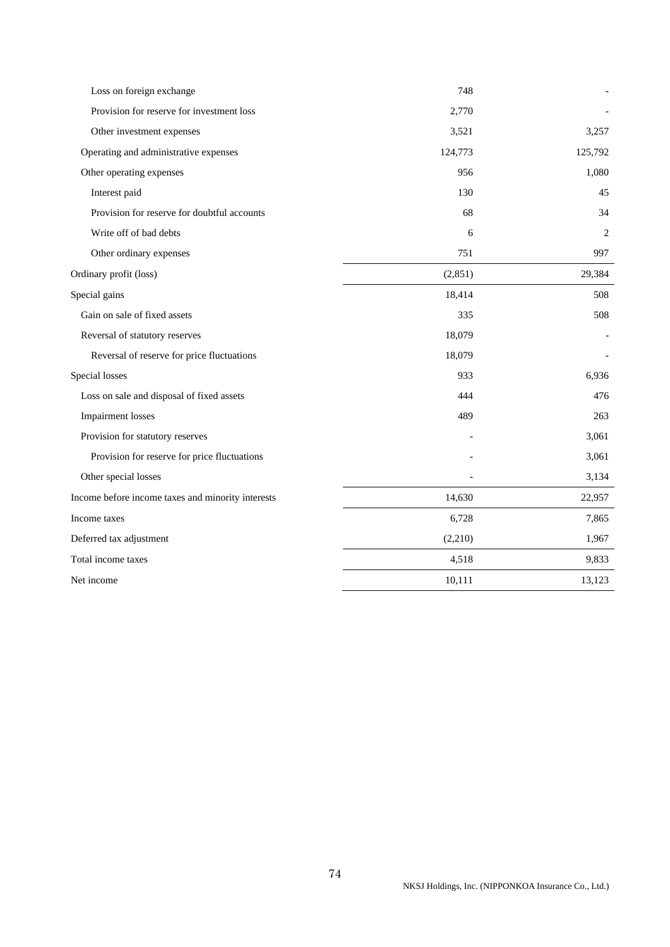| Loss on foreign exchange                          | 748     |         |
|---------------------------------------------------|---------|---------|
| Provision for reserve for investment loss         | 2,770   |         |
| Other investment expenses                         | 3,521   | 3,257   |
| Operating and administrative expenses             | 124,773 | 125,792 |
| Other operating expenses                          | 956     | 1,080   |
| Interest paid                                     | 130     | 45      |
| Provision for reserve for doubtful accounts       | 68      | 34      |
| Write off of bad debts                            | 6       | 2       |
| Other ordinary expenses                           | 751     | 997     |
| Ordinary profit (loss)                            | (2,851) | 29,384  |
| Special gains                                     | 18,414  | 508     |
| Gain on sale of fixed assets                      | 335     | 508     |
| Reversal of statutory reserves                    | 18,079  |         |
| Reversal of reserve for price fluctuations        | 18,079  |         |
| Special losses                                    | 933     | 6,936   |
| Loss on sale and disposal of fixed assets         | 444     | 476     |
| <b>Impairment</b> losses                          | 489     | 263     |
| Provision for statutory reserves                  |         | 3,061   |
| Provision for reserve for price fluctuations      |         | 3,061   |
| Other special losses                              |         | 3,134   |
| Income before income taxes and minority interests | 14,630  | 22,957  |
| Income taxes                                      | 6,728   | 7,865   |
| Deferred tax adjustment                           | (2,210) | 1,967   |
| Total income taxes                                | 4,518   | 9,833   |
| Net income                                        | 10,111  | 13,123  |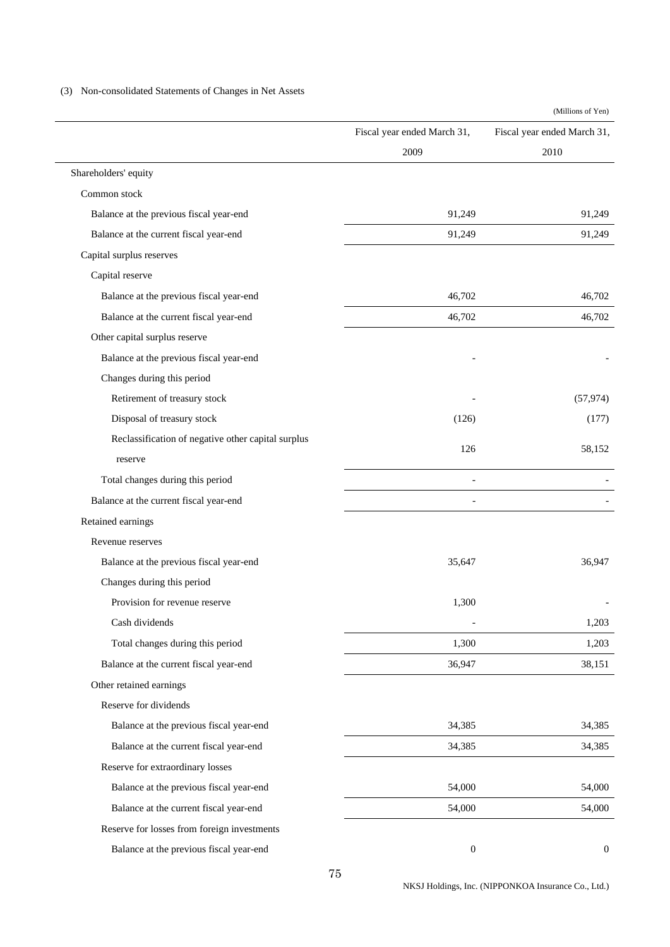(3) Non-consolidated Statements of Changes in Net Assets

|                                                    |                             | (Millions of Yen)           |
|----------------------------------------------------|-----------------------------|-----------------------------|
|                                                    | Fiscal year ended March 31, | Fiscal year ended March 31, |
|                                                    | 2009                        | 2010                        |
| Shareholders' equity                               |                             |                             |
| Common stock                                       |                             |                             |
| Balance at the previous fiscal year-end            | 91,249                      | 91,249                      |
| Balance at the current fiscal year-end             | 91,249                      | 91,249                      |
| Capital surplus reserves                           |                             |                             |
| Capital reserve                                    |                             |                             |
| Balance at the previous fiscal year-end            | 46,702                      | 46,702                      |
| Balance at the current fiscal year-end             | 46,702                      | 46,702                      |
| Other capital surplus reserve                      |                             |                             |
| Balance at the previous fiscal year-end            |                             |                             |
| Changes during this period                         |                             |                             |
| Retirement of treasury stock                       |                             | (57, 974)                   |
| Disposal of treasury stock                         | (126)                       | (177)                       |
| Reclassification of negative other capital surplus |                             |                             |
| reserve                                            | 126                         | 58,152                      |
| Total changes during this period                   |                             |                             |
| Balance at the current fiscal year-end             |                             |                             |
| Retained earnings                                  |                             |                             |
| Revenue reserves                                   |                             |                             |
| Balance at the previous fiscal year-end            | 35,647                      | 36,947                      |
| Changes during this period                         |                             |                             |
| Provision for revenue reserve                      | 1,300                       |                             |
| Cash dividends                                     |                             | 1,203                       |
| Total changes during this period                   | 1,300                       | 1,203                       |
| Balance at the current fiscal year-end             | 36,947                      | 38,151                      |
| Other retained earnings                            |                             |                             |
| Reserve for dividends                              |                             |                             |
| Balance at the previous fiscal year-end            | 34,385                      | 34,385                      |
| Balance at the current fiscal year-end             | 34,385                      | 34,385                      |
| Reserve for extraordinary losses                   |                             |                             |
| Balance at the previous fiscal year-end            | 54,000                      | 54,000                      |
| Balance at the current fiscal year-end             | 54,000                      | 54,000                      |
| Reserve for losses from foreign investments        |                             |                             |
| Balance at the previous fiscal year-end            | $\boldsymbol{0}$            | $\mathbf{0}$                |

NKSJ Holdings, Inc. (NIPPONKOA Insurance Co., Ltd.)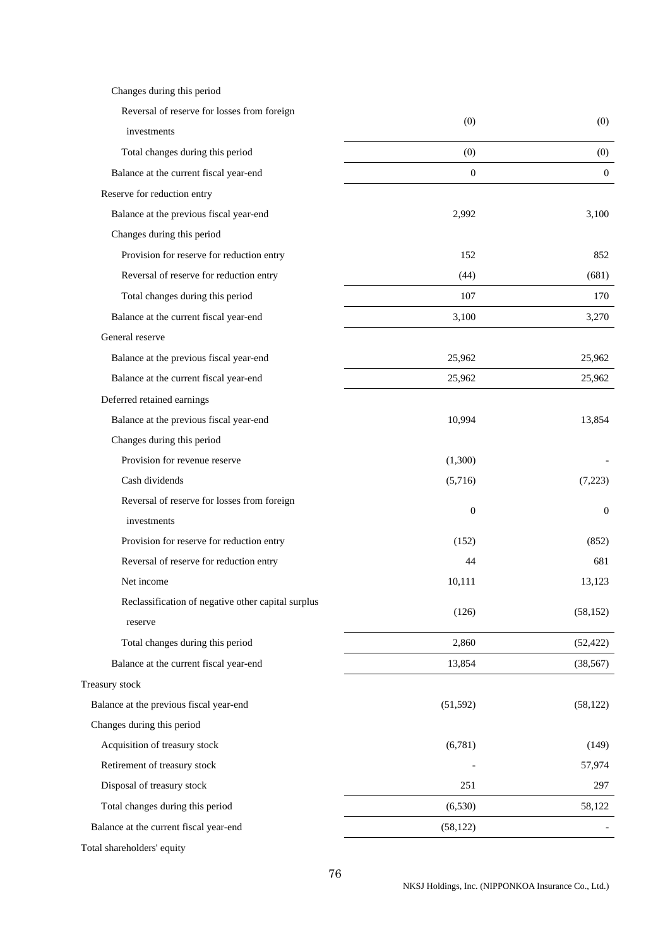| Changes during this period                         |                  |                  |
|----------------------------------------------------|------------------|------------------|
| Reversal of reserve for losses from foreign        | (0)              | (0)              |
| investments                                        |                  |                  |
| Total changes during this period                   | (0)              | (0)              |
| Balance at the current fiscal year-end             | $\boldsymbol{0}$ | $\theta$         |
| Reserve for reduction entry                        |                  |                  |
| Balance at the previous fiscal year-end            | 2,992            | 3,100            |
| Changes during this period                         |                  |                  |
| Provision for reserve for reduction entry          | 152              | 852              |
| Reversal of reserve for reduction entry            | (44)             | (681)            |
| Total changes during this period                   | 107              | 170              |
| Balance at the current fiscal year-end             | 3,100            | 3,270            |
| General reserve                                    |                  |                  |
| Balance at the previous fiscal year-end            | 25,962           | 25,962           |
| Balance at the current fiscal year-end             | 25,962           | 25,962           |
| Deferred retained earnings                         |                  |                  |
| Balance at the previous fiscal year-end            | 10,994           | 13,854           |
| Changes during this period                         |                  |                  |
| Provision for revenue reserve                      | (1,300)          |                  |
| Cash dividends                                     | (5,716)          | (7,223)          |
| Reversal of reserve for losses from foreign        | $\mathbf{0}$     |                  |
| investments                                        |                  | $\boldsymbol{0}$ |
| Provision for reserve for reduction entry          | (152)            | (852)            |
| Reversal of reserve for reduction entry            | 44               | 681              |
| Net income                                         | 10,111           | 13,123           |
| Reclassification of negative other capital surplus | (126)            | (58, 152)        |
| reserve                                            |                  |                  |
| Total changes during this period                   | 2,860            | (52, 422)        |
| Balance at the current fiscal year-end             | 13,854           | (38, 567)        |
| Treasury stock                                     |                  |                  |
| Balance at the previous fiscal year-end            | (51, 592)        | (58, 122)        |
| Changes during this period                         |                  |                  |
| Acquisition of treasury stock                      | (6,781)          | (149)            |
| Retirement of treasury stock                       |                  | 57,974           |
| Disposal of treasury stock                         | 251              | 297              |
| Total changes during this period                   | (6,530)          | 58,122           |
| Balance at the current fiscal year-end             | (58, 122)        |                  |
|                                                    |                  |                  |

Total shareholders' equity

NKSJ Holdings, Inc. (NIPPONKOA Insurance Co., Ltd.)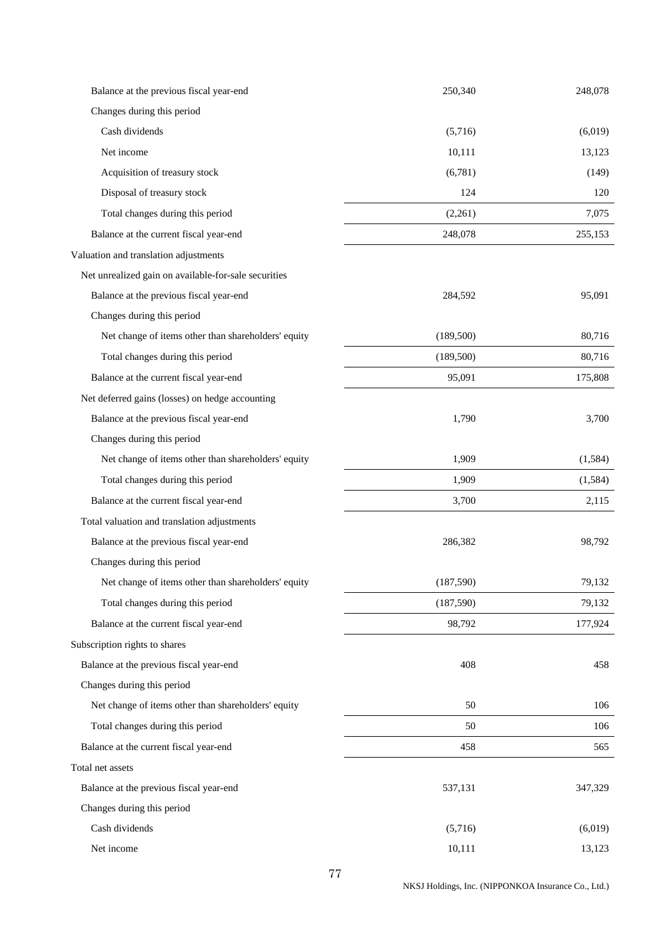| Balance at the previous fiscal year-end              | 250,340    | 248,078  |
|------------------------------------------------------|------------|----------|
| Changes during this period                           |            |          |
| Cash dividends                                       | (5,716)    | (6,019)  |
| Net income                                           | 10,111     | 13,123   |
| Acquisition of treasury stock                        | (6,781)    | (149)    |
| Disposal of treasury stock                           | 124        | 120      |
| Total changes during this period                     | (2,261)    | 7,075    |
| Balance at the current fiscal year-end               | 248,078    | 255,153  |
| Valuation and translation adjustments                |            |          |
| Net unrealized gain on available-for-sale securities |            |          |
| Balance at the previous fiscal year-end              | 284,592    | 95,091   |
| Changes during this period                           |            |          |
| Net change of items other than shareholders' equity  | (189, 500) | 80,716   |
| Total changes during this period                     | (189, 500) | 80,716   |
| Balance at the current fiscal year-end               | 95,091     | 175,808  |
| Net deferred gains (losses) on hedge accounting      |            |          |
| Balance at the previous fiscal year-end              | 1,790      | 3,700    |
| Changes during this period                           |            |          |
| Net change of items other than shareholders' equity  | 1,909      | (1, 584) |
| Total changes during this period                     | 1,909      | (1,584)  |
| Balance at the current fiscal year-end               | 3,700      | 2,115    |
| Total valuation and translation adjustments          |            |          |
| Balance at the previous fiscal year-end              | 286,382    | 98,792   |
| Changes during this period                           |            |          |
| Net change of items other than shareholders' equity  | (187, 590) | 79,132   |
| Total changes during this period                     | (187,590)  | 79,132   |
| Balance at the current fiscal year-end               | 98,792     | 177,924  |
| Subscription rights to shares                        |            |          |
| Balance at the previous fiscal year-end              | 408        | 458      |
| Changes during this period                           |            |          |
| Net change of items other than shareholders' equity  | 50         | 106      |
| Total changes during this period                     | 50         | 106      |
| Balance at the current fiscal year-end               | 458        | 565      |
| Total net assets                                     |            |          |
| Balance at the previous fiscal year-end              | 537,131    | 347,329  |
| Changes during this period                           |            |          |
| Cash dividends                                       | (5,716)    | (6,019)  |
| Net income                                           | 10,111     | 13,123   |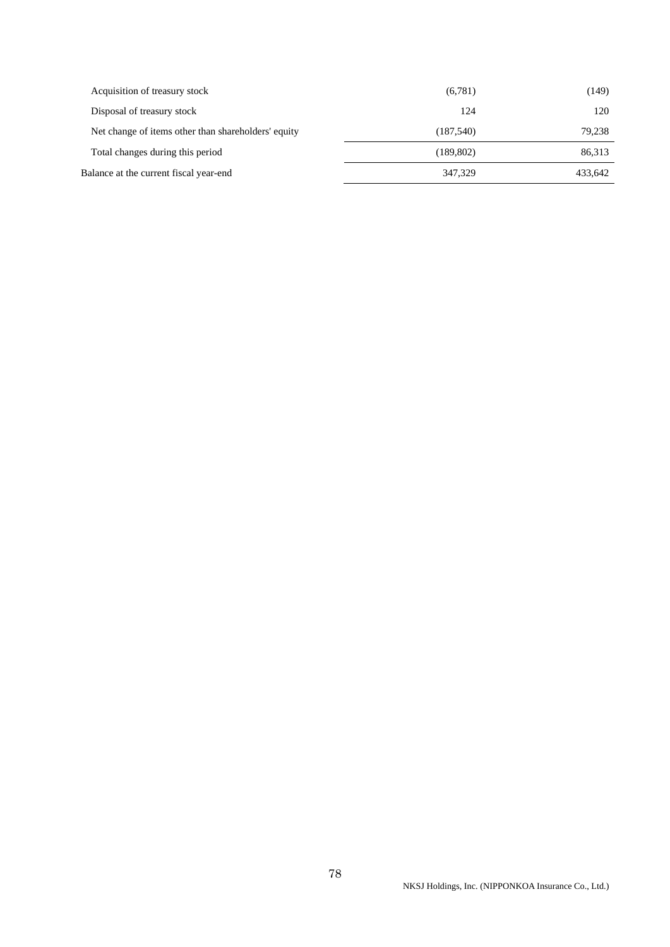| Acquisition of treasury stock                       | (6,781)    | (149)   |
|-----------------------------------------------------|------------|---------|
| Disposal of treasury stock                          | 124        | 120     |
| Net change of items other than shareholders' equity | (187,540)  | 79,238  |
| Total changes during this period                    | (189, 802) | 86,313  |
| Balance at the current fiscal year-end              | 347,329    | 433.642 |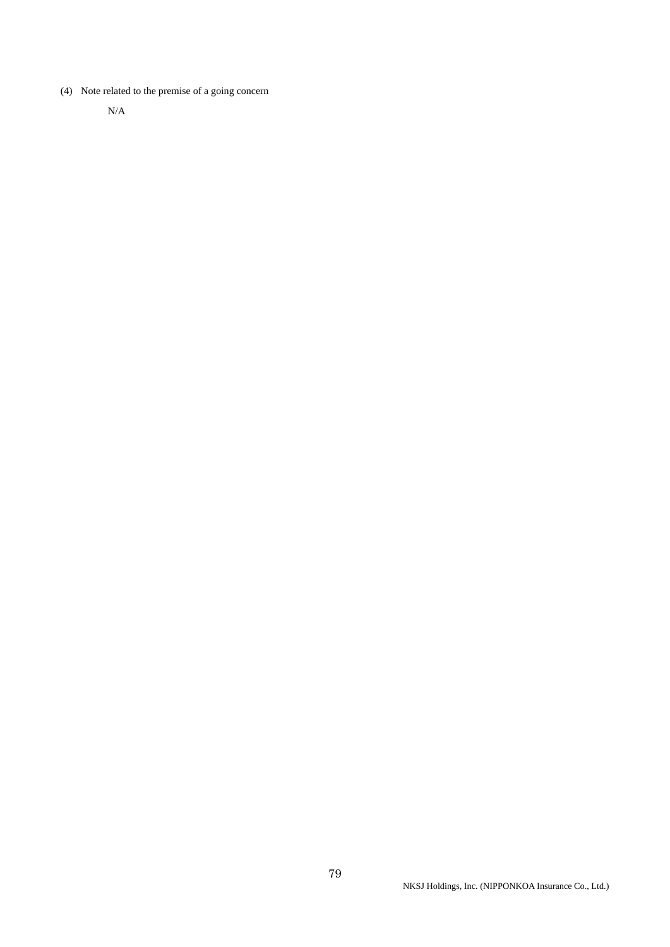(4) Note related to the premise of a going concern

N/A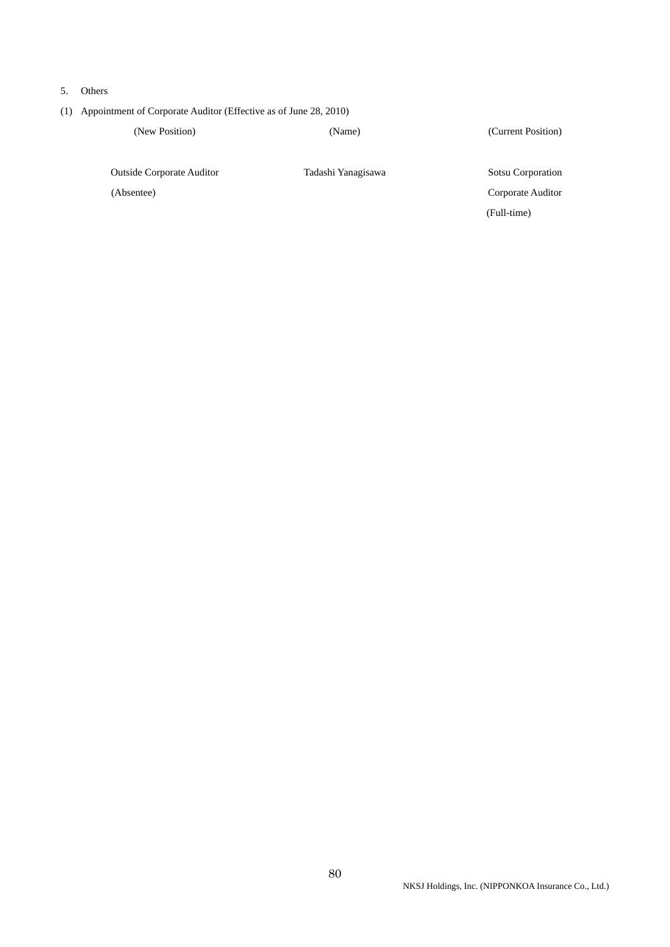- 5. Others
- (1) Appointment of Corporate Auditor (Effective as of June 28, 2010)

(New Position) (Name) (Current Position)

Outside Corporate Auditor Tadashi Yanagisawa Sotsu Corporation

 (Absentee) Corporate Auditor (Full-time)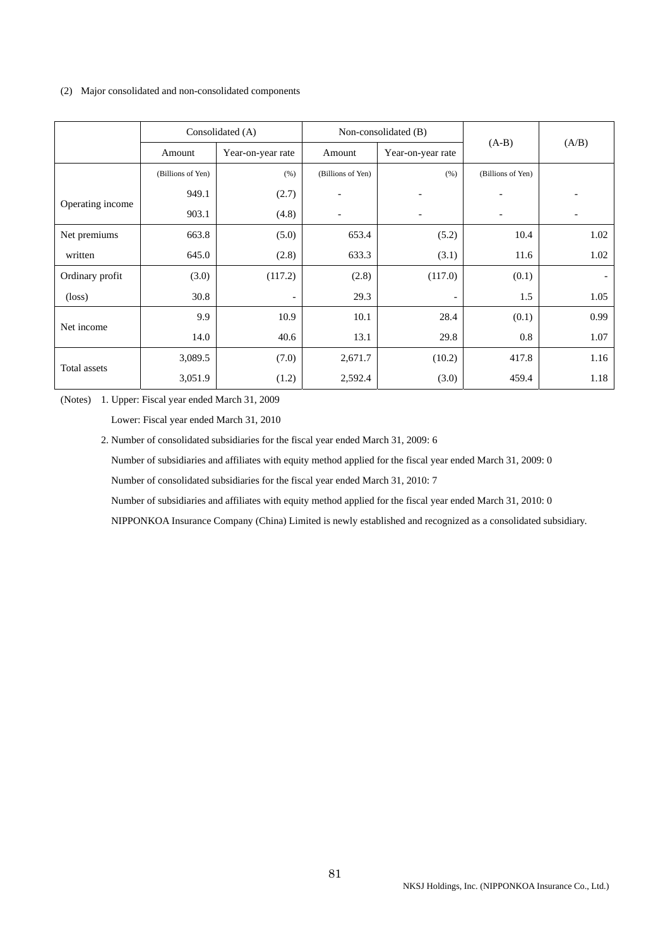### (2) Major consolidated and non-consolidated components

|                  |                   | Consolidated (A)  |                          | Non-consolidated (B)<br>$(A-B)$<br>Amount<br>Year-on-year rate |                   |                          |
|------------------|-------------------|-------------------|--------------------------|----------------------------------------------------------------|-------------------|--------------------------|
|                  | Amount            | Year-on-year rate |                          |                                                                |                   | (A/B)                    |
|                  | (Billions of Yen) | (% )              | (Billions of Yen)        | (% )                                                           | (Billions of Yen) |                          |
|                  | 949.1             | (2.7)             |                          |                                                                |                   |                          |
| Operating income | 903.1             | (4.8)             | $\overline{\phantom{0}}$ |                                                                |                   |                          |
| Net premiums     | 663.8             | (5.0)             | 653.4                    | (5.2)                                                          | 10.4              | 1.02                     |
| written          | 645.0             | (2.8)             | 633.3                    | (3.1)                                                          | 11.6              | 1.02                     |
| Ordinary profit  | (3.0)             | (117.2)           | (2.8)                    | (117.0)                                                        | (0.1)             | $\overline{\phantom{a}}$ |
| $(\text{loss})$  | 30.8              | -                 | 29.3                     |                                                                | 1.5               | 1.05                     |
|                  | 9.9               | 10.9              | 10.1                     | 28.4                                                           | (0.1)             | 0.99                     |
| Net income       | 14.0              | 40.6              | 13.1                     | 29.8                                                           | 0.8               | 1.07                     |
|                  | 3,089.5           | (7.0)             | 2,671.7                  | (10.2)                                                         | 417.8             | 1.16                     |
| Total assets     | 3,051.9           | (1.2)             | 2,592.4                  | (3.0)                                                          | 459.4             | 1.18                     |

(Notes) 1. Upper: Fiscal year ended March 31, 2009

Lower: Fiscal year ended March 31, 2010

2. Number of consolidated subsidiaries for the fiscal year ended March 31, 2009: 6

Number of subsidiaries and affiliates with equity method applied for the fiscal year ended March 31, 2009: 0

Number of consolidated subsidiaries for the fiscal year ended March 31, 2010: 7

Number of subsidiaries and affiliates with equity method applied for the fiscal year ended March 31, 2010: 0

NIPPONKOA Insurance Company (China) Limited is newly established and recognized as a consolidated subsidiary.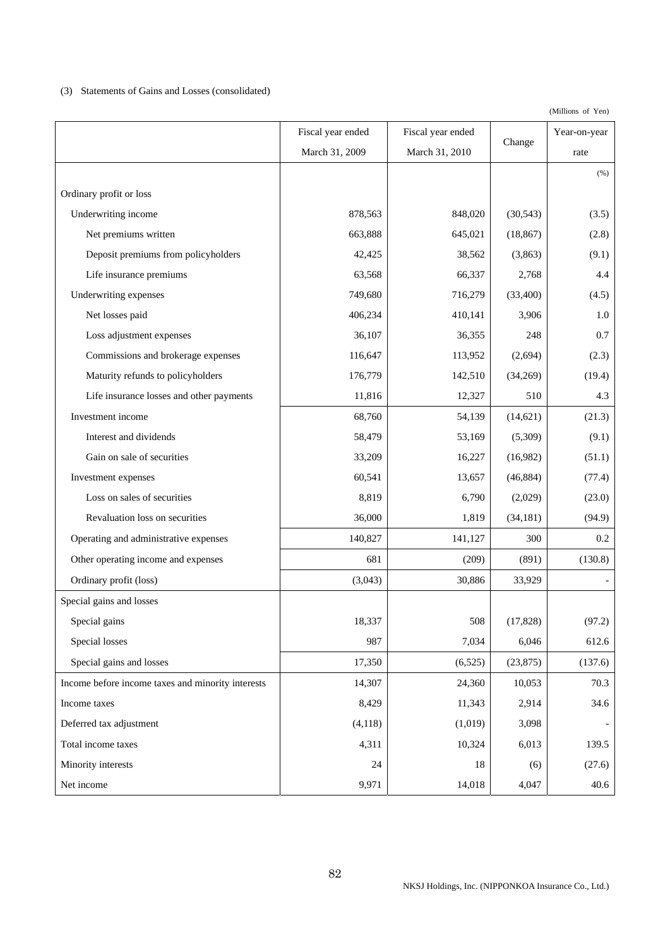# (3) Statements of Gains and Losses (consolidated)

|                                                   | Fiscal year ended | Fiscal year ended |           | Year-on-year |
|---------------------------------------------------|-------------------|-------------------|-----------|--------------|
|                                                   | March 31, 2009    | March 31, 2010    | Change    | rate         |
|                                                   |                   |                   |           | (% )         |
| Ordinary profit or loss                           |                   |                   |           |              |
| Underwriting income                               | 878,563           | 848,020           | (30, 543) | (3.5)        |
| Net premiums written                              | 663,888           | 645,021           | (18, 867) | (2.8)        |
| Deposit premiums from policyholders               | 42,425            | 38,562            | (3,863)   | (9.1)        |
| Life insurance premiums                           | 63,568            | 66,337            | 2,768     | 4.4          |
| Underwriting expenses                             | 749,680           | 716,279           | (33,400)  | (4.5)        |
| Net losses paid                                   | 406,234           | 410,141           | 3,906     | 1.0          |
| Loss adjustment expenses                          | 36,107            | 36,355            | 248       | 0.7          |
| Commissions and brokerage expenses                | 116,647           | 113,952           | (2,694)   | (2.3)        |
| Maturity refunds to policyholders                 | 176,779           | 142,510           | (34,269)  | (19.4)       |
| Life insurance losses and other payments          | 11,816            | 12,327            | 510       | 4.3          |
| Investment income                                 | 68,760            | 54,139            | (14, 621) | (21.3)       |
| Interest and dividends                            | 58,479            | 53,169            | (5,309)   | (9.1)        |
| Gain on sale of securities                        | 33,209            | 16,227            | (16,982)  | (51.1)       |
| Investment expenses                               | 60,541            | 13,657            | (46, 884) | (77.4)       |
| Loss on sales of securities                       | 8,819             | 6,790             | (2,029)   | (23.0)       |
| Revaluation loss on securities                    | 36,000            | 1,819             | (34, 181) | (94.9)       |
| Operating and administrative expenses             | 140,827           | 141,127           | 300       | 0.2          |
| Other operating income and expenses               | 681               | (209)             | (891)     | (130.8)      |
| Ordinary profit (loss)                            | (3,043)           | 30,886            | 33,929    |              |
| Special gains and losses                          |                   |                   |           |              |
| Special gains                                     | 18,337            | 508               | (17, 828) | (97.2)       |
| Special losses                                    | 987               | 7,034             | 6,046     | 612.6        |
| Special gains and losses                          | 17,350            | (6,525)           | (23, 875) | (137.6)      |
| Income before income taxes and minority interests | 14,307            | 24,360            | 10,053    | 70.3         |
| Income taxes                                      | 8,429             | 11,343            | 2,914     | 34.6         |
| Deferred tax adjustment                           | (4,118)           | (1,019)           | 3,098     |              |
| Total income taxes                                | 4,311             | 10,324            | 6,013     | 139.5        |
| Minority interests                                | 24                | 18                | (6)       | (27.6)       |
| Net income                                        | 9,971             | 14,018            | 4,047     | 40.6         |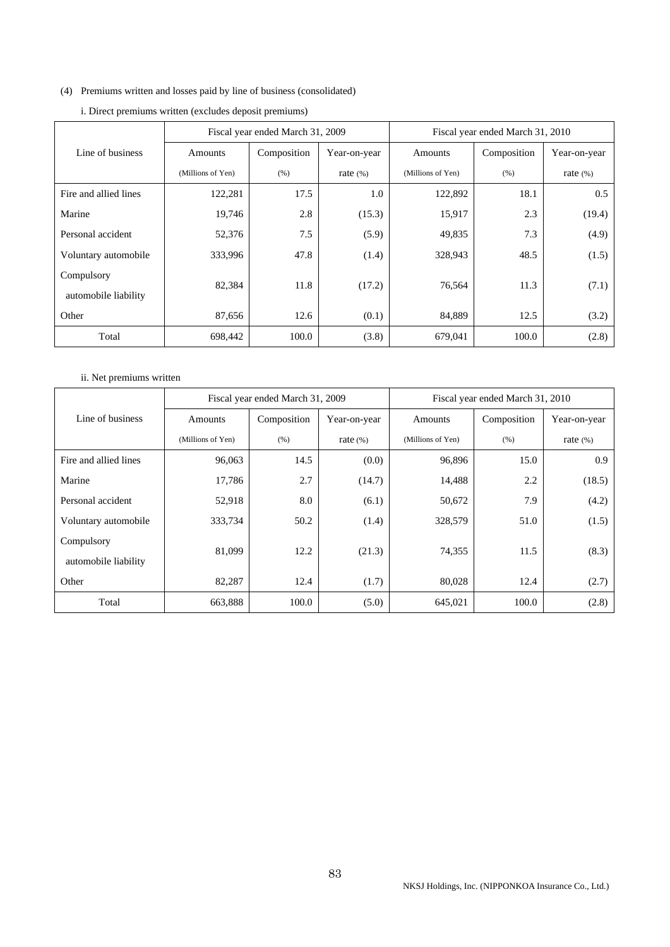# (4) Premiums written and losses paid by line of business (consolidated)

|                       | Fiscal year ended March 31, 2009 |             |              | Fiscal year ended March 31, 2010 |             |              |
|-----------------------|----------------------------------|-------------|--------------|----------------------------------|-------------|--------------|
| Line of business      | Amounts                          | Composition | Year-on-year | Amounts                          | Composition | Year-on-year |
|                       | (Millions of Yen)                | (% )        | rate $(\%)$  | (Millions of Yen)                | (% )        | rate $(\%)$  |
| Fire and allied lines | 122,281                          | 17.5        | 1.0          | 122,892                          | 18.1        | 0.5          |
| Marine                | 19,746                           | 2.8         | (15.3)       | 15,917                           | 2.3         | (19.4)       |
| Personal accident     | 52,376                           | 7.5         | (5.9)        | 49,835                           | 7.3         | (4.9)        |
| Voluntary automobile  | 333,996                          | 47.8        | (1.4)        | 328,943                          | 48.5        | (1.5)        |
| Compulsory            | 82,384                           | 11.8        | (17.2)       | 76,564                           | 11.3        | (7.1)        |
| automobile liability  |                                  |             |              |                                  |             |              |
| Other                 | 87,656                           | 12.6        | (0.1)        | 84,889                           | 12.5        | (3.2)        |
| Total                 | 698,442                          | 100.0       | (3.8)        | 679,041                          | 100.0       | (2.8)        |

|  | i. Direct premiums written (excludes deposit premiums) |
|--|--------------------------------------------------------|
|--|--------------------------------------------------------|

# ii. Net premiums written

|                       | Fiscal year ended March 31, 2009 |             |              | Fiscal year ended March 31, 2010 |             |              |
|-----------------------|----------------------------------|-------------|--------------|----------------------------------|-------------|--------------|
| Line of business      | Amounts                          | Composition | Year-on-year | Amounts                          | Composition | Year-on-year |
|                       | (Millions of Yen)                | (% )        | rate $(\%)$  | (Millions of Yen)                | (% )        | rate $(\%)$  |
| Fire and allied lines | 96,063                           | 14.5        | (0.0)        | 96,896                           | 15.0        | 0.9          |
| Marine                | 17,786                           | 2.7         | (14.7)       | 14,488                           | 2.2         | (18.5)       |
| Personal accident     | 52,918                           | 8.0         | (6.1)        | 50,672                           | 7.9         | (4.2)        |
| Voluntary automobile  | 333,734                          | 50.2        | (1.4)        | 328,579                          | 51.0        | (1.5)        |
| Compulsory            | 81,099                           | 12.2        | (21.3)       | 74,355                           | 11.5        | (8.3)        |
| automobile liability  |                                  |             |              |                                  |             |              |
| Other                 | 82,287                           | 12.4        | (1.7)        | 80,028                           | 12.4        | (2.7)        |
| Total                 | 663,888                          | 100.0       | (5.0)        | 645,021                          | 100.0       | (2.8)        |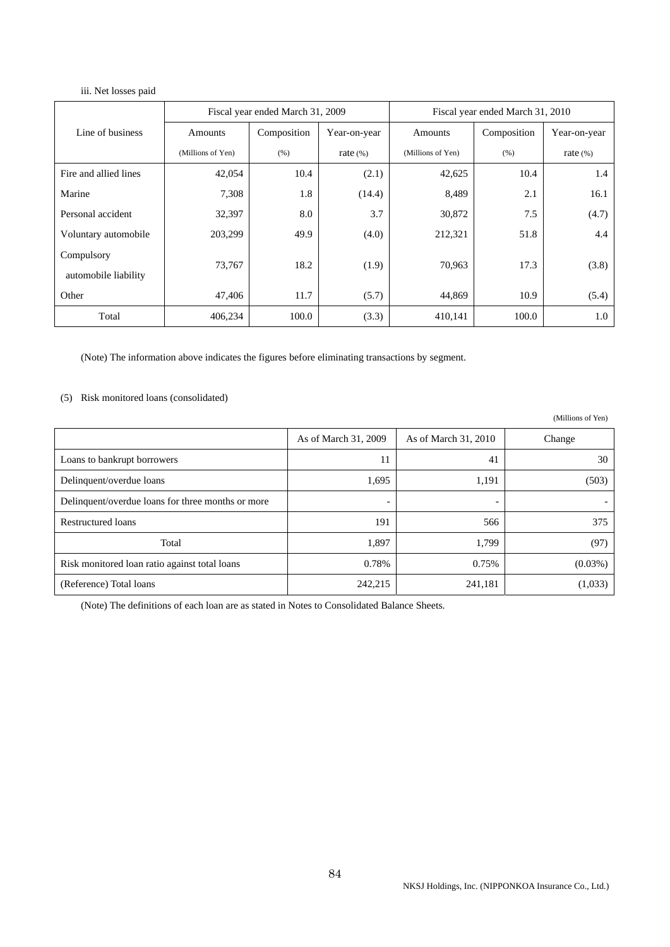### iii. Net losses paid

|                                    | Fiscal year ended March 31, 2009 |             |              | Fiscal year ended March 31, 2010 |             |              |
|------------------------------------|----------------------------------|-------------|--------------|----------------------------------|-------------|--------------|
| Line of business                   | Amounts                          | Composition | Year-on-year | Amounts                          | Composition | Year-on-year |
|                                    | (Millions of Yen)                | (% )        | rate $(\%)$  | (Millions of Yen)                | (% )        | rate $(\%)$  |
| Fire and allied lines              | 42,054                           | 10.4        | (2.1)        | 42,625                           | 10.4        | 1.4          |
| Marine                             | 7,308                            | 1.8         | (14.4)       | 8,489                            | 2.1         | 16.1         |
| Personal accident                  | 32,397                           | 8.0         | 3.7          | 30,872                           | 7.5         | (4.7)        |
| Voluntary automobile               | 203,299                          | 49.9        | (4.0)        | 212,321                          | 51.8        | 4.4          |
| Compulsory<br>automobile liability | 73,767                           | 18.2        | (1.9)        | 70,963                           | 17.3        | (3.8)        |
| Other                              | 47,406                           | 11.7        | (5.7)        | 44,869                           | 10.9        | (5.4)        |
| Total                              | 406,234                          | 100.0       | (3.3)        | 410,141                          | 100.0       | 1.0          |

(Note) The information above indicates the figures before eliminating transactions by segment.

# (5) Risk monitored loans (consolidated)

(Millions of Yen)

|                                                   | As of March 31, 2009     | As of March 31, 2010     | Change     |
|---------------------------------------------------|--------------------------|--------------------------|------------|
| Loans to bankrupt borrowers                       | 11                       | 41                       | 30         |
| Delinquent/overdue loans                          | 1,695                    | 1,191                    | (503)      |
| Delinquent/overdue loans for three months or more | $\overline{\phantom{a}}$ | $\overline{\phantom{0}}$ |            |
| <b>Restructured loans</b>                         | 191                      | 566                      | 375        |
| Total                                             | 1,897                    | 1,799                    | (97)       |
| Risk monitored loan ratio against total loans     | 0.78%                    | 0.75%                    | $(0.03\%)$ |
| (Reference) Total loans                           | 242,215                  | 241,181                  | (1,033)    |

(Note) The definitions of each loan are as stated in Notes to Consolidated Balance Sheets.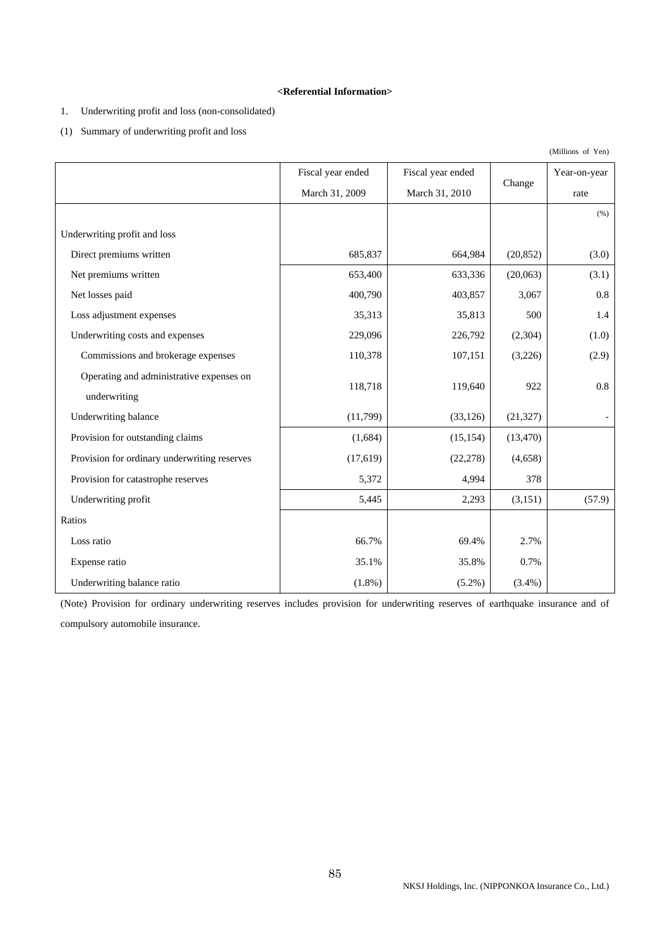### **<Referential Information>**

# 1. Underwriting profit and loss (non-consolidated)

(1) Summary of underwriting profit and loss

|                                              | Fiscal year ended | Fiscal year ended |           | Year-on-year |
|----------------------------------------------|-------------------|-------------------|-----------|--------------|
|                                              | March 31, 2009    | March 31, 2010    | Change    | rate         |
|                                              |                   |                   |           | (% )         |
| Underwriting profit and loss                 |                   |                   |           |              |
| Direct premiums written                      | 685,837           | 664,984           | (20, 852) | (3.0)        |
| Net premiums written                         | 653,400           | 633,336           | (20,063)  | (3.1)        |
| Net losses paid                              | 400,790           | 403,857           | 3,067     | 0.8          |
| Loss adjustment expenses                     | 35,313            | 35,813            | 500       | 1.4          |
| Underwriting costs and expenses              | 229,096           | 226,792           | (2,304)   | (1.0)        |
| Commissions and brokerage expenses           | 110,378           | 107,151           | (3,226)   | (2.9)        |
| Operating and administrative expenses on     |                   |                   | 922       | 0.8          |
| underwriting                                 | 118,718           | 119,640           |           |              |
| Underwriting balance                         | (11,799)          | (33, 126)         | (21, 327) |              |
| Provision for outstanding claims             | (1,684)           | (15, 154)         | (13, 470) |              |
| Provision for ordinary underwriting reserves | (17, 619)         | (22, 278)         | (4,658)   |              |
| Provision for catastrophe reserves           | 5,372             | 4,994             | 378       |              |
| Underwriting profit                          | 5,445             | 2,293             | (3,151)   | (57.9)       |
| Ratios                                       |                   |                   |           |              |
| Loss ratio                                   | 66.7%             | 69.4%             | 2.7%      |              |
| Expense ratio                                | 35.1%             | 35.8%             | 0.7%      |              |
| Underwriting balance ratio                   | $(1.8\%)$         | $(5.2\%)$         | $(3.4\%)$ |              |

(Note) Provision for ordinary underwriting reserves includes provision for underwriting reserves of earthquake insurance and of compulsory automobile insurance.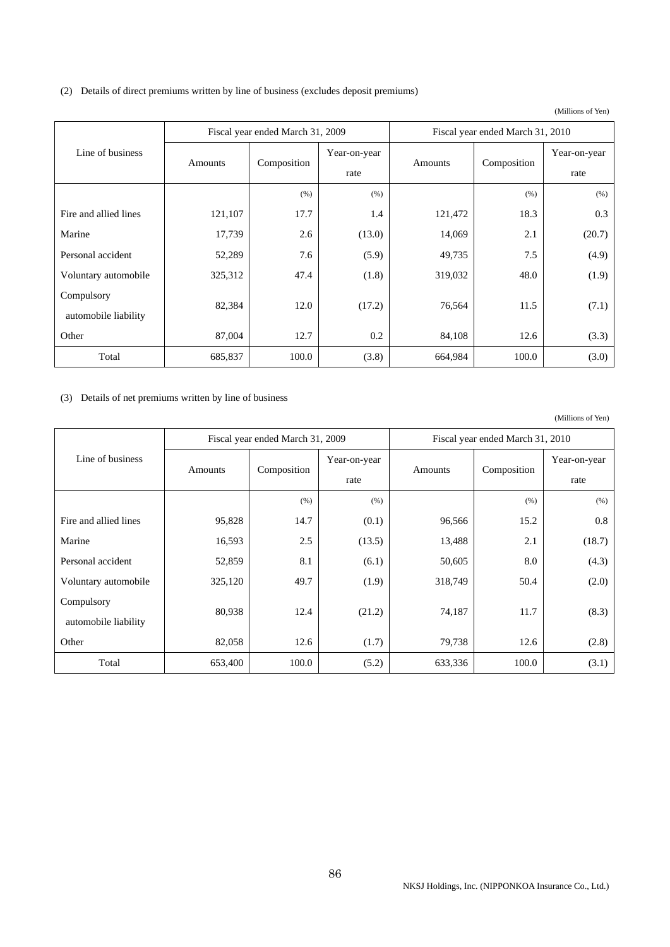| (2) Details of direct premiums written by line of business (excludes deposit premiums) |  |  |  |  |
|----------------------------------------------------------------------------------------|--|--|--|--|
|                                                                                        |  |  |  |  |

(Millions of Yen)

|                       |         | Fiscal year ended March 31, 2009 |        | Fiscal year ended March 31, 2010 |             |              |  |
|-----------------------|---------|----------------------------------|--------|----------------------------------|-------------|--------------|--|
| Line of business      |         | Year-on-year                     |        |                                  |             | Year-on-year |  |
|                       | Amounts | Composition                      | rate   | Amounts                          | Composition | rate         |  |
|                       |         | (% )                             | (% )   |                                  | (% )        | (% )         |  |
| Fire and allied lines | 121,107 | 17.7                             | 1.4    | 121,472                          | 18.3        | 0.3          |  |
| Marine                | 17,739  | 2.6                              | (13.0) | 14,069                           | 2.1         | (20.7)       |  |
| Personal accident     | 52,289  | 7.6                              | (5.9)  | 49,735                           | 7.5         | (4.9)        |  |
| Voluntary automobile  | 325,312 | 47.4                             | (1.8)  | 319,032                          | 48.0        | (1.9)        |  |
| Compulsory            | 82,384  | 12.0                             | (17.2) | 76,564                           | 11.5        | (7.1)        |  |
| automobile liability  |         |                                  |        |                                  |             |              |  |
| Other                 | 87,004  | 12.7                             | 0.2    | 84,108                           | 12.6        | (3.3)        |  |
| Total                 | 685,837 | 100.0                            | (3.8)  | 664,984                          | 100.0       | (3.0)        |  |

# (3) Details of net premiums written by line of business

|                       |         | Fiscal year ended March 31, 2009 |              | Fiscal year ended March 31, 2010 |             |              |  |
|-----------------------|---------|----------------------------------|--------------|----------------------------------|-------------|--------------|--|
| Line of business      | Amounts | Composition                      | Year-on-year | Amounts                          | Composition | Year-on-year |  |
|                       |         |                                  | rate         |                                  |             | rate         |  |
|                       |         | (% )                             | (% )         |                                  | (% )        | (% )         |  |
| Fire and allied lines | 95,828  | 14.7                             | (0.1)        | 96,566                           | 15.2        | 0.8          |  |
| Marine                | 16,593  | 2.5                              | (13.5)       | 13,488                           | 2.1         | (18.7)       |  |
| Personal accident     | 52,859  | 8.1                              | (6.1)        | 50,605                           | 8.0         | (4.3)        |  |
| Voluntary automobile  | 325,120 | 49.7                             | (1.9)        | 318,749                          | 50.4        | (2.0)        |  |
| Compulsory            | 80,938  | 12.4                             |              | 74,187                           | 11.7        |              |  |
| automobile liability  |         |                                  | (21.2)       |                                  |             | (8.3)        |  |
| Other                 | 82,058  | 12.6                             | (1.7)        | 79,738                           | 12.6        | (2.8)        |  |
| Total                 | 653,400 | 100.0                            | (5.2)        | 633,336                          | 100.0       | (3.1)        |  |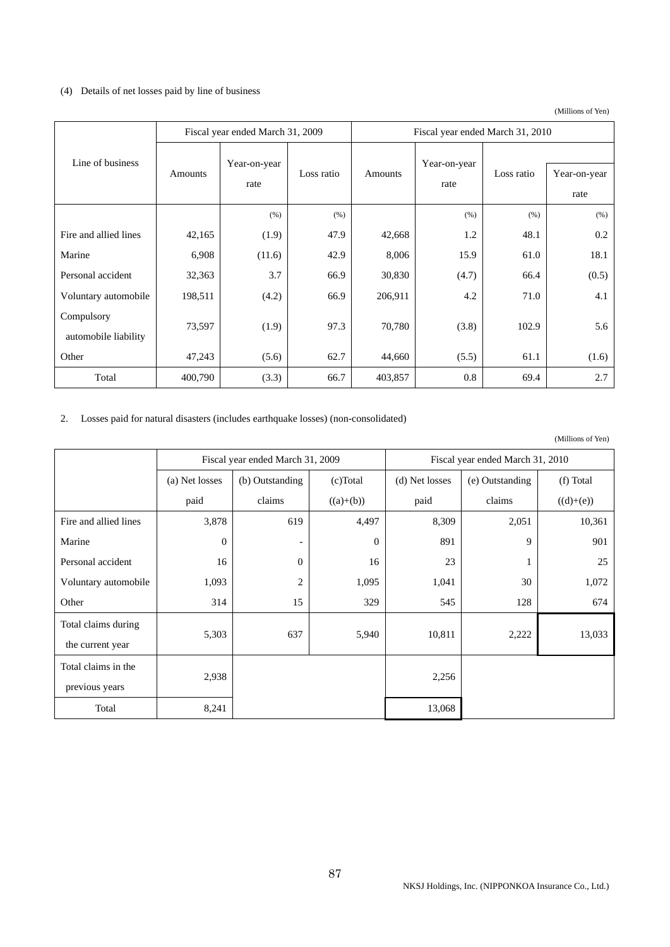# (4) Details of net losses paid by line of business

(Millions of Yen)

|                                    |                                 | Fiscal year ended March 31, 2009 |            | Fiscal year ended March 31, 2010 |                                    |       |                      |
|------------------------------------|---------------------------------|----------------------------------|------------|----------------------------------|------------------------------------|-------|----------------------|
| Line of business                   | Year-on-year<br>Amounts<br>rate |                                  | Loss ratio | Amounts                          | Year-on-year<br>Loss ratio<br>rate |       | Year-on-year<br>rate |
|                                    |                                 | (% )                             | (% )       |                                  | (% )                               | (% )  | (% )                 |
| Fire and allied lines              | 42,165                          | (1.9)                            | 47.9       | 42,668                           | 1.2                                | 48.1  | 0.2                  |
| Marine                             | 6,908                           | (11.6)                           | 42.9       | 8,006                            | 15.9                               | 61.0  | 18.1                 |
| Personal accident                  | 32,363                          | 3.7                              | 66.9       | 30,830                           | (4.7)                              | 66.4  | (0.5)                |
| Voluntary automobile               | 198,511                         | (4.2)                            | 66.9       | 206,911                          | 4.2                                | 71.0  | 4.1                  |
| Compulsory<br>automobile liability | 73,597                          | (1.9)                            | 97.3       | 70,780                           | (3.8)                              | 102.9 | 5.6                  |
| Other                              | 47,243                          | (5.6)                            | 62.7       | 44,660                           | (5.5)                              | 61.1  | (1.6)                |
| Total                              | 400,790                         | (3.3)                            | 66.7       | 403,857                          | 0.8                                | 69.4  | 2.7                  |

# 2. Losses paid for natural disasters (includes earthquake losses) (non-consolidated)

|                       |                | Fiscal year ended March 31, 2009 |             | Fiscal year ended March 31, 2010 |                 |             |  |
|-----------------------|----------------|----------------------------------|-------------|----------------------------------|-----------------|-------------|--|
|                       | (a) Net losses | (b) Outstanding                  | $(c)$ Total | (d) Net losses                   | (e) Outstanding | (f) Total   |  |
|                       | paid           | claims                           | $((a)+(b))$ | paid                             | claims          | $((d)+(e))$ |  |
| Fire and allied lines | 3,878          | 619                              | 4,497       | 8,309                            | 2,051           | 10,361      |  |
| Marine                | $\mathbf{0}$   | -                                | $\Omega$    | 891                              | 9               | 901         |  |
| Personal accident     | 16             | $\overline{0}$                   | 16          | 23                               |                 | 25          |  |
| Voluntary automobile  | 1,093          | 2                                | 1,095       | 1,041                            | 30              | 1,072       |  |
| Other                 | 314            | 15                               | 329         | 545                              | 128             | 674         |  |
| Total claims during   |                |                                  |             |                                  |                 |             |  |
| the current year      | 5,303          | 637                              | 5,940       | 10,811                           | 2,222           | 13,033      |  |
| Total claims in the   |                |                                  |             |                                  |                 |             |  |
| previous years        | 2,938          |                                  |             | 2,256                            |                 |             |  |
| Total                 | 8,241          |                                  |             | 13,068                           |                 |             |  |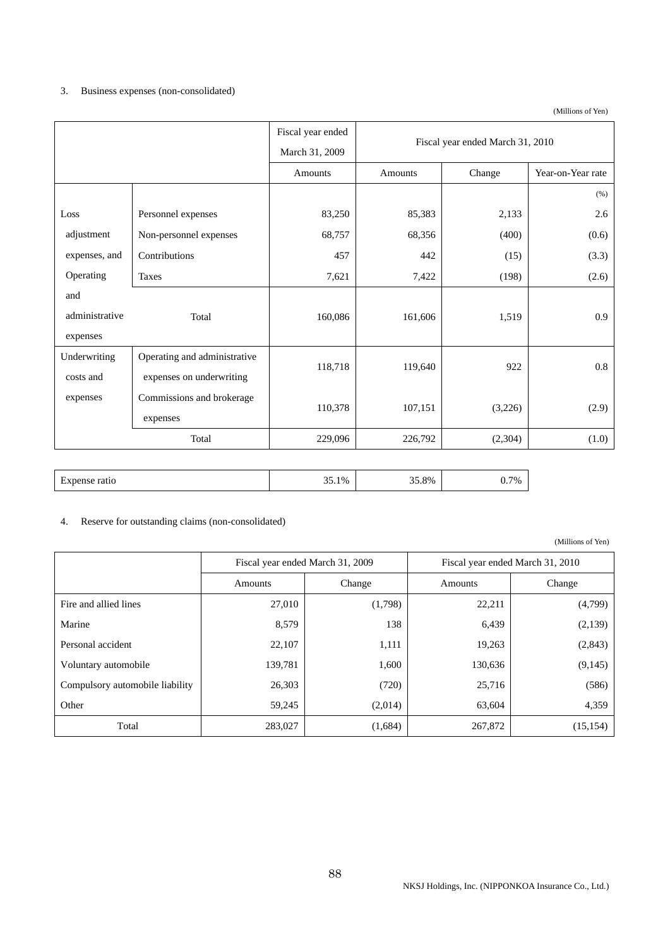## 3. Business expenses (non-consolidated)

 Fiscal year ended March 31, 2009 Fiscal year ended March 31, 2010 Amounts | Amounts | Change | Year-on-Year rate  $(%)$ Loss adjustment expenses, and Operating and administrative expenses Personnel expenses 83,250 85,383 2,133 2.6 Non-personnel expenses (68,757 (68,356 (400) (0.6) Contributions 457 442 (15) (3.3) Taxes  $7,621$   $7,422$   $(198)$   $(2.6)$ Total 160,086 161,606 1,519 0.9 Underwriting costs and expenses Operating and administrative expenses on underwriting 118,718 119,640 922 0.8 Commissions and brokerage expenses 110,378 107,151 (3,226) (2.9) Total  $229,096$   $226,792$   $(2,304)$   $(1.0)$ 

|  | $\overline{\phantom{0}}$<br>ratio<br>н<br>′nense | $\sim$ $\sim$<br>35.1% | 35.8% | 0.7% |
|--|--------------------------------------------------|------------------------|-------|------|
|--|--------------------------------------------------|------------------------|-------|------|

### 4. Reserve for outstanding claims (non-consolidated)

|                                 | Fiscal year ended March 31, 2009 |         | Fiscal year ended March 31, 2010 |           |  |  |
|---------------------------------|----------------------------------|---------|----------------------------------|-----------|--|--|
|                                 | Change<br>Amounts                |         | Amounts                          | Change    |  |  |
| Fire and allied lines           | 27,010                           | (1,798) | 22,211                           | (4,799)   |  |  |
| Marine                          | 8,579                            | 138     | 6,439                            | (2,139)   |  |  |
| Personal accident               | 22,107                           | 1,111   | 19,263                           | (2,843)   |  |  |
| Voluntary automobile            | 139,781                          | 1,600   | 130,636                          | (9,145)   |  |  |
| Compulsory automobile liability | 26,303                           | (720)   | 25,716                           | (586)     |  |  |
| Other                           | 59,245                           | (2,014) | 63,604                           | 4,359     |  |  |
| Total                           | 283,027                          | (1,684) | 267,872                          | (15, 154) |  |  |

(Millions of Yen)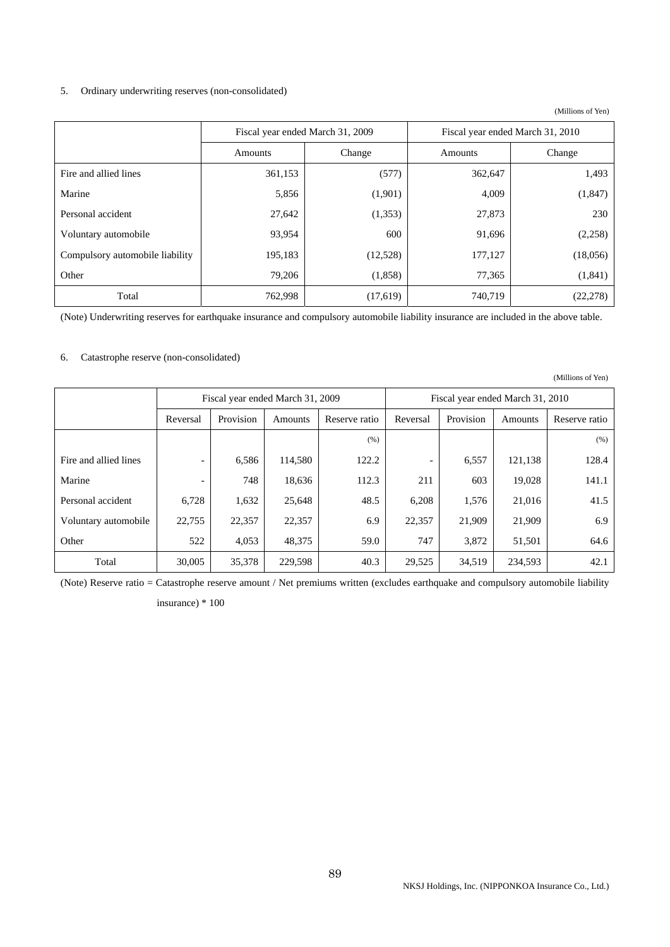### 5. Ordinary underwriting reserves (non-consolidated)

(Millions of Yen)

|                                 |                   | Fiscal year ended March 31, 2009 | Fiscal year ended March 31, 2010 |           |  |
|---------------------------------|-------------------|----------------------------------|----------------------------------|-----------|--|
|                                 | Amounts<br>Change |                                  | Amounts                          | Change    |  |
| Fire and allied lines           | 361,153           | (577)                            | 362,647                          | 1,493     |  |
| Marine                          | 5,856             | (1,901)                          | 4,009                            | (1, 847)  |  |
| Personal accident               | 27,642            | (1,353)                          | 27,873                           | 230       |  |
| Voluntary automobile            | 93,954            | 600                              | 91,696                           | (2,258)   |  |
| Compulsory automobile liability | 195,183           | (12,528)                         | 177,127                          | (18,056)  |  |
| Other                           | 79,206            | (1,858)                          | 77,365                           | (1,841)   |  |
| Total                           | 762,998           | (17,619)                         | 740,719                          | (22, 278) |  |

(Note) Underwriting reserves for earthquake insurance and compulsory automobile liability insurance are included in the above table.

## 6. Catastrophe reserve (non-consolidated)

|                       |          |                                  |         |               |                          |                                  |         | (Millions of Yen) |
|-----------------------|----------|----------------------------------|---------|---------------|--------------------------|----------------------------------|---------|-------------------|
|                       |          | Fiscal year ended March 31, 2009 |         |               |                          | Fiscal year ended March 31, 2010 |         |                   |
|                       | Reversal | Provision                        | Amounts | Reserve ratio | Reversal                 | Provision                        | Amounts | Reserve ratio     |
|                       |          |                                  |         | (% )          |                          |                                  |         | (% )              |
| Fire and allied lines |          | 6,586                            | 114,580 | 122.2         | $\overline{\phantom{a}}$ | 6,557                            | 121,138 | 128.4             |
| Marine                |          | 748                              | 18,636  | 112.3         | 211                      | 603                              | 19,028  | 141.1             |
| Personal accident     | 6,728    | 1,632                            | 25,648  | 48.5          | 6,208                    | 1,576                            | 21,016  | 41.5              |
| Voluntary automobile  | 22,755   | 22,357                           | 22,357  | 6.9           | 22,357                   | 21,909                           | 21,909  | 6.9               |
| Other                 | 522      | 4,053                            | 48,375  | 59.0          | 747                      | 3,872                            | 51,501  | 64.6              |
| Total                 | 30,005   | 35,378                           | 229,598 | 40.3          | 29,525                   | 34,519                           | 234,593 | 42.1              |

(Note) Reserve ratio = Catastrophe reserve amount / Net premiums written (excludes earthquake and compulsory automobile liability

insurance) \* 100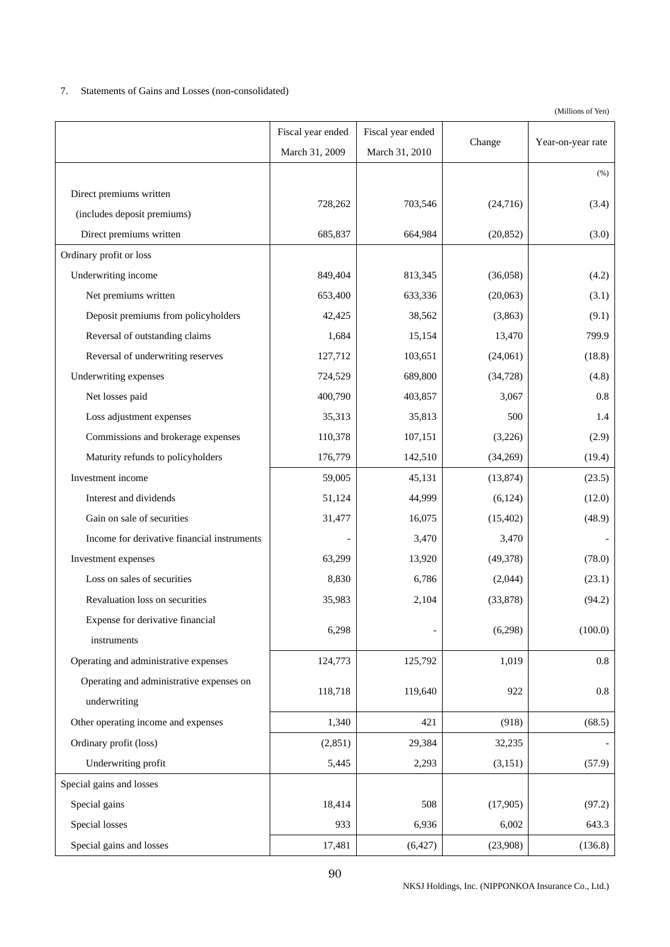## 7. Statements of Gains and Losses (non-consolidated)

|                                             | Fiscal year ended | Fiscal year ended |           |                   |
|---------------------------------------------|-------------------|-------------------|-----------|-------------------|
|                                             | March 31, 2009    | March 31, 2010    | Change    | Year-on-year rate |
|                                             |                   |                   |           | (%)               |
| Direct premiums written                     |                   |                   |           |                   |
| (includes deposit premiums)                 | 728,262           | 703,546           | (24, 716) | (3.4)             |
| Direct premiums written                     | 685,837           | 664,984           | (20, 852) | (3.0)             |
| Ordinary profit or loss                     |                   |                   |           |                   |
| Underwriting income                         | 849,404           | 813,345           | (36,058)  | (4.2)             |
| Net premiums written                        | 653,400           | 633,336           | (20,063)  | (3.1)             |
| Deposit premiums from policyholders         | 42,425            | 38,562            | (3,863)   | (9.1)             |
| Reversal of outstanding claims              | 1,684             | 15,154            | 13,470    | 799.9             |
| Reversal of underwriting reserves           | 127,712           | 103,651           | (24,061)  | (18.8)            |
| Underwriting expenses                       | 724,529           | 689,800           | (34, 728) | (4.8)             |
| Net losses paid                             | 400,790           | 403,857           | 3,067     | 0.8               |
| Loss adjustment expenses                    | 35,313            | 35,813            | 500       | 1.4               |
| Commissions and brokerage expenses          | 110,378           | 107,151           | (3,226)   | (2.9)             |
| Maturity refunds to policyholders           | 176,779           | 142,510           | (34,269)  | (19.4)            |
| Investment income                           | 59,005            | 45,131            | (13, 874) | (23.5)            |
| Interest and dividends                      | 51,124            | 44,999            | (6, 124)  | (12.0)            |
| Gain on sale of securities                  | 31,477            | 16,075            | (15, 402) | (48.9)            |
| Income for derivative financial instruments |                   | 3,470             | 3,470     |                   |
| Investment expenses                         | 63,299            | 13,920            | (49, 378) | (78.0)            |
| Loss on sales of securities                 | 8,830             | 6,786             | (2,044)   | (23.1)            |
| Revaluation loss on securities              | 35,983            | 2,104             | (33,878)  | (94.2)            |
| Expense for derivative financial            | 6,298             |                   | (6,298)   | (100.0)           |
| instruments                                 |                   |                   |           |                   |
| Operating and administrative expenses       | 124,773           | 125,792           | 1,019     | 0.8               |
| Operating and administrative expenses on    | 118,718           | 119,640           | 922       | 0.8               |
| underwriting                                |                   |                   |           |                   |
| Other operating income and expenses         | 1,340             | 421               | (918)     | (68.5)            |
| Ordinary profit (loss)                      | (2, 851)          | 29,384            | 32,235    |                   |
| Underwriting profit                         | 5,445             | 2,293             | (3, 151)  | (57.9)            |
| Special gains and losses                    |                   |                   |           |                   |
| Special gains                               | 18,414            | 508               | (17,905)  | (97.2)            |
| Special losses                              | 933               | 6,936             | 6,002     | 643.3             |
| Special gains and losses                    | 17,481            | (6,427)           | (23,908)  | (136.8)           |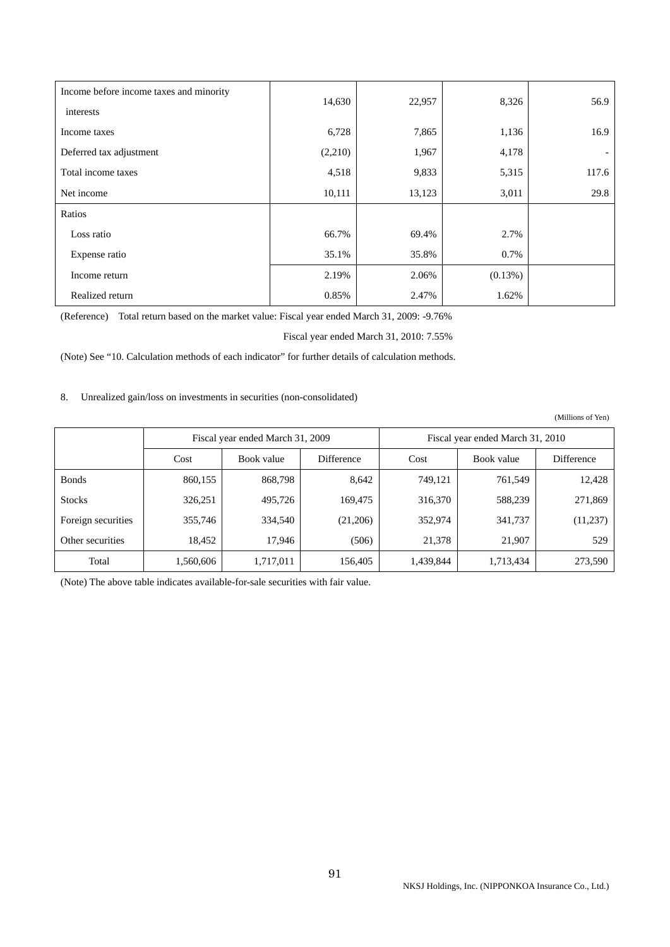| Income before income taxes and minority | 14,630  | 22,957 | 8,326   | 56.9  |
|-----------------------------------------|---------|--------|---------|-------|
| interests                               |         |        |         |       |
| Income taxes                            | 6,728   | 7,865  | 1,136   | 16.9  |
| Deferred tax adjustment                 | (2,210) | 1,967  | 4,178   |       |
| Total income taxes                      | 4,518   | 9,833  | 5,315   | 117.6 |
| Net income                              | 10,111  | 13,123 | 3,011   | 29.8  |
| Ratios                                  |         |        |         |       |
| Loss ratio                              | 66.7%   | 69.4%  | 2.7%    |       |
| Expense ratio                           | 35.1%   | 35.8%  | 0.7%    |       |
| Income return                           | 2.19%   | 2.06%  | (0.13%) |       |
| Realized return                         | 0.85%   | 2.47%  | 1.62%   |       |

(Reference) Total return based on the market value: Fiscal year ended March 31, 2009: -9.76%

Fiscal year ended March 31, 2010: 7.55%

(Note) See "10. Calculation methods of each indicator" for further details of calculation methods.

8. Unrealized gain/loss on investments in securities (non-consolidated)

(Millions of Yen)

|                    | Fiscal year ended March 31, 2009 |            |            | Fiscal year ended March 31, 2010 |            |            |
|--------------------|----------------------------------|------------|------------|----------------------------------|------------|------------|
|                    | Cost                             | Book value | Difference | Cost                             | Book value | Difference |
| <b>Bonds</b>       | 860,155                          | 868,798    | 8,642      | 749.121                          | 761.549    | 12,428     |
| <b>Stocks</b>      | 326,251                          | 495,726    | 169,475    | 316,370                          | 588.239    | 271,869    |
| Foreign securities | 355,746                          | 334,540    | (21,206)   | 352,974                          | 341,737    | (11,237)   |
| Other securities   | 18.452                           | 17,946     | (506)      | 21,378                           | 21,907     | 529        |
| Total              | 1,560,606                        | 1,717,011  | 156,405    | 1,439,844                        | 1,713,434  | 273,590    |

(Note) The above table indicates available-for-sale securities with fair value.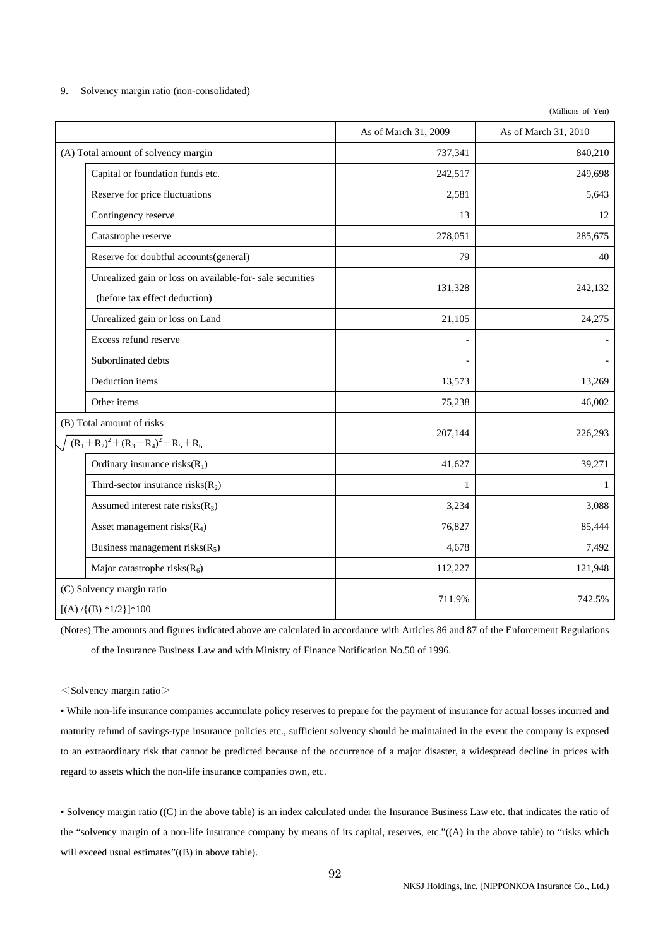| 9. |  | Solvency margin ratio (non-consolidated) |  |
|----|--|------------------------------------------|--|
|    |  |                                          |  |

(Millions of Yen)

|                                                                                           | As of March 31, 2009 | As of March 31, 2010 |
|-------------------------------------------------------------------------------------------|----------------------|----------------------|
| (A) Total amount of solvency margin                                                       | 737,341              | 840,210              |
| Capital or foundation funds etc.                                                          | 242,517              | 249,698              |
| Reserve for price fluctuations                                                            | 2,581                | 5,643                |
| Contingency reserve                                                                       | 13                   | 12                   |
| Catastrophe reserve                                                                       | 278,051              | 285,675              |
| Reserve for doubtful accounts(general)                                                    | 79                   | 40                   |
| Unrealized gain or loss on available-for-sale securities<br>(before tax effect deduction) | 131,328              | 242,132              |
| Unrealized gain or loss on Land                                                           | 21,105               | 24,275               |
| Excess refund reserve                                                                     |                      |                      |
| Subordinated debts                                                                        |                      |                      |
| Deduction items                                                                           | 13,573               | 13,269               |
| Other items                                                                               | 75,238               | 46,002               |
| (B) Total amount of risks<br>$(R_1 + R_2)^2 + (R_3 + R_4)^2 + R_5 + R_6$                  | 207,144              | 226,293              |
| Ordinary insurance risks $(R_1)$                                                          | 41,627               | 39,271               |
| Third-sector insurance risks $(R_2)$                                                      | 1                    | 1                    |
| Assumed interest rate risks $(R_3)$                                                       | 3,234                | 3,088                |
| Asset management risks $(R_4)$                                                            | 76,827               | 85,444               |
| Business management risks $(R_5)$                                                         | 4,678                | 7,492                |
| Major catastrophe risks $(R_6)$                                                           | 112,227              | 121,948              |
| (C) Solvency margin ratio<br>$[(A) / {(B) * 1/2}] * 100$                                  | 711.9%               | 742.5%               |

(Notes) The amounts and figures indicated above are calculated in accordance with Articles 86 and 87 of the Enforcement Regulations of the Insurance Business Law and with Ministry of Finance Notification No.50 of 1996.

 $<$ Solvency margin ratio $>$ 

• While non-life insurance companies accumulate policy reserves to prepare for the payment of insurance for actual losses incurred and maturity refund of savings-type insurance policies etc., sufficient solvency should be maintained in the event the company is exposed to an extraordinary risk that cannot be predicted because of the occurrence of a major disaster, a widespread decline in prices with regard to assets which the non-life insurance companies own, etc.

• Solvency margin ratio ((C) in the above table) is an index calculated under the Insurance Business Law etc. that indicates the ratio of the "solvency margin of a non-life insurance company by means of its capital, reserves, etc."((A) in the above table) to "risks which will exceed usual estimates"((B) in above table).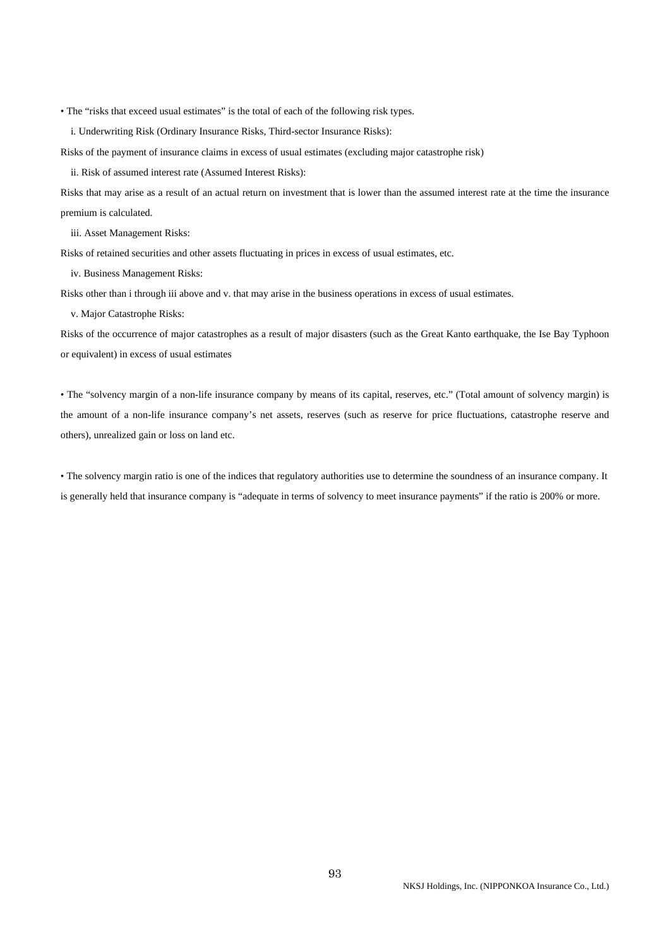• The "risks that exceed usual estimates" is the total of each of the following risk types.

i. Underwriting Risk (Ordinary Insurance Risks, Third-sector Insurance Risks):

Risks of the payment of insurance claims in excess of usual estimates (excluding major catastrophe risk)

ii. Risk of assumed interest rate (Assumed Interest Risks):

Risks that may arise as a result of an actual return on investment that is lower than the assumed interest rate at the time the insurance premium is calculated.

iii. Asset Management Risks:

Risks of retained securities and other assets fluctuating in prices in excess of usual estimates, etc.

iv. Business Management Risks:

Risks other than i through iii above and v. that may arise in the business operations in excess of usual estimates.

v. Major Catastrophe Risks:

Risks of the occurrence of major catastrophes as a result of major disasters (such as the Great Kanto earthquake, the Ise Bay Typhoon or equivalent) in excess of usual estimates

• The "solvency margin of a non-life insurance company by means of its capital, reserves, etc." (Total amount of solvency margin) is the amount of a non-life insurance company's net assets, reserves (such as reserve for price fluctuations, catastrophe reserve and others), unrealized gain or loss on land etc.

• The solvency margin ratio is one of the indices that regulatory authorities use to determine the soundness of an insurance company. It is generally held that insurance company is "adequate in terms of solvency to meet insurance payments" if the ratio is 200% or more.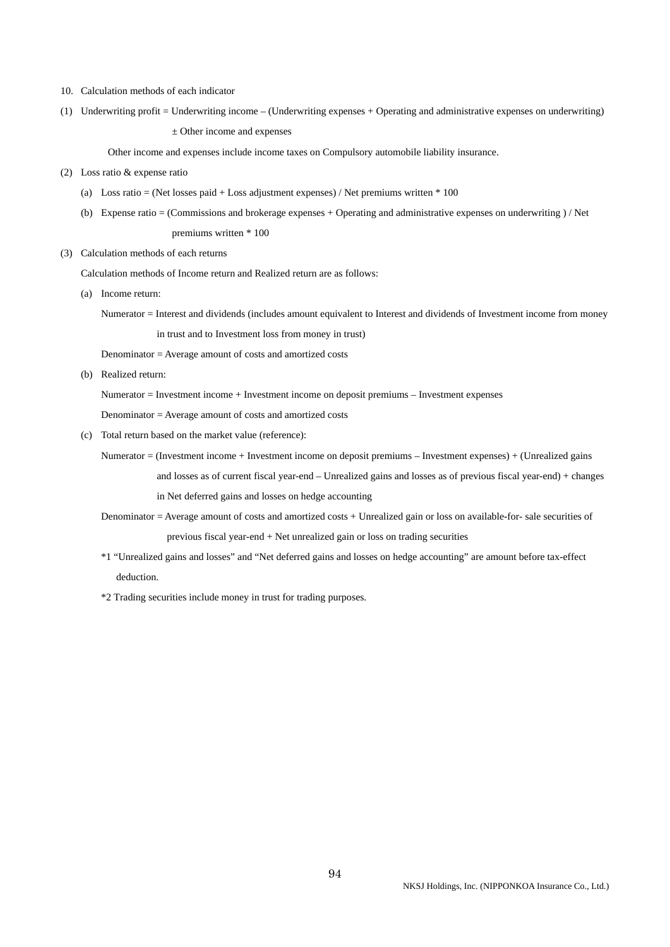- 10. Calculation methods of each indicator
- (1) Underwriting profit = Underwriting income (Underwriting expenses + Operating and administrative expenses on underwriting) ± Other income and expenses

Other income and expenses include income taxes on Compulsory automobile liability insurance.

- (2) Loss ratio & expense ratio
	- (a) Loss ratio = (Net losses paid + Loss adjustment expenses) / Net premiums written  $*$  100
	- (b) Expense ratio = (Commissions and brokerage expenses + Operating and administrative expenses on underwriting ) / Net premiums written \* 100
- (3) Calculation methods of each returns

Calculation methods of Income return and Realized return are as follows:

(a) Income return:

Numerator = Interest and dividends (includes amount equivalent to Interest and dividends of Investment income from money in trust and to Investment loss from money in trust)

Denominator = Average amount of costs and amortized costs

(b) Realized return:

Numerator = Investment income + Investment income on deposit premiums – Investment expenses

Denominator = Average amount of costs and amortized costs

(c) Total return based on the market value (reference):

Numerator = (Investment income + Investment income on deposit premiums – Investment expenses) + (Unrealized gains

 and losses as of current fiscal year-end – Unrealized gains and losses as of previous fiscal year-end) + changes in Net deferred gains and losses on hedge accounting

- Denominator = Average amount of costs and amortized costs + Unrealized gain or loss on available-for- sale securities of previous fiscal year-end + Net unrealized gain or loss on trading securities
- \*1 "Unrealized gains and losses" and "Net deferred gains and losses on hedge accounting" are amount before tax-effect deduction.

\*2 Trading securities include money in trust for trading purposes.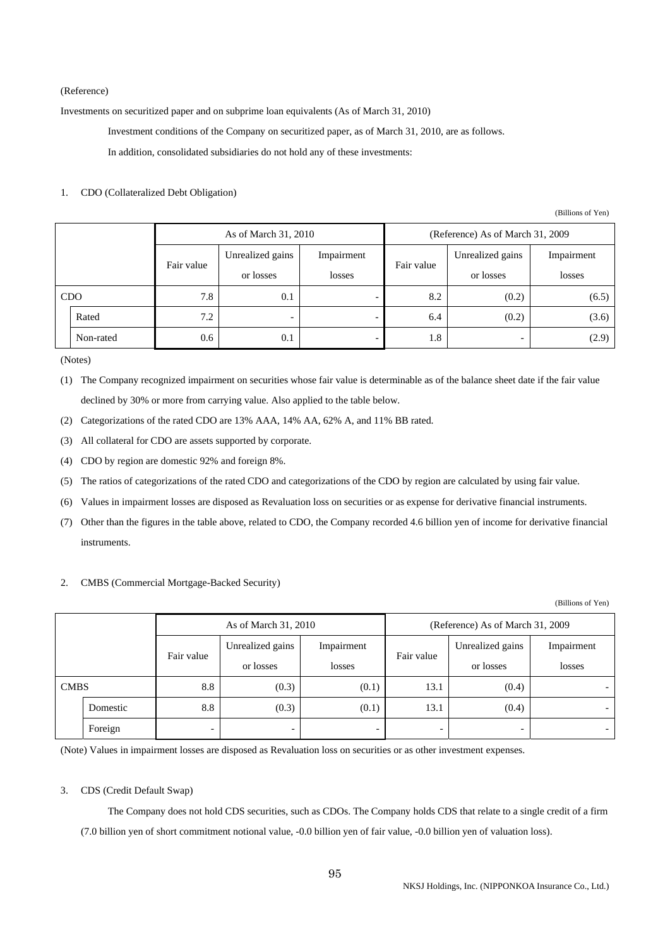### (Reference)

Investments on securitized paper and on subprime loan equivalents (As of March 31, 2010)

Investment conditions of the Company on securitized paper, as of March 31, 2010, are as follows.

In addition, consolidated subsidiaries do not hold any of these investments:

#### 1. CDO (Collateralized Debt Obligation)

(Billions of Yen)

|  | As of March 31, 2010 |            |                  | (Reference) As of March 31, 2009 |            |                          |            |
|--|----------------------|------------|------------------|----------------------------------|------------|--------------------------|------------|
|  |                      | Fair value | Unrealized gains | Impairment                       | Fair value | Unrealized gains         | Impairment |
|  |                      |            | or losses        | losses                           |            | or losses                | losses     |
|  | <b>CDO</b>           | 7.8        | 0.1              |                                  | 8.2        | (0.2)                    | (6.5)      |
|  | Rated                | 7.2        |                  |                                  | 6.4        | (0.2)                    | (3.6)      |
|  | Non-rated            | 0.6        | 0.1              |                                  | 1.8        | $\overline{\phantom{0}}$ | (2.9)      |

(Notes)

(1) The Company recognized impairment on securities whose fair value is determinable as of the balance sheet date if the fair value declined by 30% or more from carrying value. Also applied to the table below.

(2) Categorizations of the rated CDO are 13% AAA, 14% AA, 62% A, and 11% BB rated.

(3) All collateral for CDO are assets supported by corporate.

- (4) CDO by region are domestic 92% and foreign 8%.
- (5) The ratios of categorizations of the rated CDO and categorizations of the CDO by region are calculated by using fair value.
- (6) Values in impairment losses are disposed as Revaluation loss on securities or as expense for derivative financial instruments.
- (7) Other than the figures in the table above, related to CDO, the Company recorded 4.6 billion yen of income for derivative financial instruments.

## 2. CMBS (Commercial Mortgage-Backed Security)

(Billions of Yen)

|             |          |            | As of March 31, 2010 |            | (Reference) As of March 31, 2009 |                          |                          |
|-------------|----------|------------|----------------------|------------|----------------------------------|--------------------------|--------------------------|
|             |          |            | Unrealized gains     | Impairment | Fair value                       | Unrealized gains         | Impairment               |
|             |          | Fair value | or losses            | losses     |                                  | or losses                | losses                   |
| <b>CMBS</b> |          | 8.8        | (0.3)                | (0.1)      | 13.1                             | (0.4)                    |                          |
|             | Domestic | 8.8        | (0.3)                | (0.1)      | 13.1                             | (0.4)                    |                          |
|             | Foreign  |            |                      | -          | $\overline{\phantom{0}}$         | $\overline{\phantom{0}}$ | $\overline{\phantom{0}}$ |

(Note) Values in impairment losses are disposed as Revaluation loss on securities or as other investment expenses.

#### 3. CDS (Credit Default Swap)

 The Company does not hold CDS securities, such as CDOs. The Company holds CDS that relate to a single credit of a firm (7.0 billion yen of short commitment notional value, -0.0 billion yen of fair value, -0.0 billion yen of valuation loss).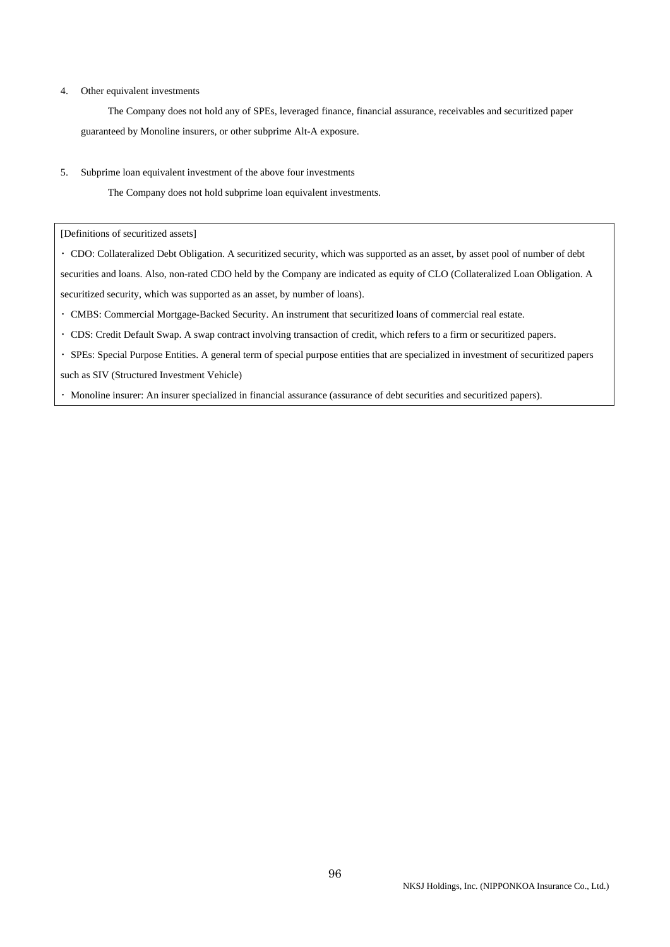#### 4. Other equivalent investments

 The Company does not hold any of SPEs, leveraged finance, financial assurance, receivables and securitized paper guaranteed by Monoline insurers, or other subprime Alt-A exposure.

5. Subprime loan equivalent investment of the above four investments

The Company does not hold subprime loan equivalent investments.

[Definitions of securitized assets]

・ CDO: Collateralized Debt Obligation. A securitized security, which was supported as an asset, by asset pool of number of debt securities and loans. Also, non-rated CDO held by the Company are indicated as equity of CLO (Collateralized Loan Obligation. A securitized security, which was supported as an asset, by number of loans).

- ・ CMBS: Commercial Mortgage-Backed Security. An instrument that securitized loans of commercial real estate.
- ・ CDS: Credit Default Swap. A swap contract involving transaction of credit, which refers to a firm or securitized papers.
- ・ SPEs: Special Purpose Entities. A general term of special purpose entities that are specialized in investment of securitized papers such as SIV (Structured Investment Vehicle)
- ・ Monoline insurer: An insurer specialized in financial assurance (assurance of debt securities and securitized papers).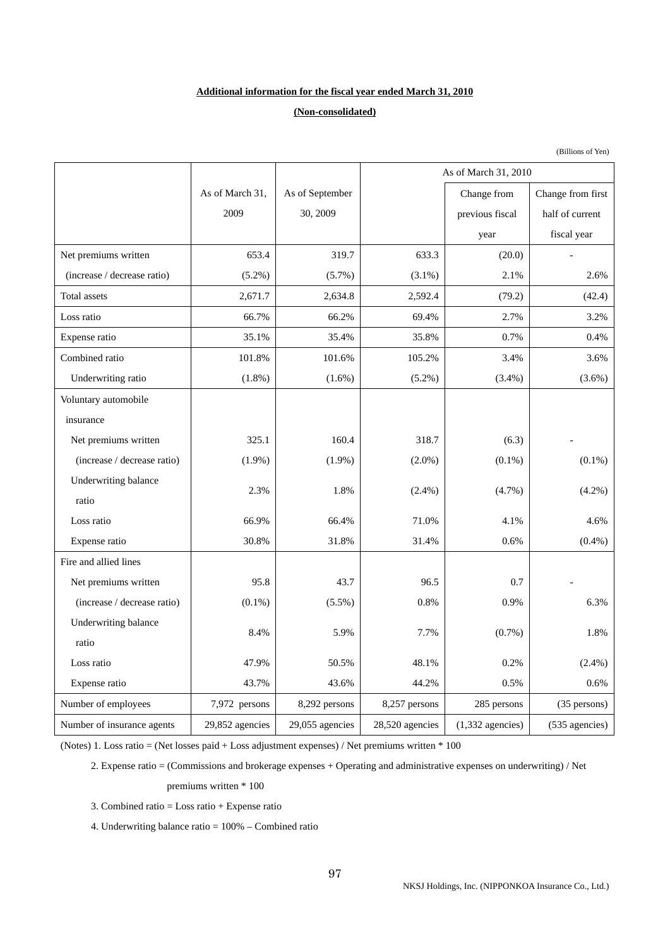## **Additional information for the fiscal year ended March 31, 2010**

# **(Non-consolidated)**

|                             |                 |                 |                 | As of March 31, 2010 |                          |
|-----------------------------|-----------------|-----------------|-----------------|----------------------|--------------------------|
|                             | As of March 31, | As of September |                 | Change from          | Change from first        |
|                             | 2009            | 30, 2009        |                 | previous fiscal      | half of current          |
|                             |                 |                 |                 | year                 | fiscal year              |
| Net premiums written        | 653.4           | 319.7           | 633.3           | (20.0)               |                          |
| (increase / decrease ratio) | $(5.2\%)$       | (5.7%)          | $(3.1\%)$       | 2.1%                 | 2.6%                     |
| Total assets                | 2,671.7         | 2,634.8         | 2,592.4         | (79.2)               | (42.4)                   |
| Loss ratio                  | 66.7%           | 66.2%           | 69.4%           | 2.7%                 | 3.2%                     |
| Expense ratio               | 35.1%           | 35.4%           | 35.8%           | 0.7%                 | 0.4%                     |
| Combined ratio              | 101.8%          | 101.6%          | 105.2%          | 3.4%                 | 3.6%                     |
| Underwriting ratio          | $(1.8\%)$       | $(1.6\%)$       | $(5.2\%)$       | $(3.4\%)$            | $(3.6\%)$                |
| Voluntary automobile        |                 |                 |                 |                      |                          |
| insurance                   |                 |                 |                 |                      |                          |
| Net premiums written        | 325.1           | 160.4           | 318.7           | (6.3)                |                          |
| (increase / decrease ratio) | $(1.9\%)$       | $(1.9\%)$       | $(2.0\%)$       | $(0.1\%)$            | $(0.1\%)$                |
| Underwriting balance        | 2.3%            | 1.8%            | $(2.4\%)$       | $(4.7\%)$            | $(4.2\%)$                |
| ratio                       |                 |                 |                 |                      |                          |
| Loss ratio                  | 66.9%           | 66.4%           | 71.0%           | 4.1%                 | 4.6%                     |
| Expense ratio               | 30.8%           | 31.8%           | 31.4%           | 0.6%                 | $(0.4\%)$                |
| Fire and allied lines       |                 |                 |                 |                      |                          |
| Net premiums written        | 95.8            | 43.7            | 96.5            | 0.7                  |                          |
| (increase / decrease ratio) | $(0.1\%)$       | $(5.5\%)$       | 0.8%            | 0.9%                 | 6.3%                     |
| Underwriting balance        | 8.4%            | 5.9%            | 7.7%            | $(0.7\%)$            | 1.8%                     |
| ratio                       |                 |                 |                 |                      |                          |
| Loss ratio                  | 47.9%           | 50.5%           | 48.1%           | 0.2%                 | $(2.4\%)$                |
| Expense ratio               | 43.7%           | 43.6%           | 44.2%           | 0.5%                 | 0.6%                     |
| Number of employees         | 7,972 persons   | 8,292 persons   | 8,257 persons   | 285 persons          | (35 persons)             |
| Number of insurance agents  | 29,852 agencies | 29,055 agencies | 28,520 agencies | $(1,332$ agencies)   | $(535 \text{ agencies})$ |

(Notes) 1. Loss ratio = (Net losses paid + Loss adjustment expenses) / Net premiums written \* 100

2. Expense ratio = (Commissions and brokerage expenses + Operating and administrative expenses on underwriting) / Net

### premiums written \* 100

3. Combined ratio = Loss ratio + Expense ratio

4. Underwriting balance ratio = 100% – Combined ratio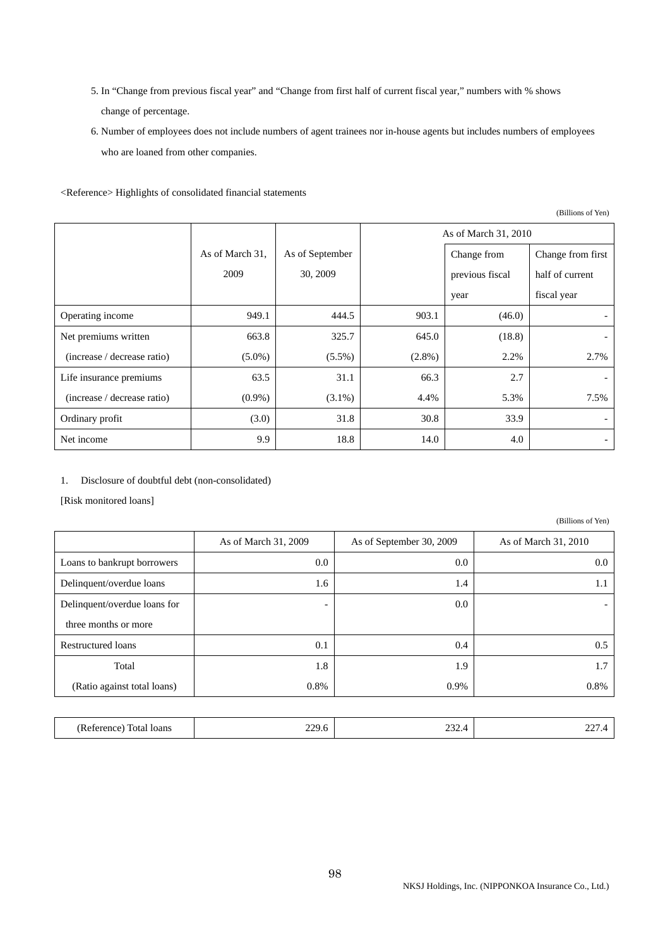- 5. In "Change from previous fiscal year" and "Change from first half of current fiscal year," numbers with % shows change of percentage.
- 6. Number of employees does not include numbers of agent trainees nor in-house agents but includes numbers of employees who are loaned from other companies.

<Reference> Highlights of consolidated financial statements

As of March 31, 2009 As of March 31, As of September Change from 30, 2009 As of March 31, 2010 previous fiscal year Change from first half of current fiscal year Operating income  $949.1$  944.5 903.1 (46.0) Net premiums written (increase / decrease ratio) 663.8 (5.0%) 325.7  $(5.5\%)$ 645.0 (2.8%) (18.8) 2.2% - 2.7% Life insurance premiums (increase / decrease ratio) 63.5 (0.9%) 31.1 (3.1%) 66.3 4.4% 2.7 5.3% - 7.5% Ordinary profit  $(3.0)$   $31.8$   $30.8$   $33.9$ Net income 9.9 18.8 14.0 4.0 -

1. Disclosure of doubtful debt (non-consolidated)

[Risk monitored loans]

|                              | As of March 31, 2009     | As of September 30, 2009 | As of March 31, 2010     |
|------------------------------|--------------------------|--------------------------|--------------------------|
| Loans to bankrupt borrowers  | $0.0\,$                  | $0.0\,$                  | 0.0 <sub>1</sub>         |
| Delinquent/overdue loans     | 1.6                      | 1.4                      | 1.1                      |
| Delinquent/overdue loans for | $\overline{\phantom{a}}$ | 0.0                      | $\overline{\phantom{0}}$ |
| three months or more         |                          |                          |                          |
| <b>Restructured loans</b>    | 0.1                      | 0.4                      | 0.5                      |
| Total                        | 1.8                      | 1.9                      | 1.7                      |
| (Ratio against total loans)  | 0.8%                     | 0.9%                     | 0.8%                     |
|                              |                          |                          |                          |
| (Reference) Total loans      | 229.6                    | 232.4                    | 227.4                    |

(Billions of Yen)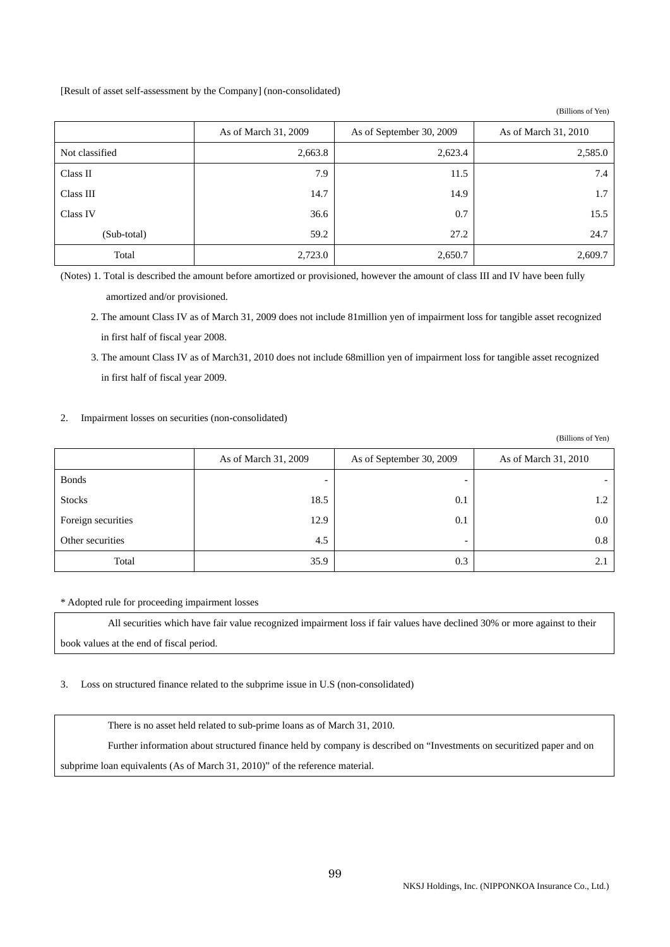[Result of asset self-assessment by the Company] (non-consolidated)

|                | As of March 31, 2009 | As of September 30, 2009 | As of March 31, 2010 |
|----------------|----------------------|--------------------------|----------------------|
| Not classified | 2,663.8              | 2,623.4                  | 2,585.0              |
| Class II       | 7.9                  | 11.5                     | 7.4                  |
| Class III      | 14.7                 | 14.9                     | 1.7                  |
| Class IV       | 36.6                 | 0.7                      | 15.5                 |
| (Sub-total)    | 59.2                 | 27.2                     | 24.7                 |
| Total          | 2,723.0              | 2,650.7                  | 2,609.7              |

(Notes) 1. Total is described the amount before amortized or provisioned, however the amount of class III and IV have been fully amortized and/or provisioned.

2. The amount Class IV as of March 31, 2009 does not include 81million yen of impairment loss for tangible asset recognized in first half of fiscal year 2008.

3. The amount Class IV as of March31, 2010 does not include 68million yen of impairment loss for tangible asset recognized in first half of fiscal year 2009.

2. Impairment losses on securities (non-consolidated)

|                    |                          |                          | (Billions of Yen)    |
|--------------------|--------------------------|--------------------------|----------------------|
|                    | As of March 31, 2009     | As of September 30, 2009 | As of March 31, 2010 |
| <b>Bonds</b>       | $\overline{\phantom{0}}$ |                          |                      |
| <b>Stocks</b>      | 18.5                     | 0.1                      | 1.2                  |
| Foreign securities | 12.9                     | 0.1                      | $0.0\,$              |
| Other securities   | 4.5                      | $\overline{\phantom{0}}$ | $0.8\,$              |
| Total              | 35.9                     | 0.3                      | 2.1                  |

\* Adopted rule for proceeding impairment losses

 All securities which have fair value recognized impairment loss if fair values have declined 30% or more against to their book values at the end of fiscal period.

3. Loss on structured finance related to the subprime issue in U.S (non-consolidated)

There is no asset held related to sub-prime loans as of March 31, 2010.

 Further information about structured finance held by company is described on "Investments on securitized paper and on subprime loan equivalents (As of March 31, 2010)" of the reference material.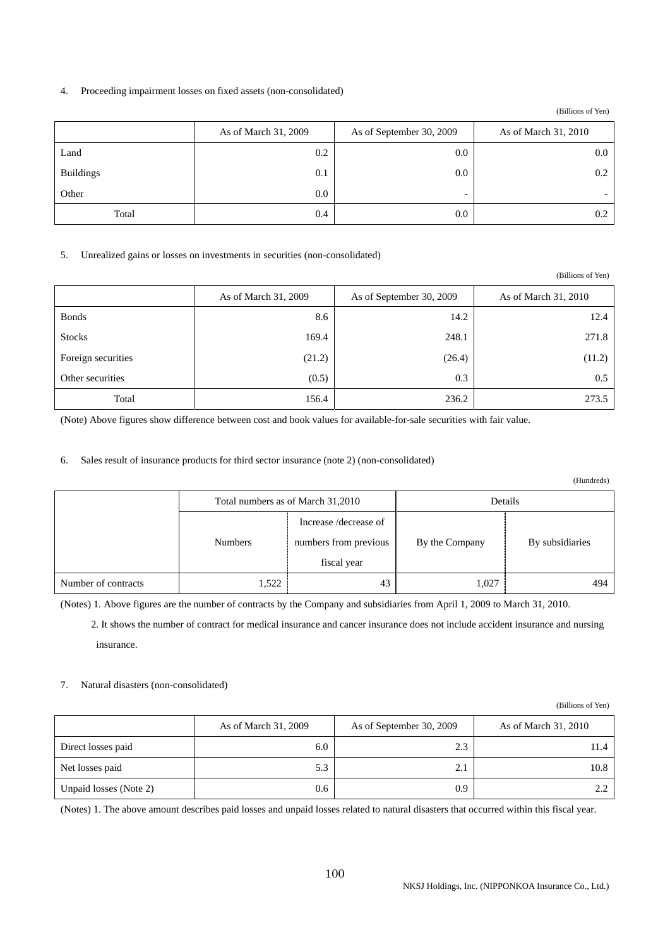## 4. Proceeding impairment losses on fixed assets (non-consolidated)

(Billions of Yen)

|                  | As of March 31, 2009 | As of September 30, 2009 | As of March 31, 2010 |
|------------------|----------------------|--------------------------|----------------------|
| Land             | 0.2                  | $0.0\,$                  | 0.0                  |
| <b>Buildings</b> | 0.1                  | $0.0\,$                  | $0.2\,$              |
| Other            | $0.0\,$              | -                        | -                    |
| Total            | 0.4                  | 0.0                      | 0.2                  |

### 5. Unrealized gains or losses on investments in securities (non-consolidated)

|                    |                      |                          | (Billions of Yen)    |
|--------------------|----------------------|--------------------------|----------------------|
|                    | As of March 31, 2009 | As of September 30, 2009 | As of March 31, 2010 |
| <b>Bonds</b>       | 8.6                  | 14.2                     | 12.4                 |
| <b>Stocks</b>      | 169.4                | 248.1                    | 271.8                |
| Foreign securities | (21.2)               | (26.4)                   | (11.2)               |
| Other securities   | (0.5)                | 0.3                      | 0.5                  |
| Total              | 156.4                | 236.2                    | 273.5                |

(Note) Above figures show difference between cost and book values for available-for-sale securities with fair value.

# 6. Sales result of insurance products for third sector insurance (note 2) (non-consolidated)

(Hundreds)

(Billions of Yen)

|                     | Total numbers as of March 31,2010 |                                                               | Details                           |     |  |
|---------------------|-----------------------------------|---------------------------------------------------------------|-----------------------------------|-----|--|
|                     | <b>Numbers</b>                    | Increase /decrease of<br>numbers from previous<br>fiscal year | By subsidiaries<br>By the Company |     |  |
| Number of contracts | 1,522                             | 43                                                            | 1,027                             | 494 |  |

(Notes) 1. Above figures are the number of contracts by the Company and subsidiaries from April 1, 2009 to March 31, 2010.

2. It shows the number of contract for medical insurance and cancer insurance does not include accident insurance and nursing insurance.

### 7. Natural disasters (non-consolidated)

|                        | As of March 31, 2009 | As of September 30, 2009 | As of March 31, 2010 |
|------------------------|----------------------|--------------------------|----------------------|
| Direct losses paid     | 6.0                  | 2.3                      | 11.4                 |
| Net losses paid        | 5.3                  | 2.1                      | 10.8                 |
| Unpaid losses (Note 2) | 0.6                  | 0.9                      | $2.2^{\circ}$        |

(Notes) 1. The above amount describes paid losses and unpaid losses related to natural disasters that occurred within this fiscal year.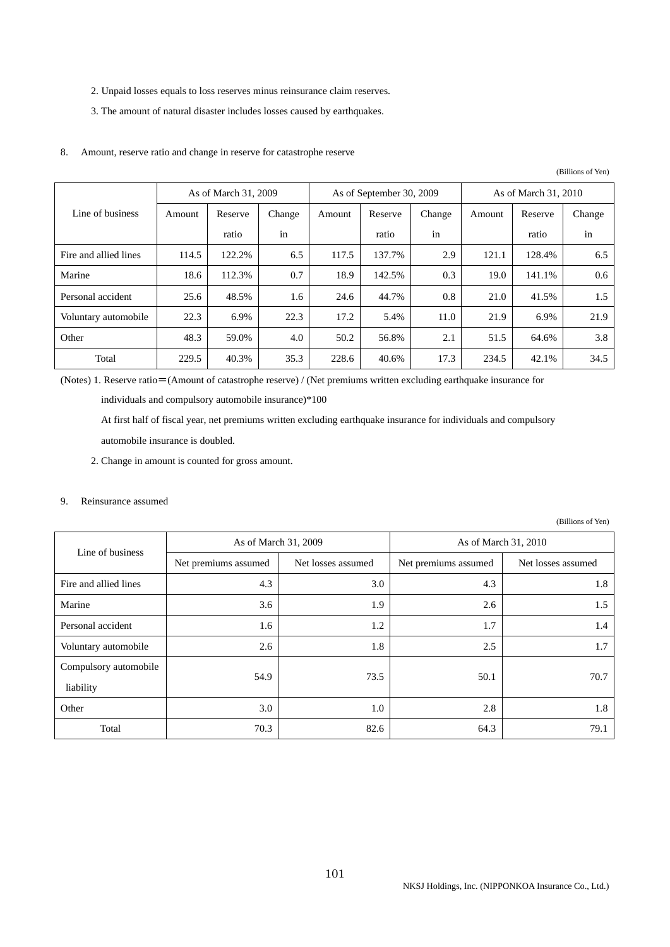- 2. Unpaid losses equals to loss reserves minus reinsurance claim reserves.
- 3. The amount of natural disaster includes losses caused by earthquakes.

### 8. Amount, reserve ratio and change in reserve for catastrophe reserve

(Billions of Yen)

|                       | As of March 31, 2009 |         |        | As of September 30, 2009 |         |        | As of March 31, 2010 |         |         |
|-----------------------|----------------------|---------|--------|--------------------------|---------|--------|----------------------|---------|---------|
| Line of business      | Amount               | Reserve | Change | Amount                   | Reserve | Change | Amount               | Reserve | Change  |
|                       |                      | ratio   | in     |                          | ratio   | in     |                      | ratio   | in      |
| Fire and allied lines | 114.5                | 122.2%  | 6.5    | 117.5                    | 137.7%  | 2.9    | 121.1                | 128.4%  | 6.5     |
| Marine                | 18.6                 | 112.3%  | 0.7    | 18.9                     | 142.5%  | 0.3    | 19.0                 | 141.1%  | 0.6     |
| Personal accident     | 25.6                 | 48.5%   | 1.6    | 24.6                     | 44.7%   | 0.8    | 21.0                 | 41.5%   | $1.5\,$ |
| Voluntary automobile  | 22.3                 | 6.9%    | 22.3   | 17.2                     | 5.4%    | 11.0   | 21.9                 | 6.9%    | 21.9    |
| Other                 | 48.3                 | 59.0%   | 4.0    | 50.2                     | 56.8%   | 2.1    | 51.5                 | 64.6%   | 3.8     |
| Total                 | 229.5                | 40.3%   | 35.3   | 228.6                    | 40.6%   | 17.3   | 234.5                | 42.1%   | 34.5    |

(Notes) 1. Reserve ratio=(Amount of catastrophe reserve) / (Net premiums written excluding earthquake insurance for

individuals and compulsory automobile insurance)\*100

At first half of fiscal year, net premiums written excluding earthquake insurance for individuals and compulsory

automobile insurance is doubled.

2. Change in amount is counted for gross amount.

## 9. Reinsurance assumed

| Line of business                   | As of March 31, 2009 |                    | As of March 31, 2010 |                    |  |
|------------------------------------|----------------------|--------------------|----------------------|--------------------|--|
|                                    | Net premiums assumed | Net losses assumed | Net premiums assumed | Net losses assumed |  |
| Fire and allied lines              | 4.3                  | 3.0                | 4.3                  | 1.8                |  |
| Marine                             | 3.6                  | 1.9                | 2.6                  | 1.5                |  |
| Personal accident                  | 1.6                  | 1.2                | 1.7                  | 1.4                |  |
| Voluntary automobile               | 2.6                  | 1.8                | 2.5                  | 1.7                |  |
| Compulsory automobile<br>liability | 54.9                 | 73.5               | 50.1                 | 70.7               |  |
| Other                              | 3.0                  | 1.0                | 2.8                  | 1.8                |  |
| Total                              | 70.3                 | 82.6               | 64.3                 | 79.1               |  |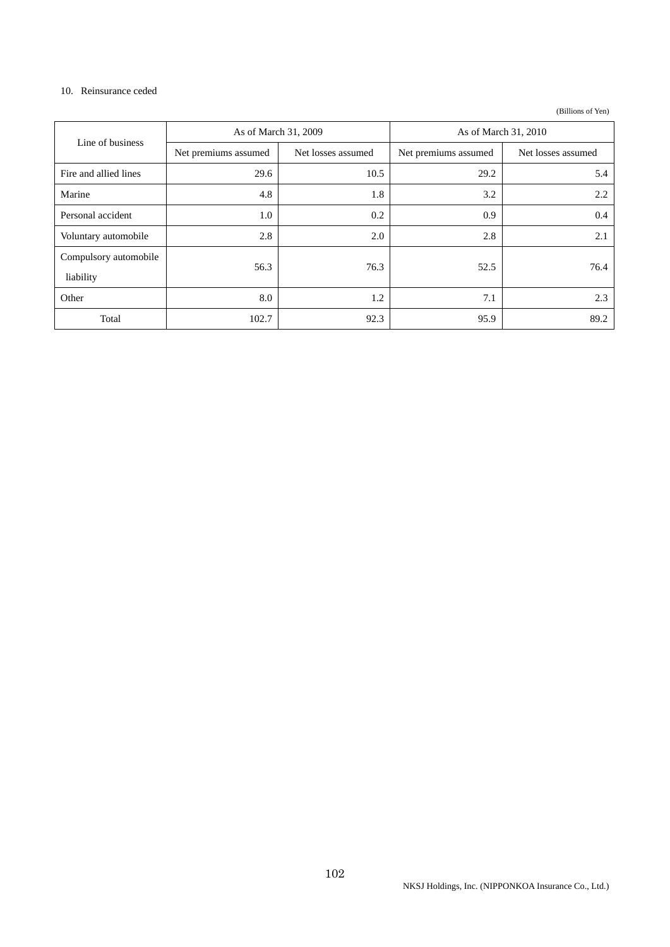### 10. Reinsurance ceded

| Line of business                   | As of March 31, 2009 |                    | As of March 31, 2010 |                    |  |
|------------------------------------|----------------------|--------------------|----------------------|--------------------|--|
|                                    | Net premiums assumed | Net losses assumed | Net premiums assumed | Net losses assumed |  |
| Fire and allied lines              | 29.6                 | 10.5               | 29.2                 | 5.4                |  |
| Marine                             | 4.8                  | 1.8                | 3.2                  | 2.2                |  |
| Personal accident                  | 1.0                  | 0.2                | 0.9                  | 0.4                |  |
| Voluntary automobile               | 2.8                  | 2.0                | 2.8                  | 2.1                |  |
| Compulsory automobile<br>liability | 56.3                 | 76.3               | 52.5                 | 76.4               |  |
| Other                              | 8.0                  | 1.2                | 7.1                  | 2.3                |  |
| Total                              | 102.7                | 92.3               | 95.9                 | 89.2               |  |